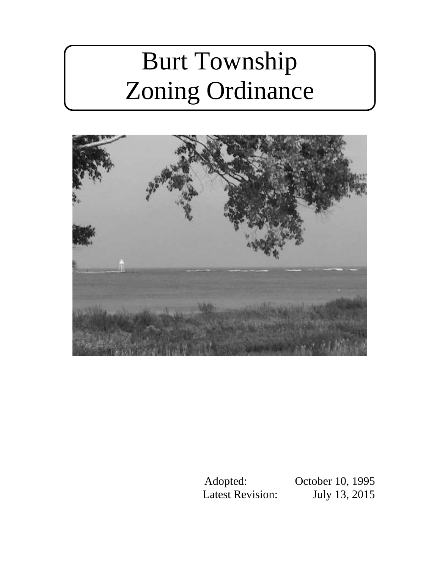# Burt Township Zoning Ordinance



Adopted: October 10, 1995 Latest Revision: July 13, 2015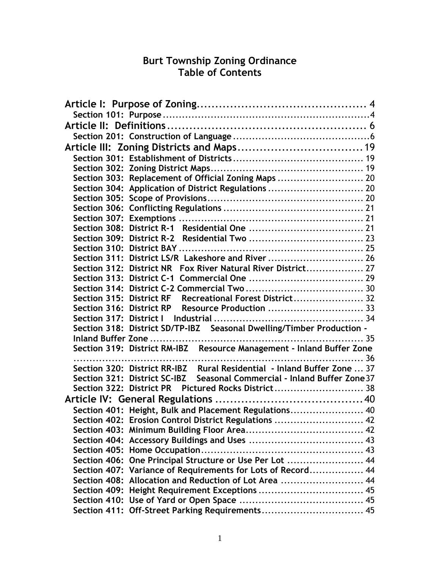# **Burt Township Zoning Ordinance Table of Contents**

| Section 303: Replacement of Official Zoning Maps  20                     |  |
|--------------------------------------------------------------------------|--|
| Section 304: Application of District Regulations  20                     |  |
|                                                                          |  |
|                                                                          |  |
|                                                                          |  |
|                                                                          |  |
|                                                                          |  |
|                                                                          |  |
| Section 311: District LS/R Lakeshore and River  26                       |  |
| Section 312: District NR Fox River Natural River District 27             |  |
|                                                                          |  |
|                                                                          |  |
| Section 315: District RF Recreational Forest District 32                 |  |
| Section 316: District RP Resource Production  33                         |  |
|                                                                          |  |
| Section 318: District SD/TP-IBZ Seasonal Dwelling/Timber Production -    |  |
|                                                                          |  |
| Section 319: District RM-IBZ   Resource Management - Inland Buffer Zone  |  |
|                                                                          |  |
| Section 320: District RR-IBZ Rural Residential - Inland Buffer Zone  37  |  |
| Section 321: District SC-IBZ Seasonal Commercial - Inland Buffer Zone 37 |  |
| Section 322: District PR Pictured Rocks District 38                      |  |
|                                                                          |  |
| Section 401: Height, Bulk and Placement Regulations 40                   |  |
| Section 402: Erosion Control District Regulations  42                    |  |
|                                                                          |  |
|                                                                          |  |
|                                                                          |  |
| Section 406: One Principal Structure or Use Per Lot  44                  |  |
| Section 407: Variance of Requirements for Lots of Record 44              |  |
| Section 408: Allocation and Reduction of Lot Area  44                    |  |
|                                                                          |  |
|                                                                          |  |
| Section 411: Off-Street Parking Requirements 45                          |  |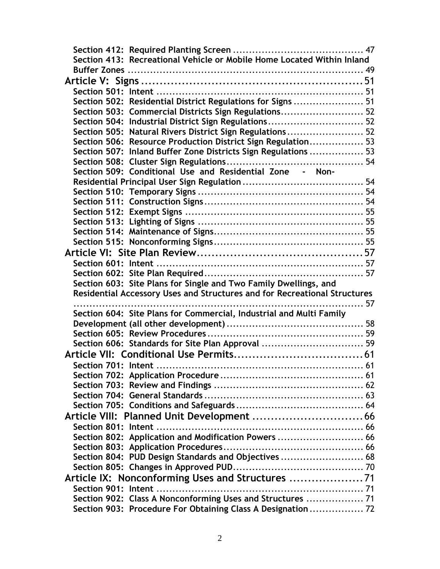|                     | Section 413: Recreational Vehicle or Mobile Home Located Within Inland                                                     |  |
|---------------------|----------------------------------------------------------------------------------------------------------------------------|--|
|                     |                                                                                                                            |  |
|                     |                                                                                                                            |  |
|                     |                                                                                                                            |  |
|                     | Section 502: Residential District Regulations for Signs  51                                                                |  |
|                     | Section 503: Commercial Districts Sign Regulations 52                                                                      |  |
|                     | Section 504: Industrial District Sign Regulations 52                                                                       |  |
|                     | Section 505: Natural Rivers District Sign Regulations 52                                                                   |  |
|                     | Section 506: Resource Production District Sign Regulation 53                                                               |  |
|                     | Section 507: Inland Buffer Zone Districts Sign Regulations  53                                                             |  |
|                     |                                                                                                                            |  |
|                     | Section 509: Conditional Use and Residential Zone - Non-                                                                   |  |
|                     |                                                                                                                            |  |
|                     |                                                                                                                            |  |
|                     |                                                                                                                            |  |
|                     |                                                                                                                            |  |
|                     |                                                                                                                            |  |
|                     |                                                                                                                            |  |
|                     |                                                                                                                            |  |
|                     |                                                                                                                            |  |
|                     |                                                                                                                            |  |
|                     |                                                                                                                            |  |
|                     | Section 603: Site Plans for Single and Two Family Dwellings, and                                                           |  |
|                     | Residential Accessory Uses and Structures and for Recreational Structures                                                  |  |
|                     |                                                                                                                            |  |
|                     | Section 604: Site Plans for Commercial, Industrial and Multi Family                                                        |  |
|                     |                                                                                                                            |  |
|                     | Section 606: Standards for Site Plan Approval  59                                                                          |  |
|                     |                                                                                                                            |  |
|                     |                                                                                                                            |  |
| Section 701: Intent |                                                                                                                            |  |
|                     |                                                                                                                            |  |
|                     |                                                                                                                            |  |
|                     |                                                                                                                            |  |
|                     |                                                                                                                            |  |
|                     |                                                                                                                            |  |
|                     |                                                                                                                            |  |
|                     |                                                                                                                            |  |
|                     | Section 802: Application and Modification Powers  66                                                                       |  |
|                     |                                                                                                                            |  |
|                     | Section 804: PUD Design Standards and Objectives  68                                                                       |  |
|                     |                                                                                                                            |  |
|                     | Article IX: Nonconforming Uses and Structures                                                                              |  |
|                     |                                                                                                                            |  |
|                     | Section 902: Class A Nonconforming Uses and Structures  71<br>Section 903: Procedure For Obtaining Class A Designation  72 |  |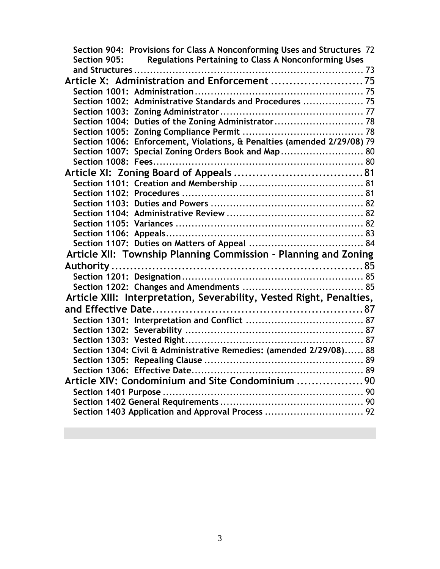| Section 904: Provisions for Class A Nonconforming Uses and Structures 72    |  |  |  |  |
|-----------------------------------------------------------------------------|--|--|--|--|
| <b>Regulations Pertaining to Class A Nonconforming Uses</b><br>Section 905: |  |  |  |  |
|                                                                             |  |  |  |  |
|                                                                             |  |  |  |  |
|                                                                             |  |  |  |  |
|                                                                             |  |  |  |  |
|                                                                             |  |  |  |  |
| Section 1004: Duties of the Zoning Administrator 78                         |  |  |  |  |
|                                                                             |  |  |  |  |
| Section 1006: Enforcement, Violations, & Penalties (amended 2/29/08) 79     |  |  |  |  |
| Section 1007: Special Zoning Orders Book and Map 80                         |  |  |  |  |
|                                                                             |  |  |  |  |
|                                                                             |  |  |  |  |
|                                                                             |  |  |  |  |
|                                                                             |  |  |  |  |
|                                                                             |  |  |  |  |
|                                                                             |  |  |  |  |
|                                                                             |  |  |  |  |
|                                                                             |  |  |  |  |
|                                                                             |  |  |  |  |
| Article XII: Township Planning Commission - Planning and Zoning             |  |  |  |  |
|                                                                             |  |  |  |  |
|                                                                             |  |  |  |  |
|                                                                             |  |  |  |  |
| Article XIII: Interpretation, Severability, Vested Right, Penalties,        |  |  |  |  |
|                                                                             |  |  |  |  |
|                                                                             |  |  |  |  |
|                                                                             |  |  |  |  |
|                                                                             |  |  |  |  |
| Section 1304: Civil & Administrative Remedies: (amended 2/29/08) 88         |  |  |  |  |
|                                                                             |  |  |  |  |
|                                                                             |  |  |  |  |
| Article XIV: Condominium and Site Condominium  90                           |  |  |  |  |
|                                                                             |  |  |  |  |
|                                                                             |  |  |  |  |
| Section 1403 Application and Approval Process  92                           |  |  |  |  |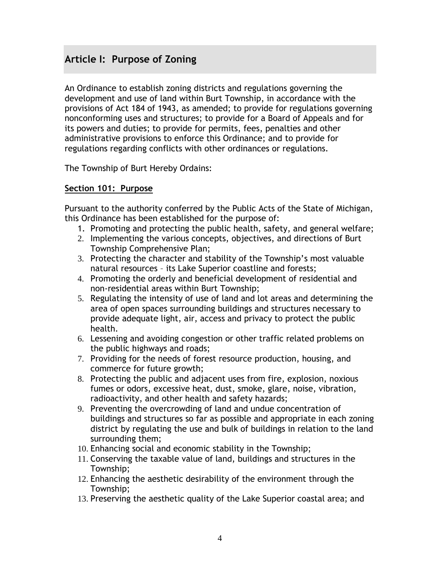# <span id="page-4-0"></span>**Article I: Purpose of Zoning**

An Ordinance to establish zoning districts and regulations governing the development and use of land within Burt Township, in accordance with the provisions of Act 184 of 1943, as amended; to provide for regulations governing nonconforming uses and structures; to provide for a Board of Appeals and for its powers and duties; to provide for permits, fees, penalties and other administrative provisions to enforce this Ordinance; and to provide for regulations regarding conflicts with other ordinances or regulations.

The Township of Burt Hereby Ordains:

## <span id="page-4-1"></span>**Section 101: Purpose**

Pursuant to the authority conferred by the Public Acts of the State of Michigan, this Ordinance has been established for the purpose of:

- 1. Promoting and protecting the public health, safety, and general welfare;
- 2. Implementing the various concepts, objectives, and directions of Burt Township Comprehensive Plan;
- 3. Protecting the character and stability of the Township's most valuable natural resources – its Lake Superior coastline and forests;
- 4. Promoting the orderly and beneficial development of residential and non-residential areas within Burt Township;
- 5. Regulating the intensity of use of land and lot areas and determining the area of open spaces surrounding buildings and structures necessary to provide adequate light, air, access and privacy to protect the public health.
- 6. Lessening and avoiding congestion or other traffic related problems on the public highways and roads;
- 7. Providing for the needs of forest resource production, housing, and commerce for future growth;
- 8. Protecting the public and adjacent uses from fire, explosion, noxious fumes or odors, excessive heat, dust, smoke, glare, noise, vibration, radioactivity, and other health and safety hazards;
- 9. Preventing the overcrowding of land and undue concentration of buildings and structures so far as possible and appropriate in each zoning district by regulating the use and bulk of buildings in relation to the land surrounding them;
- 10. Enhancing social and economic stability in the Township;
- 11. Conserving the taxable value of land, buildings and structures in the Township;
- 12. Enhancing the aesthetic desirability of the environment through the Township;
- 13. Preserving the aesthetic quality of the Lake Superior coastal area; and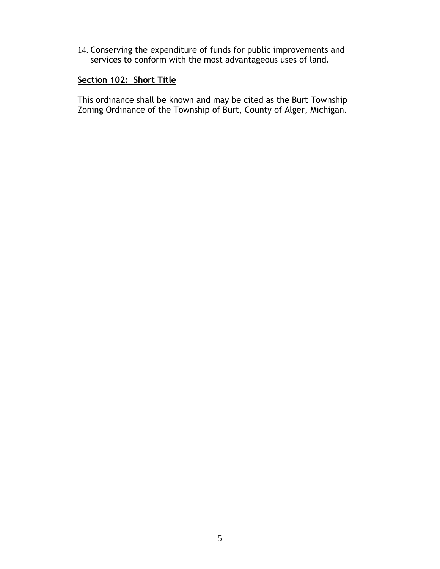14. Conserving the expenditure of funds for public improvements and services to conform with the most advantageous uses of land.

## **Section 102: Short Title**

This ordinance shall be known and may be cited as the Burt Township Zoning Ordinance of the Township of Burt, County of Alger, Michigan.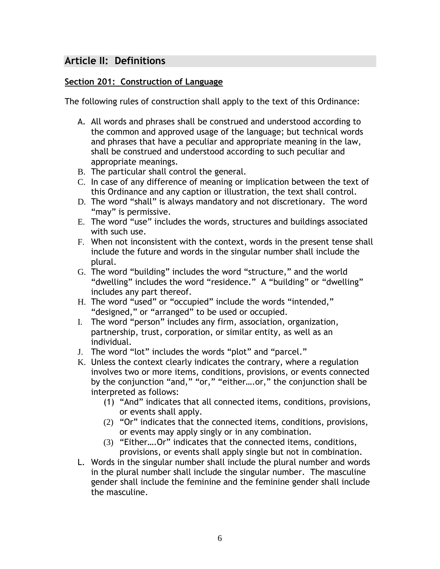# <span id="page-6-0"></span>**Article II: Definitions**

## <span id="page-6-1"></span>**Section 201: Construction of Language**

The following rules of construction shall apply to the text of this Ordinance:

- A. All words and phrases shall be construed and understood according to the common and approved usage of the language; but technical words and phrases that have a peculiar and appropriate meaning in the law, shall be construed and understood according to such peculiar and appropriate meanings.
- B. The particular shall control the general.
- C. In case of any difference of meaning or implication between the text of this Ordinance and any caption or illustration, the text shall control.
- D. The word "shall" is always mandatory and not discretionary. The word "may" is permissive.
- E. The word "use" includes the words, structures and buildings associated with such use.
- F. When not inconsistent with the context, words in the present tense shall include the future and words in the singular number shall include the plural.
- G. The word "building" includes the word "structure," and the world "dwelling" includes the word "residence." A "building" or "dwelling" includes any part thereof.
- H. The word "used" or "occupied" include the words "intended," "designed," or "arranged" to be used or occupied.
- I. The word "person" includes any firm, association, organization, partnership, trust, corporation, or similar entity, as well as an individual.
- J. The word "lot" includes the words "plot" and "parcel."
- K. Unless the context clearly indicates the contrary, where a regulation involves two or more items, conditions, provisions, or events connected by the conjunction "and," "or," "either….or," the conjunction shall be interpreted as follows:
	- (1) "And" indicates that all connected items, conditions, provisions, or events shall apply.
	- (2) "Or" indicates that the connected items, conditions, provisions, or events may apply singly or in any combination.
	- (3) "Either….Or" indicates that the connected items, conditions, provisions, or events shall apply single but not in combination.
- L. Words in the singular number shall include the plural number and words in the plural number shall include the singular number. The masculine gender shall include the feminine and the feminine gender shall include the masculine.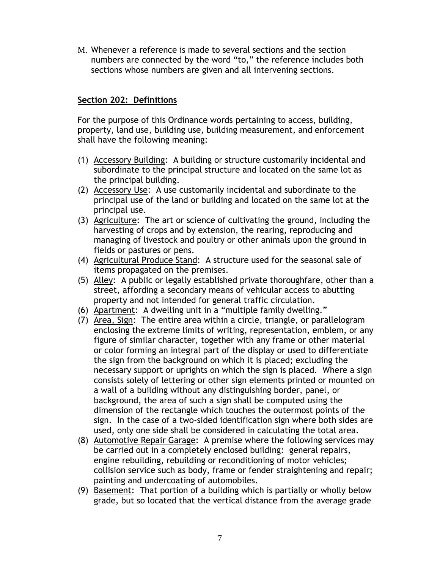M. Whenever a reference is made to several sections and the section numbers are connected by the word "to," the reference includes both sections whose numbers are given and all intervening sections.

## **Section 202: Definitions**

For the purpose of this Ordinance words pertaining to access, building, property, land use, building use, building measurement, and enforcement shall have the following meaning:

- (1) Accessory Building: A building or structure customarily incidental and subordinate to the principal structure and located on the same lot as the principal building.
- (2) Accessory Use: A use customarily incidental and subordinate to the principal use of the land or building and located on the same lot at the principal use.
- (3) Agriculture: The art or science of cultivating the ground, including the harvesting of crops and by extension, the rearing, reproducing and managing of livestock and poultry or other animals upon the ground in fields or pastures or pens.
- (4) Agricultural Produce Stand: A structure used for the seasonal sale of items propagated on the premises.
- (5) Alley: A public or legally established private thoroughfare, other than a street, affording a secondary means of vehicular access to abutting property and not intended for general traffic circulation.
- (6) Apartment: A dwelling unit in a "multiple family dwelling."
- (7) Area, Sign: The entire area within a circle, triangle, or parallelogram enclosing the extreme limits of writing, representation, emblem, or any figure of similar character, together with any frame or other material or color forming an integral part of the display or used to differentiate the sign from the background on which it is placed; excluding the necessary support or uprights on which the sign is placed. Where a sign consists solely of lettering or other sign elements printed or mounted on a wall of a building without any distinguishing border, panel, or background, the area of such a sign shall be computed using the dimension of the rectangle which touches the outermost points of the sign. In the case of a two-sided identification sign where both sides are used, only one side shall be considered in calculating the total area.
- (8) Automotive Repair Garage: A premise where the following services may be carried out in a completely enclosed building: general repairs, engine rebuilding, rebuilding or reconditioning of motor vehicles; collision service such as body, frame or fender straightening and repair; painting and undercoating of automobiles.
- (9) Basement: That portion of a building which is partially or wholly below grade, but so located that the vertical distance from the average grade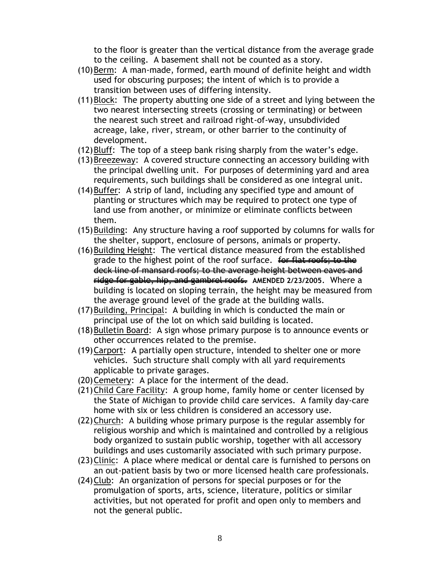to the floor is greater than the vertical distance from the average grade to the ceiling. A basement shall not be counted as a story.

- (10)Berm: A man-made, formed, earth mound of definite height and width used for obscuring purposes; the intent of which is to provide a transition between uses of differing intensity.
- (11)Block: The property abutting one side of a street and lying between the two nearest intersecting streets (crossing or terminating) or between the nearest such street and railroad right-of-way, unsubdivided acreage, lake, river, stream, or other barrier to the continuity of development.
- (12)Bluff: The top of a steep bank rising sharply from the water's edge.
- (13)Breezeway: A covered structure connecting an accessory building with the principal dwelling unit. For purposes of determining yard and area requirements, such buildings shall be considered as one integral unit.
- (14)Buffer: A strip of land, including any specified type and amount of planting or structures which may be required to protect one type of land use from another, or minimize or eliminate conflicts between them.
- (15)Building: Any structure having a roof supported by columns for walls for the shelter, support, enclosure of persons, animals or property.
- (16)Building Height: The vertical distance measured from the established grade to the highest point of the roof surface. for flat roofs; to the deck line of mansard roofs; to the average height between eaves and ridge for gable, hip, and gambrel roofs. AMENDED 2/23/2005. Where a building is located on sloping terrain, the height may be measured from the average ground level of the grade at the building walls.
- (17)Building, Principal: A building in which is conducted the main or principal use of the lot on which said building is located.
- (18) Bulletin Board: A sign whose primary purpose is to announce events or other occurrences related to the premise.
- (19)Carport: A partially open structure, intended to shelter one or more vehicles. Such structure shall comply with all yard requirements applicable to private garages.
- (20)Cemetery: A place for the interment of the dead.
- (21)Child Care Facility: A group home, family home or center licensed by the State of Michigan to provide child care services. A family day-care home with six or less children is considered an accessory use.
- (22)Church: A building whose primary purpose is the regular assembly for religious worship and which is maintained and controlled by a religious body organized to sustain public worship, together with all accessory buildings and uses customarily associated with such primary purpose.
- (23)Clinic: A place where medical or dental care is furnished to persons on an out-patient basis by two or more licensed health care professionals.
- (24)Club: An organization of persons for special purposes or for the promulgation of sports, arts, science, literature, politics or similar activities, but not operated for profit and open only to members and not the general public.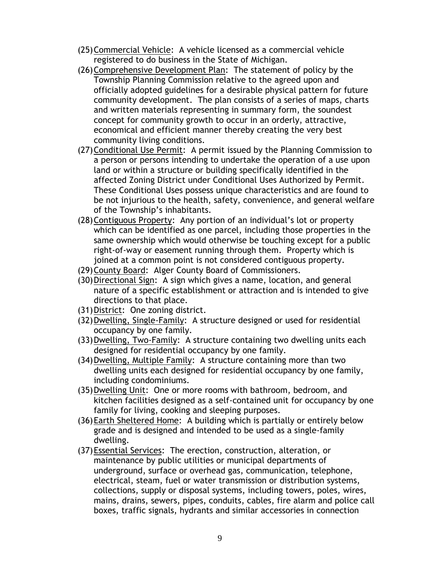- (25)Commercial Vehicle: A vehicle licensed as a commercial vehicle registered to do business in the State of Michigan.
- (26)Comprehensive Development Plan: The statement of policy by the Township Planning Commission relative to the agreed upon and officially adopted guidelines for a desirable physical pattern for future community development. The plan consists of a series of maps, charts and written materials representing in summary form, the soundest concept for community growth to occur in an orderly, attractive, economical and efficient manner thereby creating the very best community living conditions.
- (27)Conditional Use Permit: A permit issued by the Planning Commission to a person or persons intending to undertake the operation of a use upon land or within a structure or building specifically identified in the affected Zoning District under Conditional Uses Authorized by Permit. These Conditional Uses possess unique characteristics and are found to be not injurious to the health, safety, convenience, and general welfare of the Township's inhabitants.
- (28)Contiguous Property: Any portion of an individual's lot or property which can be identified as one parcel, including those properties in the same ownership which would otherwise be touching except for a public right-of-way or easement running through them. Property which is joined at a common point is not considered contiguous property.
- (29)County Board: Alger County Board of Commissioners.
- (30)Directional Sign: A sign which gives a name, location, and general nature of a specific establishment or attraction and is intended to give directions to that place.
- (31)District: One zoning district.
- (32)Dwelling, Single-Family: A structure designed or used for residential occupancy by one family.
- (33)Dwelling, Two-Family: A structure containing two dwelling units each designed for residential occupancy by one family.
- (34)Dwelling, Multiple Family: A structure containing more than two dwelling units each designed for residential occupancy by one family, including condominiums.
- (35)Dwelling Unit: One or more rooms with bathroom, bedroom, and kitchen facilities designed as a self-contained unit for occupancy by one family for living, cooking and sleeping purposes.
- (36)Earth Sheltered Home: A building which is partially or entirely below grade and is designed and intended to be used as a single-family dwelling.
- (37)Essential Services: The erection, construction, alteration, or maintenance by public utilities or municipal departments of underground, surface or overhead gas, communication, telephone, electrical, steam, fuel or water transmission or distribution systems, collections, supply or disposal systems, including towers, poles, wires, mains, drains, sewers, pipes, conduits, cables, fire alarm and police call boxes, traffic signals, hydrants and similar accessories in connection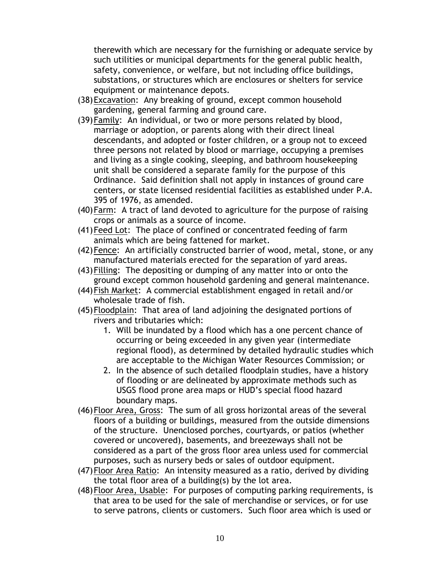therewith which are necessary for the furnishing or adequate service by such utilities or municipal departments for the general public health, safety, convenience, or welfare, but not including office buildings, substations, or structures which are enclosures or shelters for service equipment or maintenance depots.

- (38)Excavation: Any breaking of ground, except common household gardening, general farming and ground care.
- (39)Family: An individual, or two or more persons related by blood, marriage or adoption, or parents along with their direct lineal descendants, and adopted or foster children, or a group not to exceed three persons not related by blood or marriage, occupying a premises and living as a single cooking, sleeping, and bathroom housekeeping unit shall be considered a separate family for the purpose of this Ordinance. Said definition shall not apply in instances of ground care centers, or state licensed residential facilities as established under P.A. 395 of 1976, as amended.
- (40)Farm: A tract of land devoted to agriculture for the purpose of raising crops or animals as a source of income.
- (41)Feed Lot: The place of confined or concentrated feeding of farm animals which are being fattened for market.
- (42)Fence: An artificially constructed barrier of wood, metal, stone, or any manufactured materials erected for the separation of yard areas.
- (43)Filling: The depositing or dumping of any matter into or onto the ground except common household gardening and general maintenance.
- (44)Fish Market: A commercial establishment engaged in retail and/or wholesale trade of fish.
- (45)Floodplain: That area of land adjoining the designated portions of rivers and tributaries which:
	- 1. Will be inundated by a flood which has a one percent chance of occurring or being exceeded in any given year (intermediate regional flood), as determined by detailed hydraulic studies which are acceptable to the Michigan Water Resources Commission; or
	- 2. In the absence of such detailed floodplain studies, have a history of flooding or are delineated by approximate methods such as USGS flood prone area maps or HUD's special flood hazard boundary maps.
- (46)Floor Area, Gross: The sum of all gross horizontal areas of the several floors of a building or buildings, measured from the outside dimensions of the structure. Unenclosed porches, courtyards, or patios (whether covered or uncovered), basements, and breezeways shall not be considered as a part of the gross floor area unless used for commercial purposes, such as nursery beds or sales of outdoor equipment.
- (47)Floor Area Ratio: An intensity measured as a ratio, derived by dividing the total floor area of a building(s) by the lot area.
- (48)Floor Area, Usable: For purposes of computing parking requirements, is that area to be used for the sale of merchandise or services, or for use to serve patrons, clients or customers. Such floor area which is used or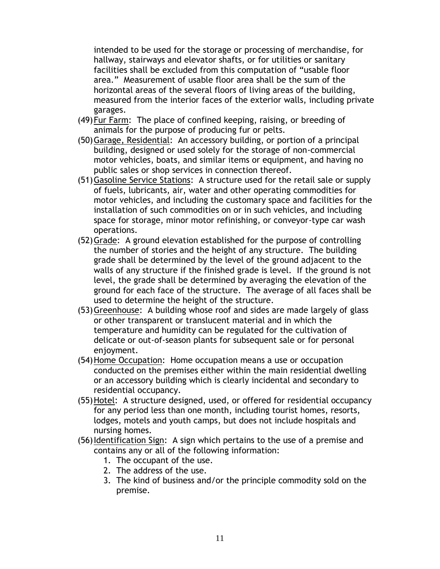intended to be used for the storage or processing of merchandise, for hallway, stairways and elevator shafts, or for utilities or sanitary facilities shall be excluded from this computation of "usable floor area." Measurement of usable floor area shall be the sum of the horizontal areas of the several floors of living areas of the building, measured from the interior faces of the exterior walls, including private garages.

- (49)Fur Farm: The place of confined keeping, raising, or breeding of animals for the purpose of producing fur or pelts.
- (50)Garage, Residential: An accessory building, or portion of a principal building, designed or used solely for the storage of non-commercial motor vehicles, boats, and similar items or equipment, and having no public sales or shop services in connection thereof.
- (51)Gasoline Service Stations: A structure used for the retail sale or supply of fuels, lubricants, air, water and other operating commodities for motor vehicles, and including the customary space and facilities for the installation of such commodities on or in such vehicles, and including space for storage, minor motor refinishing, or conveyor-type car wash operations.
- (52)Grade: A ground elevation established for the purpose of controlling the number of stories and the height of any structure. The building grade shall be determined by the level of the ground adjacent to the walls of any structure if the finished grade is level. If the ground is not level, the grade shall be determined by averaging the elevation of the ground for each face of the structure. The average of all faces shall be used to determine the height of the structure.
- (53)Greenhouse: A building whose roof and sides are made largely of glass or other transparent or translucent material and in which the temperature and humidity can be regulated for the cultivation of delicate or out-of-season plants for subsequent sale or for personal enjoyment.
- (54)Home Occupation: Home occupation means a use or occupation conducted on the premises either within the main residential dwelling or an accessory building which is clearly incidental and secondary to residential occupancy.
- (55)Hotel: A structure designed, used, or offered for residential occupancy for any period less than one month, including tourist homes, resorts, lodges, motels and youth camps, but does not include hospitals and nursing homes.
- (56)Identification Sign: A sign which pertains to the use of a premise and contains any or all of the following information:
	- 1. The occupant of the use.
	- 2. The address of the use.
	- 3. The kind of business and/or the principle commodity sold on the premise.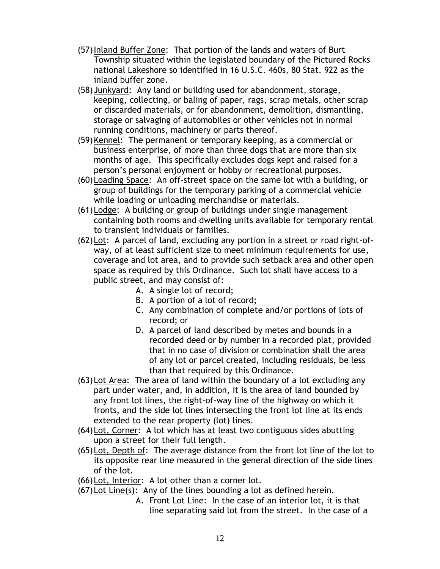- (57)Inland Buffer Zone: That portion of the lands and waters of Burt Township situated within the legislated boundary of the Pictured Rocks national Lakeshore so identified in 16 U.S.C. 460s, 80 Stat. 922 as the inland buffer zone.
- (58)Junkyard: Any land or building used for abandonment, storage, keeping, collecting, or baling of paper, rags, scrap metals, other scrap or discarded materials, or for abandonment, demolition, dismantling, storage or salvaging of automobiles or other vehicles not in normal running conditions, machinery or parts thereof.
- (59)Kennel: The permanent or temporary keeping, as a commercial or business enterprise, of more than three dogs that are more than six months of age. This specifically excludes dogs kept and raised for a person's personal enjoyment or hobby or recreational purposes.
- (60)Loading Space: An off-street space on the same lot with a building, or group of buildings for the temporary parking of a commercial vehicle while loading or unloading merchandise or materials.
- (61)Lodge: A building or group of buildings under single management containing both rooms and dwelling units available for temporary rental to transient individuals or families.
- (62)Lot: A parcel of land, excluding any portion in a street or road right-ofway, of at least sufficient size to meet minimum requirements for use, coverage and lot area, and to provide such setback area and other open space as required by this Ordinance. Such lot shall have access to a public street, and may consist of:
	- A. A single lot of record;
	- B. A portion of a lot of record;
	- C. Any combination of complete and/or portions of lots of record; or
	- D. A parcel of land described by metes and bounds in a recorded deed or by number in a recorded plat, provided that in no case of division or combination shall the area of any lot or parcel created, including residuals, be less than that required by this Ordinance.
- (63)Lot Area: The area of land within the boundary of a lot excluding any part under water, and, in addition, it is the area of land bounded by any front lot lines, the right-of-way line of the highway on which it fronts, and the side lot lines intersecting the front lot line at its ends extended to the rear property (lot) lines.
- (64)Lot, Corner: A lot which has at least two contiguous sides abutting upon a street for their full length.
- (65)Lot, Depth of: The average distance from the front lot line of the lot to its opposite rear line measured in the general direction of the side lines of the lot.
- (66)Lot, Interior: A lot other than a corner lot.
- (67)Lot Line(s): Any of the lines bounding a lot as defined herein.
	- A. Front Lot Line: In the case of an interior lot, it is that line separating said lot from the street. In the case of a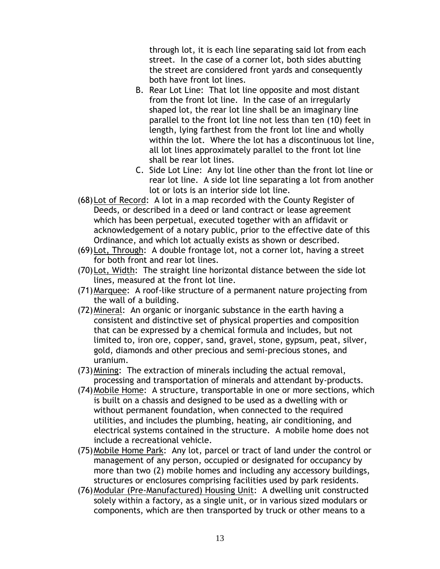through lot, it is each line separating said lot from each street. In the case of a corner lot, both sides abutting the street are considered front yards and consequently both have front lot lines.

- B. Rear Lot Line: That lot line opposite and most distant from the front lot line. In the case of an irregularly shaped lot, the rear lot line shall be an imaginary line parallel to the front lot line not less than ten (10) feet in length, lying farthest from the front lot line and wholly within the lot. Where the lot has a discontinuous lot line, all lot lines approximately parallel to the front lot line shall be rear lot lines.
- C. Side Lot Line: Any lot line other than the front lot line or rear lot line. A side lot line separating a lot from another lot or lots is an interior side lot line.
- (68)Lot of Record: A lot in a map recorded with the County Register of Deeds, or described in a deed or land contract or lease agreement which has been perpetual, executed together with an affidavit or acknowledgement of a notary public, prior to the effective date of this Ordinance, and which lot actually exists as shown or described.
- (69)Lot, Through: A double frontage lot, not a corner lot, having a street for both front and rear lot lines.
- (70)Lot, Width: The straight line horizontal distance between the side lot lines, measured at the front lot line.
- (71)Marquee: A roof-like structure of a permanent nature projecting from the wall of a building.
- (72)Mineral: An organic or inorganic substance in the earth having a consistent and distinctive set of physical properties and composition that can be expressed by a chemical formula and includes, but not limited to, iron ore, copper, sand, gravel, stone, gypsum, peat, silver, gold, diamonds and other precious and semi-precious stones, and uranium.
- (73)Mining: The extraction of minerals including the actual removal, processing and transportation of minerals and attendant by-products.
- (74)Mobile Home: A structure, transportable in one or more sections, which is built on a chassis and designed to be used as a dwelling with or without permanent foundation, when connected to the required utilities, and includes the plumbing, heating, air conditioning, and electrical systems contained in the structure. A mobile home does not include a recreational vehicle.
- (75)Mobile Home Park: Any lot, parcel or tract of land under the control or management of any person, occupied or designated for occupancy by more than two (2) mobile homes and including any accessory buildings, structures or enclosures comprising facilities used by park residents.
- (76)Modular (Pre-Manufactured) Housing Unit: A dwelling unit constructed solely within a factory, as a single unit, or in various sized modulars or components, which are then transported by truck or other means to a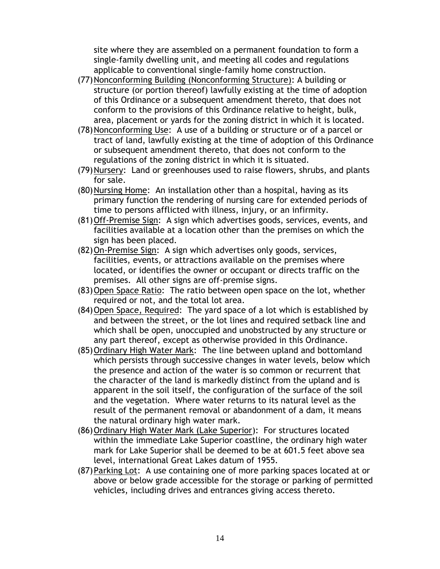site where they are assembled on a permanent foundation to form a single-family dwelling unit, and meeting all codes and regulations applicable to conventional single-family home construction.

- (77)Nonconforming Building (Nonconforming Structure): A building or structure (or portion thereof) lawfully existing at the time of adoption of this Ordinance or a subsequent amendment thereto, that does not conform to the provisions of this Ordinance relative to height, bulk, area, placement or yards for the zoning district in which it is located.
- (78)Nonconforming Use: A use of a building or structure or of a parcel or tract of land, lawfully existing at the time of adoption of this Ordinance or subsequent amendment thereto, that does not conform to the regulations of the zoning district in which it is situated.
- (79)Nursery: Land or greenhouses used to raise flowers, shrubs, and plants for sale.
- (80)Nursing Home: An installation other than a hospital, having as its primary function the rendering of nursing care for extended periods of time to persons afflicted with illness, injury, or an infirmity.
- (81)Off-Premise Sign: A sign which advertises goods, services, events, and facilities available at a location other than the premises on which the sign has been placed.
- (82)On-Premise Sign: A sign which advertises only goods, services, facilities, events, or attractions available on the premises where located, or identifies the owner or occupant or directs traffic on the premises. All other signs are off-premise signs.
- (83)Open Space Ratio: The ratio between open space on the lot, whether required or not, and the total lot area.
- (84)Open Space, Required: The yard space of a lot which is established by and between the street, or the lot lines and required setback line and which shall be open, unoccupied and unobstructed by any structure or any part thereof, except as otherwise provided in this Ordinance.
- (85)Ordinary High Water Mark: The line between upland and bottomland which persists through successive changes in water levels, below which the presence and action of the water is so common or recurrent that the character of the land is markedly distinct from the upland and is apparent in the soil itself, the configuration of the surface of the soil and the vegetation. Where water returns to its natural level as the result of the permanent removal or abandonment of a dam, it means the natural ordinary high water mark.
- (86)Ordinary High Water Mark (Lake Superior): For structures located within the immediate Lake Superior coastline, the ordinary high water mark for Lake Superior shall be deemed to be at 601.5 feet above sea level, international Great Lakes datum of 1955.
- (87)Parking Lot: A use containing one of more parking spaces located at or above or below grade accessible for the storage or parking of permitted vehicles, including drives and entrances giving access thereto.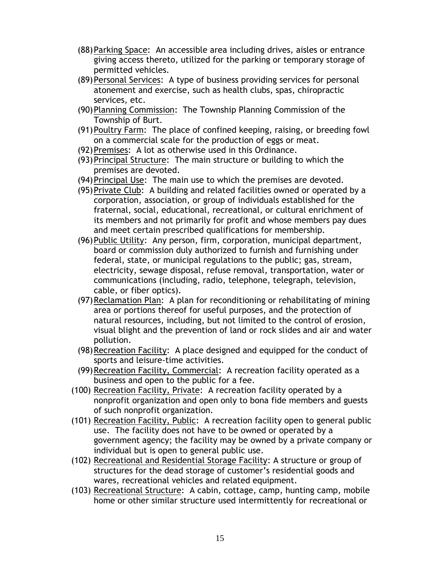- (88)Parking Space: An accessible area including drives, aisles or entrance giving access thereto, utilized for the parking or temporary storage of permitted vehicles.
- (89)Personal Services: A type of business providing services for personal atonement and exercise, such as health clubs, spas, chiropractic services, etc.
- (90)Planning Commission: The Township Planning Commission of the Township of Burt.
- (91)Poultry Farm: The place of confined keeping, raising, or breeding fowl on a commercial scale for the production of eggs or meat.
- (92)Premises: A lot as otherwise used in this Ordinance.
- (93)Principal Structure: The main structure or building to which the premises are devoted.
- (94)Principal Use: The main use to which the premises are devoted.
- (95)Private Club: A building and related facilities owned or operated by a corporation, association, or group of individuals established for the fraternal, social, educational, recreational, or cultural enrichment of its members and not primarily for profit and whose members pay dues and meet certain prescribed qualifications for membership.
- (96)Public Utility: Any person, firm, corporation, municipal department, board or commission duly authorized to furnish and furnishing under federal, state, or municipal regulations to the public; gas, stream, electricity, sewage disposal, refuse removal, transportation, water or communications (including, radio, telephone, telegraph, television, cable, or fiber optics).
- (97)Reclamation Plan: A plan for reconditioning or rehabilitating of mining area or portions thereof for useful purposes, and the protection of natural resources, including, but not limited to the control of erosion, visual blight and the prevention of land or rock slides and air and water pollution.
- (98)Recreation Facility: A place designed and equipped for the conduct of sports and leisure-time activities.
- (99) Recreation Facility, Commercial: A recreation facility operated as a business and open to the public for a fee.
- (100) Recreation Facility, Private: A recreation facility operated by a nonprofit organization and open only to bona fide members and guests of such nonprofit organization.
- (101) Recreation Facility, Public: A recreation facility open to general public use. The facility does not have to be owned or operated by a government agency; the facility may be owned by a private company or individual but is open to general public use.
- (102) Recreational and Residential Storage Facility: A structure or group of structures for the dead storage of customer's residential goods and wares, recreational vehicles and related equipment.
- (103) Recreational Structure: A cabin, cottage, camp, hunting camp, mobile home or other similar structure used intermittently for recreational or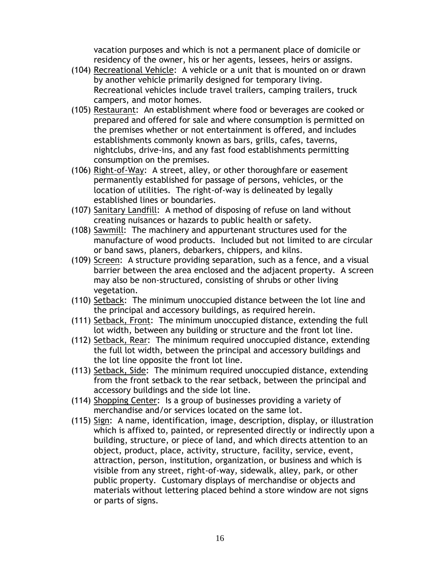vacation purposes and which is not a permanent place of domicile or residency of the owner, his or her agents, lessees, heirs or assigns.

- (104) Recreational Vehicle: A vehicle or a unit that is mounted on or drawn by another vehicle primarily designed for temporary living. Recreational vehicles include travel trailers, camping trailers, truck campers, and motor homes.
- (105) Restaurant: An establishment where food or beverages are cooked or prepared and offered for sale and where consumption is permitted on the premises whether or not entertainment is offered, and includes establishments commonly known as bars, grills, cafes, taverns, nightclubs, drive-ins, and any fast food establishments permitting consumption on the premises.
- (106) Right-of-Way: A street, alley, or other thoroughfare or easement permanently established for passage of persons, vehicles, or the location of utilities. The right-of-way is delineated by legally established lines or boundaries.
- (107) Sanitary Landfill: A method of disposing of refuse on land without creating nuisances or hazards to public health or safety.
- (108) Sawmill: The machinery and appurtenant structures used for the manufacture of wood products. Included but not limited to are circular or band saws, planers, debarkers, chippers, and kilns.
- (109) Screen: A structure providing separation, such as a fence, and a visual barrier between the area enclosed and the adjacent property. A screen may also be non-structured, consisting of shrubs or other living vegetation.
- (110) Setback: The minimum unoccupied distance between the lot line and the principal and accessory buildings, as required herein.
- (111) Setback, Front: The minimum unoccupied distance, extending the full lot width, between any building or structure and the front lot line.
- (112) Setback, Rear: The minimum required unoccupied distance, extending the full lot width, between the principal and accessory buildings and the lot line opposite the front lot line.
- (113) Setback, Side: The minimum required unoccupied distance, extending from the front setback to the rear setback, between the principal and accessory buildings and the side lot line.
- (114) Shopping Center: Is a group of businesses providing a variety of merchandise and/or services located on the same lot.
- (115) Sign: A name, identification, image, description, display, or illustration which is affixed to, painted, or represented directly or indirectly upon a building, structure, or piece of land, and which directs attention to an object, product, place, activity, structure, facility, service, event, attraction, person, institution, organization, or business and which is visible from any street, right-of-way, sidewalk, alley, park, or other public property. Customary displays of merchandise or objects and materials without lettering placed behind a store window are not signs or parts of signs.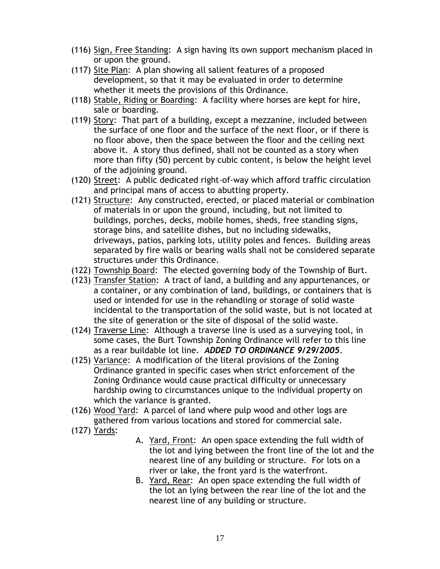- (116) Sign, Free Standing: A sign having its own support mechanism placed in or upon the ground.
- (117) Site Plan: A plan showing all salient features of a proposed development, so that it may be evaluated in order to determine whether it meets the provisions of this Ordinance.
- (118) Stable, Riding or Boarding: A facility where horses are kept for hire, sale or boarding.
- (119) Story: That part of a building, except a mezzanine, included between the surface of one floor and the surface of the next floor, or if there is no floor above, then the space between the floor and the ceiling next above it. A story thus defined, shall not be counted as a story when more than fifty (50) percent by cubic content, is below the height level of the adjoining ground.
- (120) Street: A public dedicated right-of-way which afford traffic circulation and principal mans of access to abutting property.
- (121) Structure: Any constructed, erected, or placed material or combination of materials in or upon the ground, including, but not limited to buildings, porches, decks, mobile homes, sheds, free standing signs, storage bins, and satellite dishes, but no including sidewalks, driveways, patios, parking lots, utility poles and fences. Building areas separated by fire walls or bearing walls shall not be considered separate structures under this Ordinance.
- (122) Township Board: The elected governing body of the Township of Burt.
- (123) Transfer Station: A tract of land, a building and any appurtenances, or a container, or any combination of land, buildings, or containers that is used or intended for use in the rehandling or storage of solid waste incidental to the transportation of the solid waste, but is not located at the site of generation or the site of disposal of the solid waste.
- (124) Traverse Line: Although a traverse line is used as a surveying tool, in some cases, the Burt Township Zoning Ordinance will refer to this line as a rear buildable lot line. *ADDED TO ORDINANCE 9/29/2005*.
- (125) Variance: A modification of the literal provisions of the Zoning Ordinance granted in specific cases when strict enforcement of the Zoning Ordinance would cause practical difficulty or unnecessary hardship owing to circumstances unique to the individual property on which the variance is granted.
- (126) Wood Yard: A parcel of land where pulp wood and other logs are gathered from various locations and stored for commercial sale.
- (127) Yards:
- A. Yard, Front: An open space extending the full width of the lot and lying between the front line of the lot and the nearest line of any building or structure. For lots on a river or lake, the front yard is the waterfront.
- B. Yard, Rear: An open space extending the full width of the lot an lying between the rear line of the lot and the nearest line of any building or structure.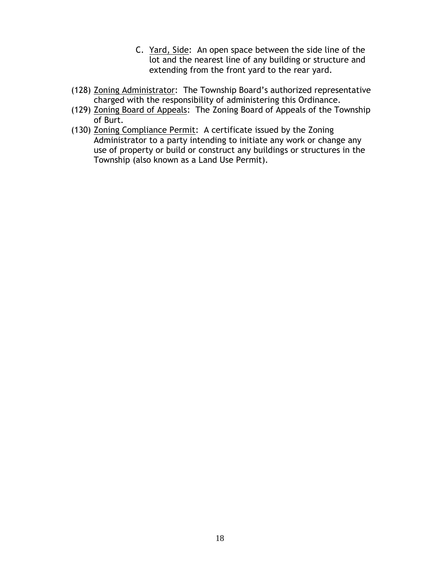- C. Yard, Side: An open space between the side line of the lot and the nearest line of any building or structure and extending from the front yard to the rear yard.
- (128) Zoning Administrator: The Township Board's authorized representative charged with the responsibility of administering this Ordinance.
- (129) Zoning Board of Appeals: The Zoning Board of Appeals of the Township of Burt.
- (130) Zoning Compliance Permit: A certificate issued by the Zoning Administrator to a party intending to initiate any work or change any use of property or build or construct any buildings or structures in the Township (also known as a Land Use Permit).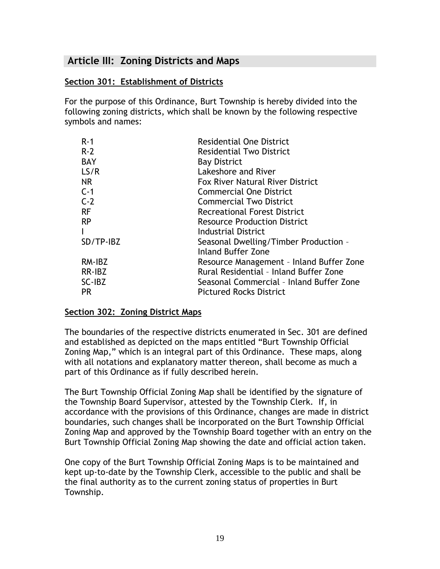# <span id="page-19-0"></span>**Article III: Zoning Districts and Maps**

## <span id="page-19-1"></span>**Section 301: Establishment of Districts**

For the purpose of this Ordinance, Burt Township is hereby divided into the following zoning districts, which shall be known by the following respective symbols and names:

| $R - 1$    | <b>Residential One District</b>          |
|------------|------------------------------------------|
| $R-2$      | <b>Residential Two District</b>          |
| <b>BAY</b> | <b>Bay District</b>                      |
| LS/R       | Lakeshore and River                      |
| NR.        | <b>Fox River Natural River District</b>  |
| $C-1$      | <b>Commercial One District</b>           |
| $C-2$      | <b>Commercial Two District</b>           |
| RF         | <b>Recreational Forest District</b>      |
| <b>RP</b>  | <b>Resource Production District</b>      |
| L          | Industrial District                      |
| SD/TP-IBZ  | Seasonal Dwelling/Timber Production -    |
|            | <b>Inland Buffer Zone</b>                |
| RM-IBZ     | Resource Management - Inland Buffer Zone |
| RR-IBZ     | Rural Residential - Inland Buffer Zone   |
| SC-IBZ     | Seasonal Commercial - Inland Buffer Zone |
| PR.        | <b>Pictured Rocks District</b>           |

#### <span id="page-19-2"></span>**Section 302: Zoning District Maps**

The boundaries of the respective districts enumerated in Sec. 301 are defined and established as depicted on the maps entitled "Burt Township Official Zoning Map," which is an integral part of this Ordinance. These maps, along with all notations and explanatory matter thereon, shall become as much a part of this Ordinance as if fully described herein.

The Burt Township Official Zoning Map shall be identified by the signature of the Township Board Supervisor, attested by the Township Clerk. If, in accordance with the provisions of this Ordinance, changes are made in district boundaries, such changes shall be incorporated on the Burt Township Official Zoning Map and approved by the Township Board together with an entry on the Burt Township Official Zoning Map showing the date and official action taken.

One copy of the Burt Township Official Zoning Maps is to be maintained and kept up-to-date by the Township Clerk, accessible to the public and shall be the final authority as to the current zoning status of properties in Burt Township.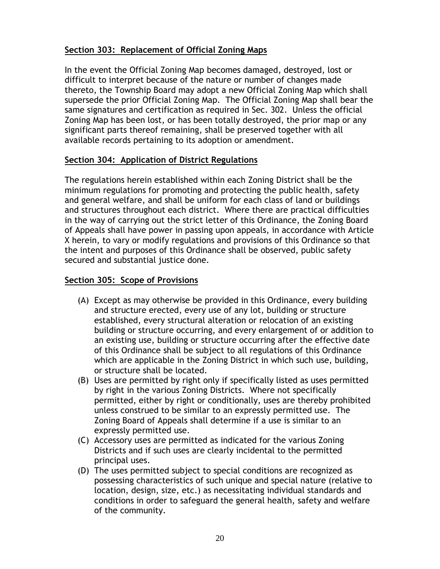# <span id="page-20-0"></span>**Section 303: Replacement of Official Zoning Maps**

In the event the Official Zoning Map becomes damaged, destroyed, lost or difficult to interpret because of the nature or number of changes made thereto, the Township Board may adopt a new Official Zoning Map which shall supersede the prior Official Zoning Map. The Official Zoning Map shall bear the same signatures and certification as required in Sec. 302. Unless the official Zoning Map has been lost, or has been totally destroyed, the prior map or any significant parts thereof remaining, shall be preserved together with all available records pertaining to its adoption or amendment.

#### <span id="page-20-1"></span>**Section 304: Application of District Regulations**

The regulations herein established within each Zoning District shall be the minimum regulations for promoting and protecting the public health, safety and general welfare, and shall be uniform for each class of land or buildings and structures throughout each district. Where there are practical difficulties in the way of carrying out the strict letter of this Ordinance, the Zoning Board of Appeals shall have power in passing upon appeals, in accordance with Article X herein, to vary or modify regulations and provisions of this Ordinance so that the intent and purposes of this Ordinance shall be observed, public safety secured and substantial justice done.

#### <span id="page-20-2"></span>**Section 305: Scope of Provisions**

- (A) Except as may otherwise be provided in this Ordinance, every building and structure erected, every use of any lot, building or structure established, every structural alteration or relocation of an existing building or structure occurring, and every enlargement of or addition to an existing use, building or structure occurring after the effective date of this Ordinance shall be subject to all regulations of this Ordinance which are applicable in the Zoning District in which such use, building, or structure shall be located.
- (B) Uses are permitted by right only if specifically listed as uses permitted by right in the various Zoning Districts. Where not specifically permitted, either by right or conditionally, uses are thereby prohibited unless construed to be similar to an expressly permitted use. The Zoning Board of Appeals shall determine if a use is similar to an expressly permitted use.
- (C) Accessory uses are permitted as indicated for the various Zoning Districts and if such uses are clearly incidental to the permitted principal uses.
- (D) The uses permitted subject to special conditions are recognized as possessing characteristics of such unique and special nature (relative to location, design, size, etc.) as necessitating individual standards and conditions in order to safeguard the general health, safety and welfare of the community.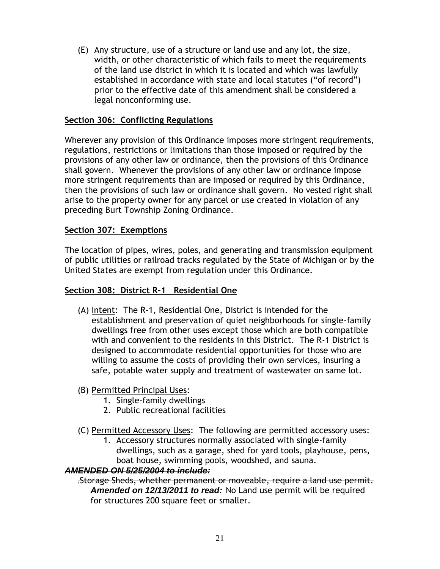(E) Any structure, use of a structure or land use and any lot, the size, width, or other characteristic of which fails to meet the requirements of the land use district in which it is located and which was lawfully established in accordance with state and local statutes ("of record") prior to the effective date of this amendment shall be considered a legal nonconforming use.

## <span id="page-21-0"></span>**Section 306: Conflicting Regulations**

Wherever any provision of this Ordinance imposes more stringent requirements, regulations, restrictions or limitations than those imposed or required by the provisions of any other law or ordinance, then the provisions of this Ordinance shall govern. Whenever the provisions of any other law or ordinance impose more stringent requirements than are imposed or required by this Ordinance, then the provisions of such law or ordinance shall govern. No vested right shall arise to the property owner for any parcel or use created in violation of any preceding Burt Township Zoning Ordinance.

#### <span id="page-21-1"></span>**Section 307: Exemptions**

The location of pipes, wires, poles, and generating and transmission equipment of public utilities or railroad tracks regulated by the State of Michigan or by the United States are exempt from regulation under this Ordinance.

#### <span id="page-21-2"></span>**Section 308: District R-1 Residential One**

(A) Intent: The R-1, Residential One, District is intended for the establishment and preservation of quiet neighborhoods for single-family dwellings free from other uses except those which are both compatible with and convenient to the residents in this District. The R-1 District is designed to accommodate residential opportunities for those who are willing to assume the costs of providing their own services, insuring a safe, potable water supply and treatment of wastewater on same lot.

## (B) Permitted Principal Uses:

- 1. Single-family dwellings
- 2. Public recreational facilities
- (C) Permitted Accessory Uses: The following are permitted accessory uses:
	- 1. Accessory structures normally associated with single-family dwellings, such as a garage, shed for yard tools, playhouse, pens, boat house, swimming pools, woodshed, and sauna.

#### *AMENDED ON 5/25/2004 to include:*

.Storage Sheds, whether permanent or moveable, require a land use permit. *Amended on 12/13/2011 to read:* No Land use permit will be required for structures 200 square feet or smaller.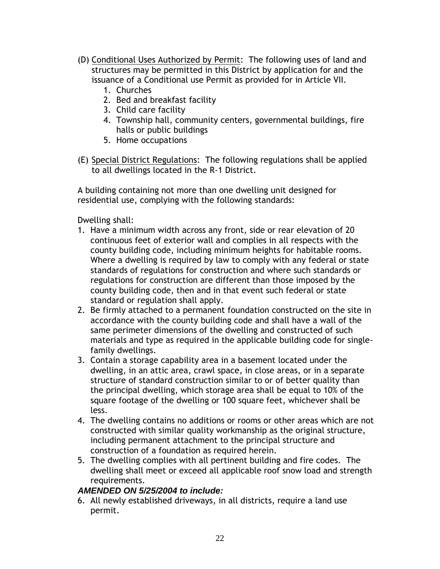- (D) Conditional Uses Authorized by Permit: The following uses of land and structures may be permitted in this District by application for and the issuance of a Conditional use Permit as provided for in Article VII.
	- 1. Churches
	- 2. Bed and breakfast facility
	- 3. Child care facility
	- 4. Township hall, community centers, governmental buildings, fire halls or public buildings
	- 5. Home occupations
- (E) Special District Regulations: The following regulations shall be applied to all dwellings located in the R-1 District.

A building containing not more than one dwelling unit designed for residential use, complying with the following standards:

Dwelling shall:

- 1. Have a minimum width across any front, side or rear elevation of 20 continuous feet of exterior wall and complies in all respects with the county building code, including minimum heights for habitable rooms. Where a dwelling is required by law to comply with any federal or state standards of regulations for construction and where such standards or regulations for construction are different than those imposed by the county building code, then and in that event such federal or state standard or regulation shall apply.
- 2. Be firmly attached to a permanent foundation constructed on the site in accordance with the county building code and shall have a wall of the same perimeter dimensions of the dwelling and constructed of such materials and type as required in the applicable building code for singlefamily dwellings.
- 3. Contain a storage capability area in a basement located under the dwelling, in an attic area, crawl space, in close areas, or in a separate structure of standard construction similar to or of better quality than the principal dwelling, which storage area shall be equal to 10% of the square footage of the dwelling or 100 square feet, whichever shall be less.
- 4. The dwelling contains no additions or rooms or other areas which are not constructed with similar quality workmanship as the original structure, including permanent attachment to the principal structure and construction of a foundation as required herein.
- 5. The dwelling complies with all pertinent building and fire codes. The dwelling shall meet or exceed all applicable roof snow load and strength requirements.

## *AMENDED ON 5/25/2004 to include:*

6. All newly established driveways, in all districts, require a land use permit.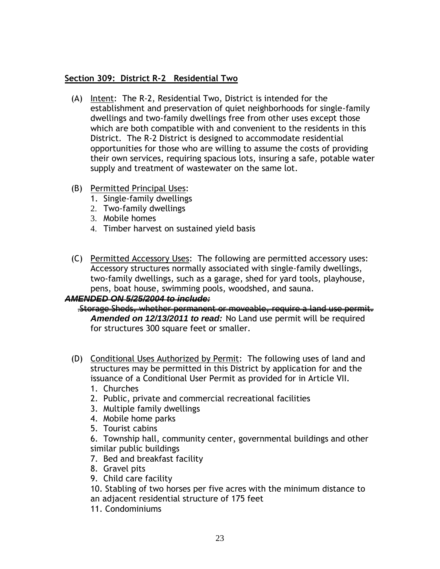## <span id="page-23-0"></span>**Section 309: District R-2 Residential Two**

- (A) Intent: The R-2, Residential Two, District is intended for the establishment and preservation of quiet neighborhoods for single-family dwellings and two-family dwellings free from other uses except those which are both compatible with and convenient to the residents in this District. The R-2 District is designed to accommodate residential opportunities for those who are willing to assume the costs of providing their own services, requiring spacious lots, insuring a safe, potable water supply and treatment of wastewater on the same lot.
- (B) Permitted Principal Uses:
	- 1. Single-family dwellings
	- 2. Two-family dwellings
	- 3. Mobile homes
	- 4. Timber harvest on sustained yield basis
- (C) Permitted Accessory Uses: The following are permitted accessory uses: Accessory structures normally associated with single-family dwellings, two-family dwellings, such as a garage, shed for yard tools, playhouse, pens, boat house, swimming pools, woodshed, and sauna.

#### *AMENDED ON 5/25/2004 to include:*

#### .Storage Sheds, whether permanent or moveable, require a land use permit. *Amended on 12/13/2011 to read:* No Land use permit will be required for structures 300 square feet or smaller.

- (D) Conditional Uses Authorized by Permit: The following uses of land and structures may be permitted in this District by application for and the issuance of a Conditional User Permit as provided for in Article VII.
	- 1. Churches
	- 2. Public, private and commercial recreational facilities
	- 3. Multiple family dwellings
	- 4. Mobile home parks
	- 5. Tourist cabins
	- 6. Township hall, community center, governmental buildings and other similar public buildings
	- 7. Bed and breakfast facility
	- 8. Gravel pits
	- 9. Child care facility
	- 10. Stabling of two horses per five acres with the minimum distance to an adjacent residential structure of 175 feet
	- 11. Condominiums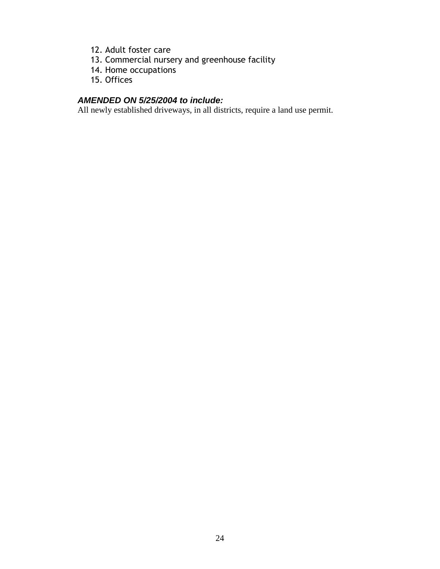- 12. Adult foster care
- 13. Commercial nursery and greenhouse facility
- 14. Home occupations
- 15. Offices

# *AMENDED ON 5/25/2004 to include:*

All newly established driveways, in all districts, require a land use permit.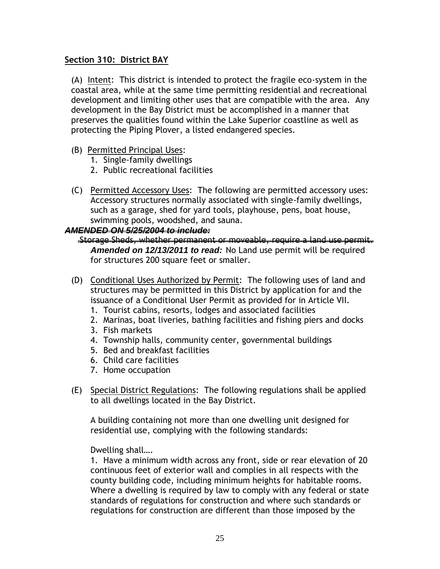## <span id="page-25-0"></span>**Section 310: District BAY**

(A) Intent: This district is intended to protect the fragile eco-system in the coastal area, while at the same time permitting residential and recreational development and limiting other uses that are compatible with the area. Any development in the Bay District must be accomplished in a manner that preserves the qualities found within the Lake Superior coastline as well as protecting the Piping Plover, a listed endangered species.

- (B) Permitted Principal Uses:
	- 1. Single-family dwellings
	- 2. Public recreational facilities
- (C) Permitted Accessory Uses: The following are permitted accessory uses: Accessory structures normally associated with single-family dwellings, such as a garage, shed for yard tools, playhouse, pens, boat house, swimming pools, woodshed, and sauna.

#### *AMENDED ON 5/25/2004 to include:*

- .Storage Sheds, whether permanent or moveable, require a land use permit. *Amended on 12/13/2011 to read:* No Land use permit will be required for structures 200 square feet or smaller.
- (D) Conditional Uses Authorized by Permit: The following uses of land and structures may be permitted in this District by application for and the issuance of a Conditional User Permit as provided for in Article VII.
	- 1. Tourist cabins, resorts, lodges and associated facilities
	- 2. Marinas, boat liveries, bathing facilities and fishing piers and docks
	- 3. Fish markets
	- 4. Township halls, community center, governmental buildings
	- 5. Bed and breakfast facilities
	- 6. Child care facilities
	- 7. Home occupation
- (E) Special District Regulations: The following regulations shall be applied to all dwellings located in the Bay District.

A building containing not more than one dwelling unit designed for residential use, complying with the following standards:

Dwelling shall….

1. Have a minimum width across any front, side or rear elevation of 20 continuous feet of exterior wall and complies in all respects with the county building code, including minimum heights for habitable rooms. Where a dwelling is required by law to comply with any federal or state standards of regulations for construction and where such standards or regulations for construction are different than those imposed by the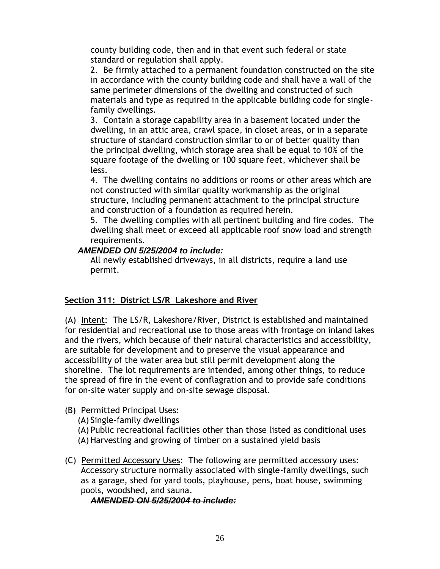county building code, then and in that event such federal or state standard or regulation shall apply.

2. Be firmly attached to a permanent foundation constructed on the site in accordance with the county building code and shall have a wall of the same perimeter dimensions of the dwelling and constructed of such materials and type as required in the applicable building code for singlefamily dwellings.

3. Contain a storage capability area in a basement located under the dwelling, in an attic area, crawl space, in closet areas, or in a separate structure of standard construction similar to or of better quality than the principal dwelling, which storage area shall be equal to 10% of the square footage of the dwelling or 100 square feet, whichever shall be less.

4. The dwelling contains no additions or rooms or other areas which are not constructed with similar quality workmanship as the original structure, including permanent attachment to the principal structure and construction of a foundation as required herein.

5. The dwelling complies with all pertinent building and fire codes. The dwelling shall meet or exceed all applicable roof snow load and strength requirements.

## *AMENDED ON 5/25/2004 to include:*

All newly established driveways, in all districts, require a land use permit.

# <span id="page-26-0"></span>**Section 311: District LS/R Lakeshore and River**

(A) Intent: The LS/R, Lakeshore/River, District is established and maintained for residential and recreational use to those areas with frontage on inland lakes and the rivers, which because of their natural characteristics and accessibility, are suitable for development and to preserve the visual appearance and accessibility of the water area but still permit development along the shoreline. The lot requirements are intended, among other things, to reduce the spread of fire in the event of conflagration and to provide safe conditions for on-site water supply and on-site sewage disposal.

(B) Permitted Principal Uses:

(A) Single-family dwellings

(A) Public recreational facilities other than those listed as conditional uses (A) Harvesting and growing of timber on a sustained yield basis

(C) Permitted Accessory Uses: The following are permitted accessory uses: Accessory structure normally associated with single-family dwellings, such as a garage, shed for yard tools, playhouse, pens, boat house, swimming pools, woodshed, and sauna.

# *AMENDED ON 5/25/2004 to include:*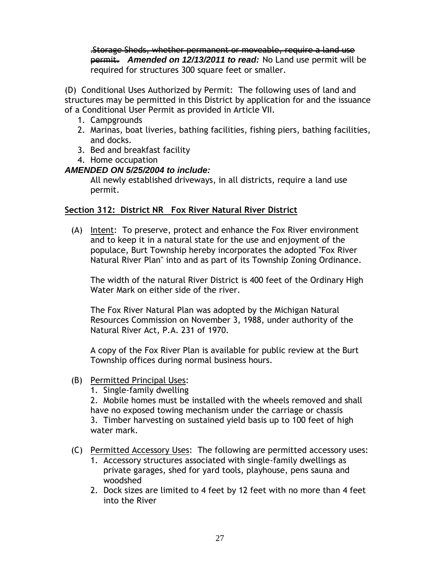.Storage Sheds, whether permanent or moveable, require a land use permit. *Amended on 12/13/2011 to read:* No Land use permit will be required for structures 300 square feet or smaller.

(D) Conditional Uses Authorized by Permit: The following uses of land and structures may be permitted in this District by application for and the issuance of a Conditional User Permit as provided in Article VII.

- 1. Campgrounds
- 2. Marinas, boat liveries, bathing facilities, fishing piers, bathing facilities, and docks.
- 3. Bed and breakfast facility
- 4. Home occupation

# *AMENDED ON 5/25/2004 to include:*

All newly established driveways, in all districts, require a land use permit.

# <span id="page-27-0"></span>**Section 312: District NR Fox River Natural River District**

(A) Intent: To preserve, protect and enhance the Fox River environment and to keep it in a natural state for the use and enjoyment of the populace, Burt Township hereby incorporates the adopted "Fox River Natural River Plan" into and as part of its Township Zoning Ordinance.

The width of the natural River District is 400 feet of the Ordinary High Water Mark on either side of the river.

The Fox River Natural Plan was adopted by the Michigan Natural Resources Commission on November 3, 1988, under authority of the Natural River Act, P.A. 231 of 1970.

A copy of the Fox River Plan is available for public review at the Burt Township offices during normal business hours.

- (B) Permitted Principal Uses:
	- 1. Single-family dwelling

2. Mobile homes must be installed with the wheels removed and shall have no exposed towing mechanism under the carriage or chassis

3. Timber harvesting on sustained yield basis up to 100 feet of high water mark.

- (C) Permitted Accessory Uses: The following are permitted accessory uses:
	- 1. Accessory structures associated with single-family dwellings as private garages, shed for yard tools, playhouse, pens sauna and woodshed
	- 2. Dock sizes are limited to 4 feet by 12 feet with no more than 4 feet into the River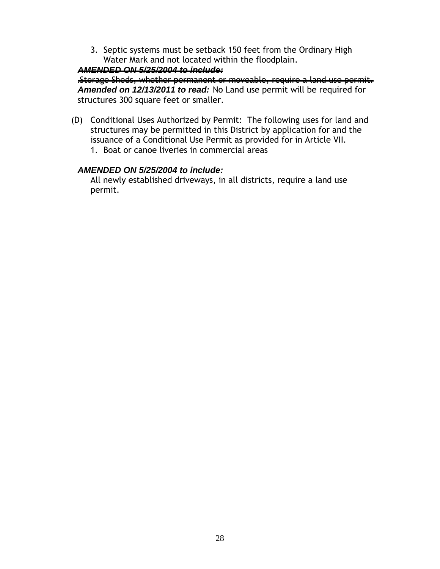3. Septic systems must be setback 150 feet from the Ordinary High Water Mark and not located within the floodplain.

#### *AMENDED ON 5/25/2004 to include:*

.Storage Sheds, whether permanent or moveable, require a land use permit. *Amended on 12/13/2011 to read:* No Land use permit will be required for structures 300 square feet or smaller.

(D) Conditional Uses Authorized by Permit: The following uses for land and structures may be permitted in this District by application for and the issuance of a Conditional Use Permit as provided for in Article VII. 1. Boat or canoe liveries in commercial areas

## *AMENDED ON 5/25/2004 to include:*

All newly established driveways, in all districts, require a land use permit.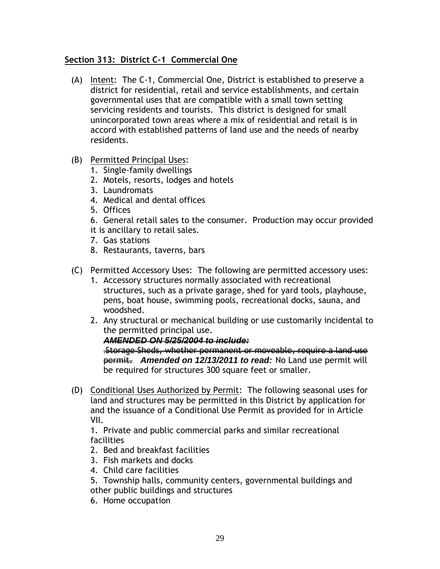## <span id="page-29-0"></span>**Section 313: District C-1 Commercial One**

- (A) Intent: The C-1, Commercial One, District is established to preserve a district for residential, retail and service establishments, and certain governmental uses that are compatible with a small town setting servicing residents and tourists. This district is designed for small unincorporated town areas where a mix of residential and retail is in accord with established patterns of land use and the needs of nearby residents.
- (B) Permitted Principal Uses:
	- 1. Single-family dwellings
	- 2. Motels, resorts, lodges and hotels
	- 3. Laundromats
	- 4. Medical and dental offices
	- 5. Offices
	- 6. General retail sales to the consumer. Production may occur provided
	- it is ancillary to retail sales.
	- 7. Gas stations
	- 8. Restaurants, taverns, bars
- (C) Permitted Accessory Uses: The following are permitted accessory uses:
	- 1. Accessory structures normally associated with recreational structures, such as a private garage, shed for yard tools, playhouse, pens, boat house, swimming pools, recreational docks, sauna, and woodshed.
	- 2. Any structural or mechanical building or use customarily incidental to the permitted principal use.

#### *AMENDED ON 5/25/2004 to include:*

.Storage Sheds, whether permanent or moveable, require a land use permit. *Amended on 12/13/2011 to read:* No Land use permit will be required for structures 300 square feet or smaller.

(D) Conditional Uses Authorized by Permit: The following seasonal uses for land and structures may be permitted in this District by application for and the issuance of a Conditional Use Permit as provided for in Article VII.

1. Private and public commercial parks and similar recreational facilities

- 2. Bed and breakfast facilities
- 3. Fish markets and docks
- 4. Child care facilities
- 5. Township halls, community centers, governmental buildings and other public buildings and structures
- 6. Home occupation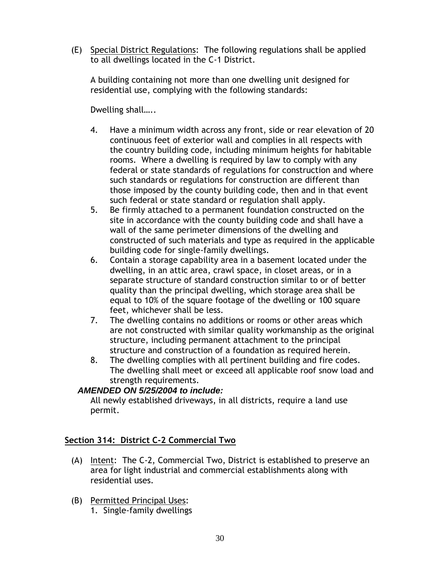(E) Special District Regulations: The following regulations shall be applied to all dwellings located in the C-1 District.

A building containing not more than one dwelling unit designed for residential use, complying with the following standards:

Dwelling shall.....

- 4. Have a minimum width across any front, side or rear elevation of 20 continuous feet of exterior wall and complies in all respects with the country building code, including minimum heights for habitable rooms. Where a dwelling is required by law to comply with any federal or state standards of regulations for construction and where such standards or regulations for construction are different than those imposed by the county building code, then and in that event such federal or state standard or regulation shall apply.
- 5. Be firmly attached to a permanent foundation constructed on the site in accordance with the county building code and shall have a wall of the same perimeter dimensions of the dwelling and constructed of such materials and type as required in the applicable building code for single-family dwellings.
- 6. Contain a storage capability area in a basement located under the dwelling, in an attic area, crawl space, in closet areas, or in a separate structure of standard construction similar to or of better quality than the principal dwelling, which storage area shall be equal to 10% of the square footage of the dwelling or 100 square feet, whichever shall be less.
- 7. The dwelling contains no additions or rooms or other areas which are not constructed with similar quality workmanship as the original structure, including permanent attachment to the principal structure and construction of a foundation as required herein.
- 8. The dwelling complies with all pertinent building and fire codes. The dwelling shall meet or exceed all applicable roof snow load and strength requirements.

# *AMENDED ON 5/25/2004 to include:*

All newly established driveways, in all districts, require a land use permit.

# <span id="page-30-0"></span>**Section 314: District C-2 Commercial Two**

- (A) Intent: The C-2, Commercial Two, District is established to preserve an area for light industrial and commercial establishments along with residential uses.
- (B) Permitted Principal Uses: 1. Single-family dwellings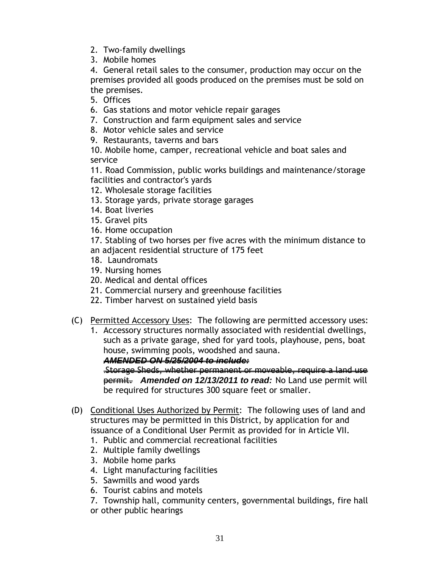- 2. Two-family dwellings
- 3. Mobile homes

4. General retail sales to the consumer, production may occur on the premises provided all goods produced on the premises must be sold on the premises.

5. Offices

- 6. Gas stations and motor vehicle repair garages
- 7. Construction and farm equipment sales and service
- 8. Motor vehicle sales and service
- 9. Restaurants, taverns and bars

10. Mobile home, camper, recreational vehicle and boat sales and service

11. Road Commission, public works buildings and maintenance/storage facilities and contractor's yards

- 12. Wholesale storage facilities
- 13. Storage yards, private storage garages
- 14. Boat liveries
- 15. Gravel pits
- 16. Home occupation

17. Stabling of two horses per five acres with the minimum distance to an adjacent residential structure of 175 feet

- 18. Laundromats
- 19. Nursing homes
- 20. Medical and dental offices
- 21. Commercial nursery and greenhouse facilities
- 22. Timber harvest on sustained yield basis
- (C) Permitted Accessory Uses: The following are permitted accessory uses:
	- 1. Accessory structures normally associated with residential dwellings, such as a private garage, shed for yard tools, playhouse, pens, boat house, swimming pools, woodshed and sauna.

*AMENDED ON 5/25/2004 to include:*

.Storage Sheds, whether permanent or moveable, require a land use permit. *Amended on 12/13/2011 to read:* No Land use permit will be required for structures 300 square feet or smaller.

- (D) Conditional Uses Authorized by Permit: The following uses of land and structures may be permitted in this District, by application for and issuance of a Conditional User Permit as provided for in Article VII.
	- 1. Public and commercial recreational facilities
	- 2. Multiple family dwellings
	- 3. Mobile home parks
	- 4. Light manufacturing facilities
	- 5. Sawmills and wood yards
	- 6. Tourist cabins and motels
	- 7. Township hall, community centers, governmental buildings, fire hall or other public hearings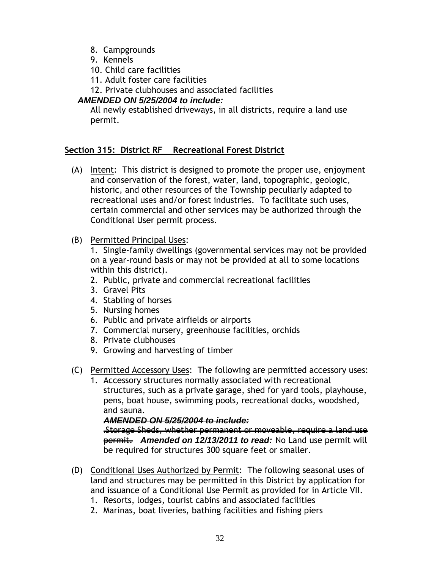- 8. Campgrounds
- 9. Kennels
- 10. Child care facilities
- 11. Adult foster care facilities
- 12. Private clubhouses and associated facilities

## *AMENDED ON 5/25/2004 to include:*

All newly established driveways, in all districts, require a land use permit.

## <span id="page-32-0"></span>**Section 315: District RF Recreational Forest District**

- (A) Intent: This district is designed to promote the proper use, enjoyment and conservation of the forest, water, land, topographic, geologic, historic, and other resources of the Township peculiarly adapted to recreational uses and/or forest industries. To facilitate such uses, certain commercial and other services may be authorized through the Conditional User permit process.
- (B) Permitted Principal Uses:

1. Single-family dwellings (governmental services may not be provided on a year-round basis or may not be provided at all to some locations within this district).

- 2. Public, private and commercial recreational facilities
- 3. Gravel Pits
- 4. Stabling of horses
- 5. Nursing homes
- 6. Public and private airfields or airports
- 7. Commercial nursery, greenhouse facilities, orchids
- 8. Private clubhouses
- 9. Growing and harvesting of timber
- (C) Permitted Accessory Uses: The following are permitted accessory uses:
	- 1. Accessory structures normally associated with recreational structures, such as a private garage, shed for yard tools, playhouse, pens, boat house, swimming pools, recreational docks, woodshed, and sauna.

#### *AMENDED ON 5/25/2004 to include:*

.Storage Sheds, whether permanent or moveable, require a land use permit. *Amended on 12/13/2011 to read:* No Land use permit will be required for structures 300 square feet or smaller.

- (D) Conditional Uses Authorized by Permit: The following seasonal uses of land and structures may be permitted in this District by application for and issuance of a Conditional Use Permit as provided for in Article VII.
	- 1. Resorts, lodges, tourist cabins and associated facilities
	- 2. Marinas, boat liveries, bathing facilities and fishing piers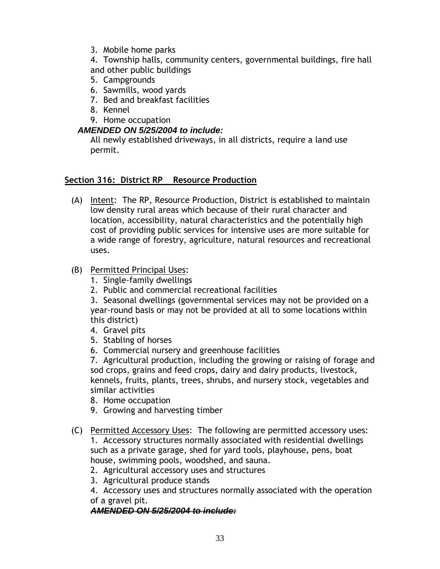- 3. Mobile home parks
- 4. Township halls, community centers, governmental buildings, fire hall and other public buildings
- 5. Campgrounds
- 6. Sawmills, wood yards
- 7. Bed and breakfast facilities
- 8. Kennel
- 9. Home occupation

## *AMENDED ON 5/25/2004 to include:*

All newly established driveways, in all districts, require a land use permit.

## <span id="page-33-0"></span>**Section 316: District RP Resource Production**

(A) Intent: The RP, Resource Production, District is established to maintain low density rural areas which because of their rural character and location, accessibility, natural characteristics and the potentially high cost of providing public services for intensive uses are more suitable for a wide range of forestry, agriculture, natural resources and recreational uses.

## (B) Permitted Principal Uses:

- 1. Single-family dwellings
- 2. Public and commercial recreational facilities

3. Seasonal dwellings (governmental services may not be provided on a year-round basis or may not be provided at all to some locations within this district)

- 4. Gravel pits
- 5. Stabling of horses
- 6. Commercial nursery and greenhouse facilities

7. Agricultural production, including the growing or raising of forage and sod crops, grains and feed crops, dairy and dairy products, livestock, kennels, fruits, plants, trees, shrubs, and nursery stock, vegetables and similar activities

- 8. Home occupation
- 9. Growing and harvesting timber
- (C) Permitted Accessory Uses: The following are permitted accessory uses: 1. Accessory structures normally associated with residential dwellings such as a private garage, shed for yard tools, playhouse, pens, boat house, swimming pools, woodshed, and sauna.
	- 2. Agricultural accessory uses and structures
	- 3. Agricultural produce stands

4. Accessory uses and structures normally associated with the operation of a gravel pit.

#### *AMENDED ON 5/25/2004 to include:*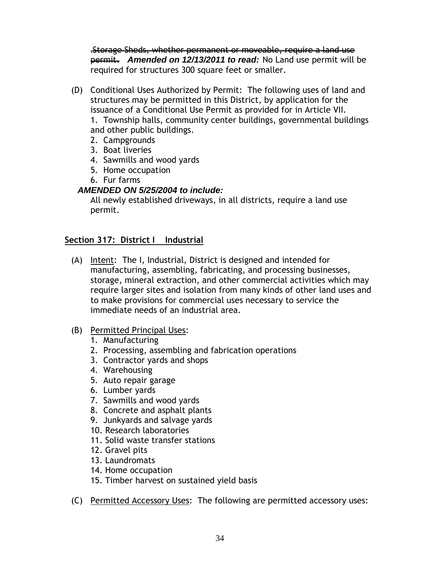.Storage Sheds, whether permanent or moveable, require a land use permit. *Amended on 12/13/2011 to read:* No Land use permit will be required for structures 300 square feet or smaller.

- (D) Conditional Uses Authorized by Permit: The following uses of land and structures may be permitted in this District, by application for the issuance of a Conditional Use Permit as provided for in Article VII. 1. Township halls, community center buildings, governmental buildings and other public buildings.
	- 2. Campgrounds
	- 3. Boat liveries
	- 4. Sawmills and wood yards
	- 5. Home occupation
	- 6. Fur farms

#### *AMENDED ON 5/25/2004 to include:*

All newly established driveways, in all districts, require a land use permit.

## <span id="page-34-0"></span>**Section 317: District I Industrial**

- (A) Intent: The I, Industrial, District is designed and intended for manufacturing, assembling, fabricating, and processing businesses, storage, mineral extraction, and other commercial activities which may require larger sites and isolation from many kinds of other land uses and to make provisions for commercial uses necessary to service the immediate needs of an industrial area.
- (B) Permitted Principal Uses:
	- 1. Manufacturing
	- 2. Processing, assembling and fabrication operations
	- 3. Contractor yards and shops
	- 4. Warehousing
	- 5. Auto repair garage
	- 6. Lumber yards
	- 7. Sawmills and wood yards
	- 8. Concrete and asphalt plants
	- 9. Junkyards and salvage yards
	- 10. Research laboratories
	- 11. Solid waste transfer stations
	- 12. Gravel pits
	- 13. Laundromats
	- 14. Home occupation
	- 15. Timber harvest on sustained yield basis
- (C) Permitted Accessory Uses: The following are permitted accessory uses: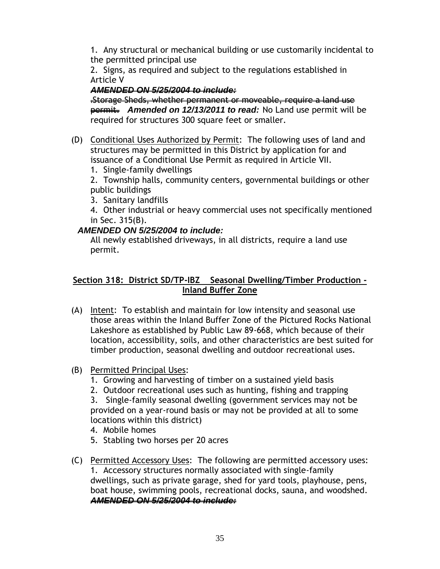1. Any structural or mechanical building or use customarily incidental to the permitted principal use

2. Signs, as required and subject to the regulations established in Article V

## *AMENDED ON 5/25/2004 to include:*

.Storage Sheds, whether permanent or moveable, require a land use permit. *Amended on 12/13/2011 to read:* No Land use permit will be required for structures 300 square feet or smaller.

- (D) Conditional Uses Authorized by Permit: The following uses of land and structures may be permitted in this District by application for and issuance of a Conditional Use Permit as required in Article VII.
	- 1. Single-family dwellings

2. Township halls, community centers, governmental buildings or other public buildings

- 3. Sanitary landfills
- 4. Other industrial or heavy commercial uses not specifically mentioned in Sec. 315(B).

# *AMENDED ON 5/25/2004 to include:*

All newly established driveways, in all districts, require a land use permit.

## <span id="page-35-0"></span>**Section 318: District SD/TP-IBZ Seasonal Dwelling/Timber Production - Inland Buffer Zone**

- (A) Intent: To establish and maintain for low intensity and seasonal use those areas within the Inland Buffer Zone of the Pictured Rocks National Lakeshore as established by Public Law 89-668, which because of their location, accessibility, soils, and other characteristics are best suited for timber production, seasonal dwelling and outdoor recreational uses.
- (B) Permitted Principal Uses:
	- 1. Growing and harvesting of timber on a sustained yield basis
	- 2. Outdoor recreational uses such as hunting, fishing and trapping

3. Single-family seasonal dwelling (government services may not be provided on a year-round basis or may not be provided at all to some locations within this district)

- 4. Mobile homes
- 5. Stabling two horses per 20 acres
- (C) Permitted Accessory Uses: The following are permitted accessory uses: 1. Accessory structures normally associated with single-family dwellings, such as private garage, shed for yard tools, playhouse, pens, boat house, swimming pools, recreational docks, sauna, and woodshed. *AMENDED ON 5/25/2004 to include:*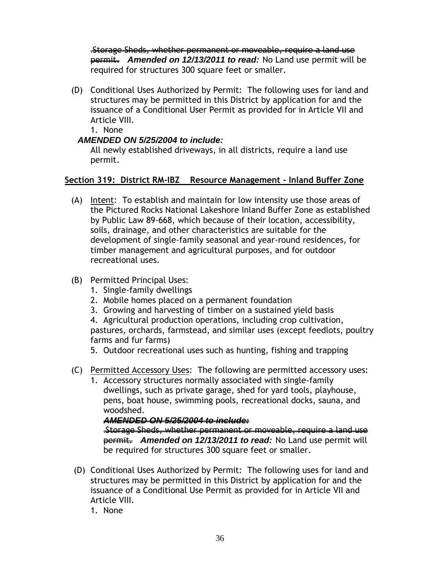.Storage Sheds, whether permanent or moveable, require a land use permit. *Amended on 12/13/2011 to read:* No Land use permit will be required for structures 300 square feet or smaller.

- (D) Conditional Uses Authorized by Permit: The following uses for land and structures may be permitted in this District by application for and the issuance of a Conditional User Permit as provided for in Article VII and Article VIII.
	- 1. None

### *AMENDED ON 5/25/2004 to include:*

All newly established driveways, in all districts, require a land use permit.

### **Section 319: District RM-IBZ Resource Management - Inland Buffer Zone**

(A) Intent: To establish and maintain for low intensity use those areas of the Pictured Rocks National Lakeshore Inland Buffer Zone as established by Public Law 89-668, which because of their location, accessibility, soils, drainage, and other characteristics are suitable for the development of single-family seasonal and year-round residences, for timber management and agricultural purposes, and for outdoor recreational uses.

### (B) Permitted Principal Uses:

- 1. Single-family dwellings
- 2. Mobile homes placed on a permanent foundation
- 3. Growing and harvesting of timber on a sustained yield basis

4. Agricultural production operations, including crop cultivation, pastures, orchards, farmstead, and similar uses (except feedlots, poultry farms and fur farms)

5. Outdoor recreational uses such as hunting, fishing and trapping

- (C) Permitted Accessory Uses: The following are permitted accessory uses:
	- 1. Accessory structures normally associated with single-family dwellings, such as private garage, shed for yard tools, playhouse, pens, boat house, swimming pools, recreational docks, sauna, and woodshed.

#### *AMENDED ON 5/25/2004 to include:*

.Storage Sheds, whether permanent or moveable, require a land use permit. *Amended on 12/13/2011 to read:* No Land use permit will be required for structures 300 square feet or smaller.

- (D) Conditional Uses Authorized by Permit: The following uses for land and structures may be permitted in this District by application for and the issuance of a Conditional Use Permit as provided for in Article VII and Article VIII.
	- 1. None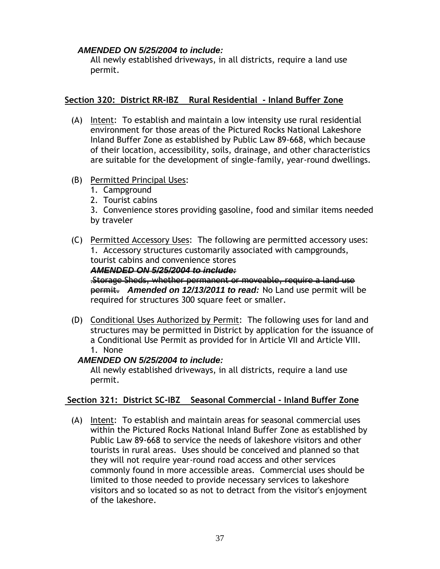### *AMENDED ON 5/25/2004 to include:*

All newly established driveways, in all districts, require a land use permit.

### **Section 320: District RR-IBZ Rural Residential - Inland Buffer Zone**

- (A) Intent: To establish and maintain a low intensity use rural residential environment for those areas of the Pictured Rocks National Lakeshore Inland Buffer Zone as established by Public Law 89-668, which because of their location, accessibility, soils, drainage, and other characteristics are suitable for the development of single-family, year-round dwellings.
- (B) Permitted Principal Uses:
	- 1. Campground
	- 2. Tourist cabins

3. Convenience stores providing gasoline, food and similar items needed by traveler

(C) Permitted Accessory Uses: The following are permitted accessory uses: 1. Accessory structures customarily associated with campgrounds, tourist cabins and convenience stores

*AMENDED ON 5/25/2004 to include:*

.Storage Sheds, whether permanent or moveable, require a land use permit. *Amended on 12/13/2011 to read:* No Land use permit will be required for structures 300 square feet or smaller.

(D) Conditional Uses Authorized by Permit: The following uses for land and structures may be permitted in District by application for the issuance of a Conditional Use Permit as provided for in Article VII and Article VIII. 1. None

### *AMENDED ON 5/25/2004 to include:*

All newly established driveways, in all districts, require a land use permit.

### **Section 321: District SC-IBZ Seasonal Commercial - Inland Buffer Zone**

(A) Intent: To establish and maintain areas for seasonal commercial uses within the Pictured Rocks National Inland Buffer Zone as established by Public Law 89-668 to service the needs of lakeshore visitors and other tourists in rural areas. Uses should be conceived and planned so that they will not require year-round road access and other services commonly found in more accessible areas. Commercial uses should be limited to those needed to provide necessary services to lakeshore visitors and so located so as not to detract from the visitor's enjoyment of the lakeshore.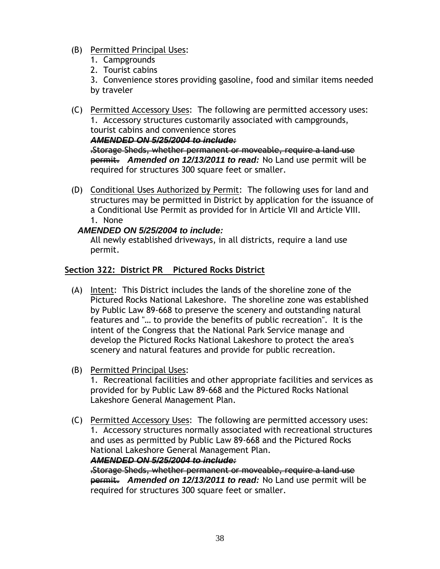- (B) Permitted Principal Uses:
	- 1. Campgrounds
	- 2. Tourist cabins

3. Convenience stores providing gasoline, food and similar items needed by traveler

(C) Permitted Accessory Uses: The following are permitted accessory uses: 1. Accessory structures customarily associated with campgrounds, tourist cabins and convenience stores

*AMENDED ON 5/25/2004 to include:*

.Storage Sheds, whether permanent or moveable, require a land use permit. *Amended on 12/13/2011 to read:* No Land use permit will be required for structures 300 square feet or smaller.

(D) Conditional Uses Authorized by Permit: The following uses for land and structures may be permitted in District by application for the issuance of a Conditional Use Permit as provided for in Article VII and Article VIII. 1. None

### *AMENDED ON 5/25/2004 to include:*

All newly established driveways, in all districts, require a land use permit.

### **Section 322: District PR Pictured Rocks District**

- (A) Intent: This District includes the lands of the shoreline zone of the Pictured Rocks National Lakeshore. The shoreline zone was established by Public Law 89-668 to preserve the scenery and outstanding natural features and "… to provide the benefits of public recreation". It is the intent of the Congress that the National Park Service manage and develop the Pictured Rocks National Lakeshore to protect the area's scenery and natural features and provide for public recreation.
- (B) Permitted Principal Uses:

1. Recreational facilities and other appropriate facilities and services as provided for by Public Law 89-668 and the Pictured Rocks National Lakeshore General Management Plan.

(C) Permitted Accessory Uses: The following are permitted accessory uses: 1. Accessory structures normally associated with recreational structures and uses as permitted by Public Law 89-668 and the Pictured Rocks National Lakeshore General Management Plan.

*AMENDED ON 5/25/2004 to include:*

.Storage Sheds, whether permanent or moveable, require a land use permit. *Amended on 12/13/2011 to read:* No Land use permit will be required for structures 300 square feet or smaller.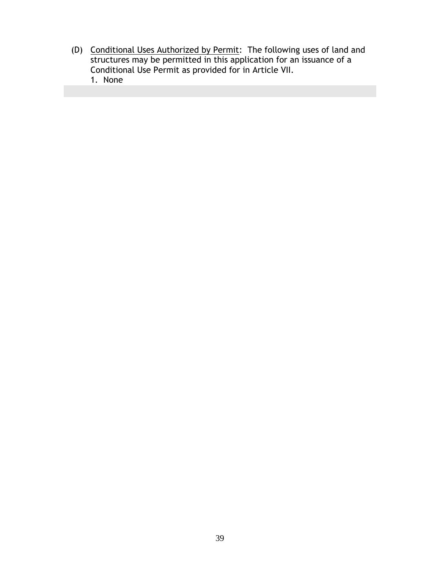(D) Conditional Uses Authorized by Permit: The following uses of land and structures may be permitted in this application for an issuance of a Conditional Use Permit as provided for in Article VII. 1. None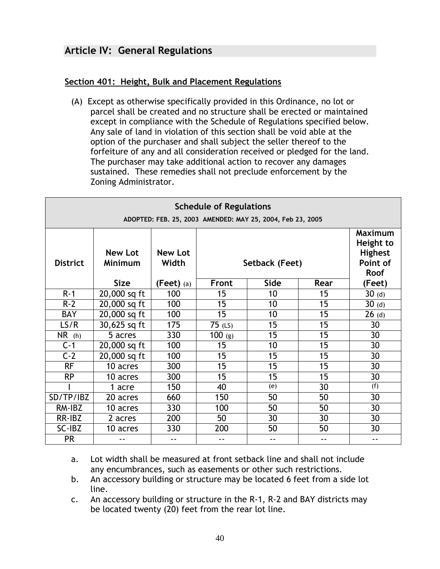# **Article IV: General Regulations**

### **Section 401: Height, Bulk and Placement Regulations**

(A) Except as otherwise specifically provided in this Ordinance, no lot or parcel shall be created and no structure shall be erected or maintained except in compliance with the Schedule of Regulations specified below. Any sale of land in violation of this section shall be void able at the option of the purchaser and shall subject the seller thereof to the forfeiture of any and all consideration received or pledged for the land. The purchaser may take additional action to recover any damages sustained. These remedies shall not preclude enforcement by the Zoning Administrator.

| <b>Schedule of Regulations</b><br>ADOPTED: FEB. 25, 2003 AMENDED: MAY 25, 2004, Feb 23, 2005 |                                  |                         |           |                |      |                                                           |
|----------------------------------------------------------------------------------------------|----------------------------------|-------------------------|-----------|----------------|------|-----------------------------------------------------------|
| <b>District</b>                                                                              | <b>New Lot</b><br><b>Minimum</b> | <b>New Lot</b><br>Width |           | Setback (Feet) |      | <b>Maximum</b><br>Height to<br><b>Highest</b><br>Point of |
|                                                                                              | <b>Size</b>                      | $(Feet)$ (a)            | Front     | Side           | Rear | <b>Roof</b><br>(Feet)                                     |
| $R-1$                                                                                        | 20,000 sq ft                     | 100                     | 15        | 10             | 15   | $30$ (d)                                                  |
| $R-2$                                                                                        | 20,000 sq ft                     | 100                     | 15        | 10             | 15   | $30$ (d)                                                  |
| <b>BAY</b>                                                                                   | $\sqrt{20,000}$ sq ft            | 100                     | 15        | 10             | 15   | $26$ (d)                                                  |
| LS/R                                                                                         | 30,625 sq ft                     | 175                     | $75$ (LS) | 15             | 15   | 30                                                        |
| NR(h)                                                                                        | 5 acres                          | 330                     | $100$ (g) | 15             | 15   | 30                                                        |
| $C-1$                                                                                        | 20,000 sq ft                     | 100                     | 15        | 10             | 15   | 30                                                        |
| $C-2$                                                                                        | 20,000 sq ft                     | 100                     | 15        | 15             | 15   | 30                                                        |
| <b>RF</b>                                                                                    | 10 acres                         | 300                     | 15        | 15             | 15   | 30                                                        |
| <b>RP</b>                                                                                    | 10 acres                         | 300                     | 15        | 15             | 15   | 30                                                        |
|                                                                                              | 1 acre                           | 150                     | 40        | (e)            | 30   | (f)                                                       |
| SD/TP/IBZ                                                                                    | 20 acres                         | 660                     | 150       | 50             | 50   | 30                                                        |
| RM-IBZ                                                                                       | 10 acres                         | 330                     | 100       | 50             | 50   | 30                                                        |
| RR-IBZ                                                                                       | 2 acres                          | 200                     | 50        | 30             | 30   | 30                                                        |
| SC-IBZ                                                                                       | 10 acres                         | 330                     | 200       | 50             | 50   | 30                                                        |
| <b>PR</b>                                                                                    | $ -$                             | $ -$                    | $ -$      | $ -$           | $ -$ | ۰.                                                        |

- a. Lot width shall be measured at front setback line and shall not include any encumbrances, such as easements or other such restrictions.
- b. An accessory building or structure may be located 6 feet from a side lot line.
- c. An accessory building or structure in the R-1, R-2 and BAY districts may be located twenty (20) feet from the rear lot line.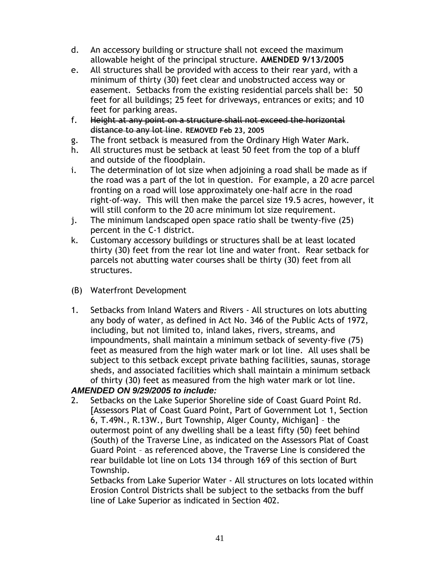- d. An accessory building or structure shall not exceed the maximum allowable height of the principal structure. **AMENDED 9/13/2005**
- e. All structures shall be provided with access to their rear yard, with a minimum of thirty (30) feet clear and unobstructed access way or easement. Setbacks from the existing residential parcels shall be: 50 feet for all buildings; 25 feet for driveways, entrances or exits; and 10 feet for parking areas.
- f. Height at any point on a structure shall not exceed the horizontal distance to any lot line. **REMOVED Feb 23, 2005**
- g. The front setback is measured from the Ordinary High Water Mark.
- h. All structures must be setback at least 50 feet from the top of a bluff and outside of the floodplain.
- i. The determination of lot size when adjoining a road shall be made as if the road was a part of the lot in question. For example, a 20 acre parcel fronting on a road will lose approximately one-half acre in the road right-of-way. This will then make the parcel size 19.5 acres, however, it will still conform to the 20 acre minimum lot size requirement.
- j. The minimum landscaped open space ratio shall be twenty-five (25) percent in the C-1 district.
- k. Customary accessory buildings or structures shall be at least located thirty (30) feet from the rear lot line and water front. Rear setback for parcels not abutting water courses shall be thirty (30) feet from all structures.
- (B) Waterfront Development
- 1. Setbacks from Inland Waters and Rivers All structures on lots abutting any body of water, as defined in Act No. 346 of the Public Acts of 1972, including, but not limited to, inland lakes, rivers, streams, and impoundments, shall maintain a minimum setback of seventy-five (75) feet as measured from the high water mark or lot line. All uses shall be subject to this setback except private bathing facilities, saunas, storage sheds, and associated facilities which shall maintain a minimum setback of thirty (30) feet as measured from the high water mark or lot line.

## *AMENDED ON 9/29/2005 to include:*

2. Setbacks on the Lake Superior Shoreline side of Coast Guard Point Rd. [Assessors Plat of Coast Guard Point, Part of Government Lot 1, Section 6, T.49N., R.13W., Burt Township, Alger County, Michigan] – the outermost point of any dwelling shall be a least fifty (50) feet behind (South) of the Traverse Line, as indicated on the Assessors Plat of Coast Guard Point – as referenced above, the Traverse Line is considered the rear buildable lot line on Lots 134 through 169 of this section of Burt Township.

Setbacks from Lake Superior Water - All structures on lots located within Erosion Control Districts shall be subject to the setbacks from the buff line of Lake Superior as indicated in Section 402.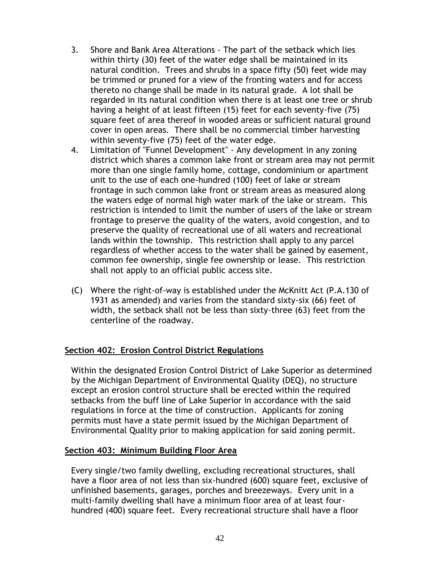- 3. Shore and Bank Area Alterations The part of the setback which lies within thirty (30) feet of the water edge shall be maintained in its natural condition. Trees and shrubs in a space fifty (50) feet wide may be trimmed or pruned for a view of the fronting waters and for access thereto no change shall be made in its natural grade. A lot shall be regarded in its natural condition when there is at least one tree or shrub having a height of at least fifteen (15) feet for each seventy-five (75) square feet of area thereof in wooded areas or sufficient natural ground cover in open areas. There shall be no commercial timber harvesting within seventy-five (75) feet of the water edge.
- 4. Limitation of "Funnel Development" Any development in any zoning district which shares a common lake front or stream area may not permit more than one single family home, cottage, condominium or apartment unit to the use of each one-hundred (100) feet of lake or stream frontage in such common lake front or stream areas as measured along the waters edge of normal high water mark of the lake or stream. This restriction is intended to limit the number of users of the lake or stream frontage to preserve the quality of the waters, avoid congestion, and to preserve the quality of recreational use of all waters and recreational lands within the township. This restriction shall apply to any parcel regardless of whether access to the water shall be gained by easement, common fee ownership, single fee ownership or lease. This restriction shall not apply to an official public access site.
- (C) Where the right-of-way is established under the McKnitt Act (P.A.130 of 1931 as amended) and varies from the standard sixty-six (66) feet of width, the setback shall not be less than sixty-three (63) feet from the centerline of the roadway.

#### **Section 402: Erosion Control District Regulations**

Within the designated Erosion Control District of Lake Superior as determined by the Michigan Department of Environmental Quality (DEQ), no structure except an erosion control structure shall be erected within the required setbacks from the buff line of Lake Superior in accordance with the said regulations in force at the time of construction. Applicants for zoning permits must have a state permit issued by the Michigan Department of Environmental Quality prior to making application for said zoning permit.

#### **Section 403: Minimum Building Floor Area**

Every single/two family dwelling, excluding recreational structures, shall have a floor area of not less than six-hundred (600) square feet, exclusive of unfinished basements, garages, porches and breezeways. Every unit in a multi-family dwelling shall have a minimum floor area of at least fourhundred (400) square feet. Every recreational structure shall have a floor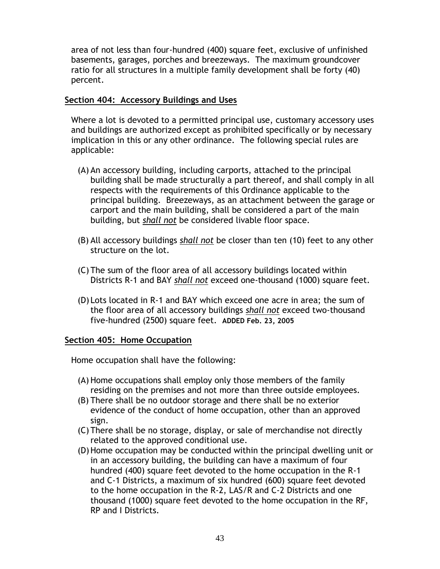area of not less than four-hundred (400) square feet, exclusive of unfinished basements, garages, porches and breezeways. The maximum groundcover ratio for all structures in a multiple family development shall be forty (40) percent.

#### **Section 404: Accessory Buildings and Uses**

Where a lot is devoted to a permitted principal use, customary accessory uses and buildings are authorized except as prohibited specifically or by necessary implication in this or any other ordinance. The following special rules are applicable:

- (A) An accessory building, including carports, attached to the principal building shall be made structurally a part thereof, and shall comply in all respects with the requirements of this Ordinance applicable to the principal building. Breezeways, as an attachment between the garage or carport and the main building, shall be considered a part of the main building, but *shall not* be considered livable floor space.
- (B) All accessory buildings *shall not* be closer than ten (10) feet to any other structure on the lot.
- (C) The sum of the floor area of all accessory buildings located within Districts R-1 and BAY *shall not* exceed one-thousand (1000) square feet.
- (D) Lots located in R-1 and BAY which exceed one acre in area; the sum of the floor area of all accessory buildings *shall not* exceed two-thousand five-hundred (2500) square feet. **ADDED Feb. 23, 2005**

#### **Section 405: Home Occupation**

Home occupation shall have the following:

- (A) Home occupations shall employ only those members of the family residing on the premises and not more than three outside employees.
- (B) There shall be no outdoor storage and there shall be no exterior evidence of the conduct of home occupation, other than an approved sign.
- (C) There shall be no storage, display, or sale of merchandise not directly related to the approved conditional use.
- (D)Home occupation may be conducted within the principal dwelling unit or in an accessory building, the building can have a maximum of four hundred (400) square feet devoted to the home occupation in the R-1 and C-1 Districts, a maximum of six hundred (600) square feet devoted to the home occupation in the R-2, LAS/R and C-2 Districts and one thousand (1000) square feet devoted to the home occupation in the RF, RP and I Districts.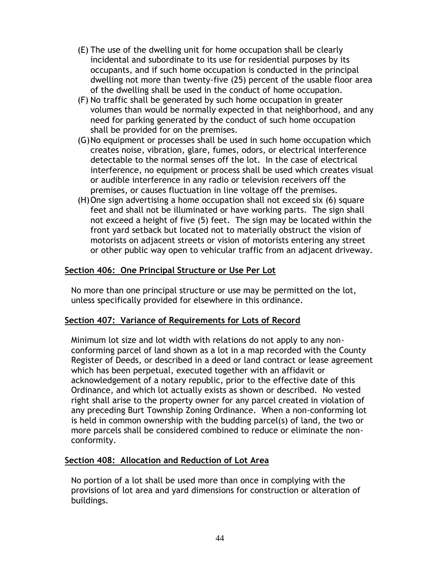- (E) The use of the dwelling unit for home occupation shall be clearly incidental and subordinate to its use for residential purposes by its occupants, and if such home occupation is conducted in the principal dwelling not more than twenty-five (25) percent of the usable floor area of the dwelling shall be used in the conduct of home occupation.
- (F) No traffic shall be generated by such home occupation in greater volumes than would be normally expected in that neighborhood, and any need for parking generated by the conduct of such home occupation shall be provided for on the premises.
- (G)No equipment or processes shall be used in such home occupation which creates noise, vibration, glare, fumes, odors, or electrical interference detectable to the normal senses off the lot. In the case of electrical interference, no equipment or process shall be used which creates visual or audible interference in any radio or television receivers off the premises, or causes fluctuation in line voltage off the premises.
- (H)One sign advertising a home occupation shall not exceed six (6) square feet and shall not be illuminated or have working parts. The sign shall not exceed a height of five (5) feet. The sign may be located within the front yard setback but located not to materially obstruct the vision of motorists on adjacent streets or vision of motorists entering any street or other public way open to vehicular traffic from an adjacent driveway.

### **Section 406: One Principal Structure or Use Per Lot**

No more than one principal structure or use may be permitted on the lot, unless specifically provided for elsewhere in this ordinance.

#### **Section 407: Variance of Requirements for Lots of Record**

Minimum lot size and lot width with relations do not apply to any nonconforming parcel of land shown as a lot in a map recorded with the County Register of Deeds, or described in a deed or land contract or lease agreement which has been perpetual, executed together with an affidavit or acknowledgement of a notary republic, prior to the effective date of this Ordinance, and which lot actually exists as shown or described. No vested right shall arise to the property owner for any parcel created in violation of any preceding Burt Township Zoning Ordinance. When a non-conforming lot is held in common ownership with the budding parcel(s) of land, the two or more parcels shall be considered combined to reduce or eliminate the nonconformity.

#### **Section 408: Allocation and Reduction of Lot Area**

No portion of a lot shall be used more than once in complying with the provisions of lot area and yard dimensions for construction or alteration of buildings.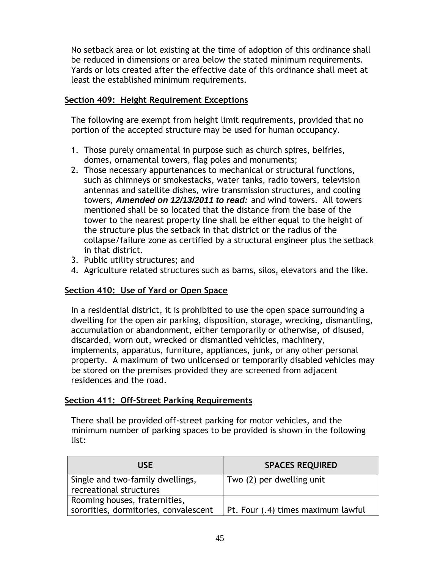No setback area or lot existing at the time of adoption of this ordinance shall be reduced in dimensions or area below the stated minimum requirements. Yards or lots created after the effective date of this ordinance shall meet at least the established minimum requirements.

#### **Section 409: Height Requirement Exceptions**

The following are exempt from height limit requirements, provided that no portion of the accepted structure may be used for human occupancy.

- 1. Those purely ornamental in purpose such as church spires, belfries, domes, ornamental towers, flag poles and monuments;
- 2. Those necessary appurtenances to mechanical or structural functions, such as chimneys or smokestacks, water tanks, radio towers, television antennas and satellite dishes, wire transmission structures, and cooling towers, *Amended on 12/13/2011 to read:* and wind towers. All towers mentioned shall be so located that the distance from the base of the tower to the nearest property line shall be either equal to the height of the structure plus the setback in that district or the radius of the collapse/failure zone as certified by a structural engineer plus the setback in that district.
- 3. Public utility structures; and
- 4. Agriculture related structures such as barns, silos, elevators and the like.

### **Section 410: Use of Yard or Open Space**

In a residential district, it is prohibited to use the open space surrounding a dwelling for the open air parking, disposition, storage, wrecking, dismantling, accumulation or abandonment, either temporarily or otherwise, of disused, discarded, worn out, wrecked or dismantled vehicles, machinery, implements, apparatus, furniture, appliances, junk, or any other personal property. A maximum of two unlicensed or temporarily disabled vehicles may be stored on the premises provided they are screened from adjacent residences and the road.

#### **Section 411: Off-Street Parking Requirements**

There shall be provided off-street parking for motor vehicles, and the minimum number of parking spaces to be provided is shown in the following list:

| USE                                                                    | <b>SPACES REQUIRED</b>             |
|------------------------------------------------------------------------|------------------------------------|
| Single and two-family dwellings,<br>recreational structures            | Two (2) per dwelling unit          |
| Rooming houses, fraternities,<br>sororities, dormitories, convalescent | Pt. Four (.4) times maximum lawful |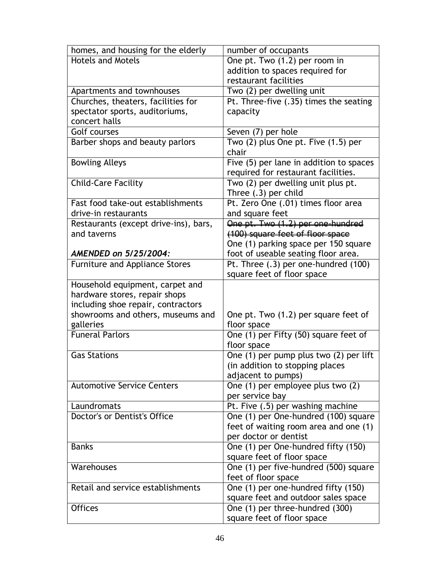| homes, and housing for the elderly    | number of occupants                     |
|---------------------------------------|-----------------------------------------|
| <b>Hotels and Motels</b>              | One pt. Two (1.2) per room in           |
|                                       | addition to spaces required for         |
|                                       | restaurant facilities                   |
| Apartments and townhouses             | Two (2) per dwelling unit               |
| Churches, theaters, facilities for    | Pt. Three-five (.35) times the seating  |
| spectator sports, auditoriums,        | capacity                                |
| concert halls                         |                                         |
| Golf courses                          | Seven (7) per hole                      |
| Barber shops and beauty parlors       | Two (2) plus One pt. Five (1.5) per     |
|                                       | chair                                   |
| <b>Bowling Alleys</b>                 | Five (5) per lane in addition to spaces |
|                                       | required for restaurant facilities.     |
| <b>Child-Care Facility</b>            | Two (2) per dwelling unit plus pt.      |
|                                       | Three (.3) per child                    |
| Fast food take-out establishments     | Pt. Zero One (.01) times floor area     |
| drive-in restaurants                  | and square feet                         |
| Restaurants (except drive-ins), bars, | One pt. Two (1.2) per one-hundred       |
| and taverns                           | (100) square feet of floor space        |
|                                       | One (1) parking space per 150 square    |
| AMENDED on 5/25/2004:                 | foot of useable seating floor area.     |
| <b>Furniture and Appliance Stores</b> | Pt. Three (.3) per one-hundred (100)    |
|                                       | square feet of floor space              |
| Household equipment, carpet and       |                                         |
| hardware stores, repair shops         |                                         |
| including shoe repair, contractors    |                                         |
| showrooms and others, museums and     | One pt. Two (1.2) per square feet of    |
| galleries                             | floor space                             |
| <b>Funeral Parlors</b>                | One (1) per Fifty (50) square feet of   |
|                                       | floor space                             |
| <b>Gas Stations</b>                   | One (1) per pump plus two (2) per lift  |
|                                       | (in addition to stopping places         |
|                                       | adjacent to pumps)                      |
| <b>Automotive Service Centers</b>     | One (1) per employee plus two (2)       |
|                                       | per service bay                         |
| Laundromats                           | Pt. Five (.5) per washing machine       |
| Doctor's or Dentist's Office          | One (1) per One-hundred (100) square    |
|                                       | feet of waiting room area and one (1)   |
|                                       | per doctor or dentist                   |
| <b>Banks</b>                          | One (1) per One-hundred fifty (150)     |
|                                       | square feet of floor space              |
| Warehouses                            | One (1) per five-hundred (500) square   |
|                                       | feet of floor space                     |
| Retail and service establishments     | One (1) per one-hundred fifty (150)     |
|                                       | square feet and outdoor sales space     |
| <b>Offices</b>                        | One (1) per three-hundred (300)         |
|                                       | square feet of floor space              |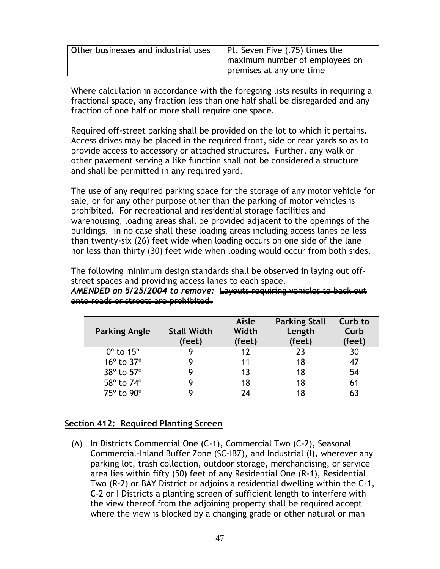| Other businesses and industrial uses | Pt. Seven Five (.75) times the |
|--------------------------------------|--------------------------------|
|                                      | maximum number of employees on |
|                                      | premises at any one time       |

Where calculation in accordance with the foregoing lists results in requiring a fractional space, any fraction less than one half shall be disregarded and any fraction of one half or more shall require one space.

Required off-street parking shall be provided on the lot to which it pertains. Access drives may be placed in the required front, side or rear yards so as to provide access to accessory or attached structures. Further, any walk or other pavement serving a like function shall not be considered a structure and shall be permitted in any required yard.

The use of any required parking space for the storage of any motor vehicle for sale, or for any other purpose other than the parking of motor vehicles is prohibited. For recreational and residential storage facilities and warehousing, loading areas shall be provided adjacent to the openings of the buildings. In no case shall these loading areas including access lanes be less than twenty-six (26) feet wide when loading occurs on one side of the lane nor less than thirty (30) feet wide when loading would occur from both sides.

The following minimum design standards shall be observed in laying out offstreet spaces and providing access lanes to each space.

*AMENDED on 5/25/2004 to remove:* Layouts requiring vehicles to back out onto roads or streets are prohibited.

| <b>Parking Angle</b>    | <b>Stall Width</b><br>(feet) | Aisle<br>Width<br>(feet) | <b>Parking Stall</b><br>Length<br>(feet) | Curb to<br>Curb<br>(feet) |
|-------------------------|------------------------------|--------------------------|------------------------------------------|---------------------------|
| $0^\circ$ to $15^\circ$ |                              |                          | 23                                       | 30                        |
| 16° to 37°              |                              |                          | 18                                       | 47                        |
| 38° to 57°              |                              | 13                       | 18                                       | 54                        |
| 58° to 74°              |                              | 18                       | 18                                       | 61                        |
| 75° to 90°              |                              | 74                       |                                          |                           |

### **Section 412: Required Planting Screen**

(A) In Districts Commercial One (C-1), Commercial Two (C-2), Seasonal Commercial-Inland Buffer Zone (SC-IBZ), and Industrial (I), wherever any parking lot, trash collection, outdoor storage, merchandising, or service area lies within fifty (50) feet of any Residential One (R-1), Residential Two (R-2) or BAY District or adjoins a residential dwelling within the C-1, C-2 or I Districts a planting screen of sufficient length to interfere with the view thereof from the adjoining property shall be required accept where the view is blocked by a changing grade or other natural or man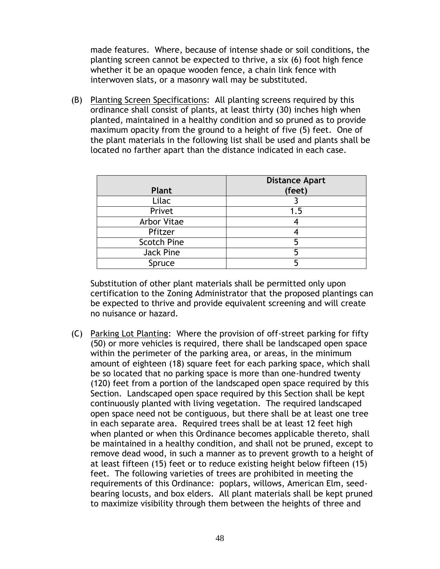made features. Where, because of intense shade or soil conditions, the planting screen cannot be expected to thrive, a six (6) foot high fence whether it be an opaque wooden fence, a chain link fence with interwoven slats, or a masonry wall may be substituted.

(B) Planting Screen Specifications: All planting screens required by this ordinance shall consist of plants, at least thirty (30) inches high when planted, maintained in a healthy condition and so pruned as to provide maximum opacity from the ground to a height of five (5) feet. One of the plant materials in the following list shall be used and plants shall be located no farther apart than the distance indicated in each case.

| Plant              | <b>Distance Apart</b><br>(feet) |
|--------------------|---------------------------------|
| Lilac              |                                 |
| Privet             | 1.5                             |
| Arbor Vitae        |                                 |
| Pfitzer            |                                 |
| <b>Scotch Pine</b> |                                 |
| Jack Pine          |                                 |
| Spruce             |                                 |

Substitution of other plant materials shall be permitted only upon certification to the Zoning Administrator that the proposed plantings can be expected to thrive and provide equivalent screening and will create no nuisance or hazard.

(C) Parking Lot Planting: Where the provision of off-street parking for fifty (50) or more vehicles is required, there shall be landscaped open space within the perimeter of the parking area, or areas, in the minimum amount of eighteen (18) square feet for each parking space, which shall be so located that no parking space is more than one-hundred twenty (120) feet from a portion of the landscaped open space required by this Section. Landscaped open space required by this Section shall be kept continuously planted with living vegetation. The required landscaped open space need not be contiguous, but there shall be at least one tree in each separate area. Required trees shall be at least 12 feet high when planted or when this Ordinance becomes applicable thereto, shall be maintained in a healthy condition, and shall not be pruned, except to remove dead wood, in such a manner as to prevent growth to a height of at least fifteen (15) feet or to reduce existing height below fifteen (15) feet. The following varieties of trees are prohibited in meeting the requirements of this Ordinance: poplars, willows, American Elm, seedbearing locusts, and box elders. All plant materials shall be kept pruned to maximize visibility through them between the heights of three and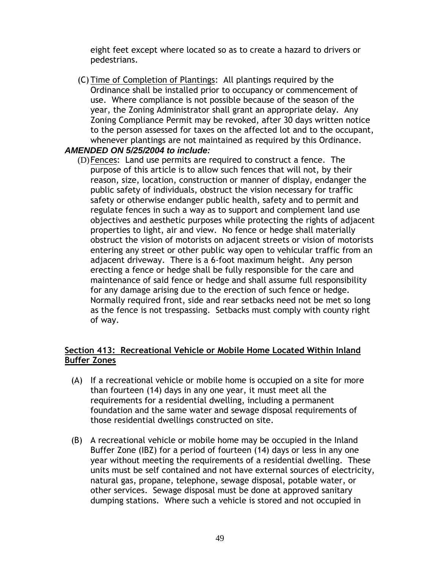eight feet except where located so as to create a hazard to drivers or pedestrians.

(C) Time of Completion of Plantings: All plantings required by the Ordinance shall be installed prior to occupancy or commencement of use. Where compliance is not possible because of the season of the year, the Zoning Administrator shall grant an appropriate delay. Any Zoning Compliance Permit may be revoked, after 30 days written notice to the person assessed for taxes on the affected lot and to the occupant, whenever plantings are not maintained as required by this Ordinance.

#### *AMENDED ON 5/25/2004 to include:*

(D)Fences: Land use permits are required to construct a fence. The purpose of this article is to allow such fences that will not, by their reason, size, location, construction or manner of display, endanger the public safety of individuals, obstruct the vision necessary for traffic safety or otherwise endanger public health, safety and to permit and regulate fences in such a way as to support and complement land use objectives and aesthetic purposes while protecting the rights of adjacent properties to light, air and view. No fence or hedge shall materially obstruct the vision of motorists on adjacent streets or vision of motorists entering any street or other public way open to vehicular traffic from an adjacent driveway. There is a 6-foot maximum height. Any person erecting a fence or hedge shall be fully responsible for the care and maintenance of said fence or hedge and shall assume full responsibility for any damage arising due to the erection of such fence or hedge. Normally required front, side and rear setbacks need not be met so long as the fence is not trespassing. Setbacks must comply with county right of way.

### **Section 413: Recreational Vehicle or Mobile Home Located Within Inland Buffer Zones**

- (A) If a recreational vehicle or mobile home is occupied on a site for more than fourteen (14) days in any one year, it must meet all the requirements for a residential dwelling, including a permanent foundation and the same water and sewage disposal requirements of those residential dwellings constructed on site.
- (B) A recreational vehicle or mobile home may be occupied in the Inland Buffer Zone (IBZ) for a period of fourteen (14) days or less in any one year without meeting the requirements of a residential dwelling. These units must be self contained and not have external sources of electricity, natural gas, propane, telephone, sewage disposal, potable water, or other services. Sewage disposal must be done at approved sanitary dumping stations. Where such a vehicle is stored and not occupied in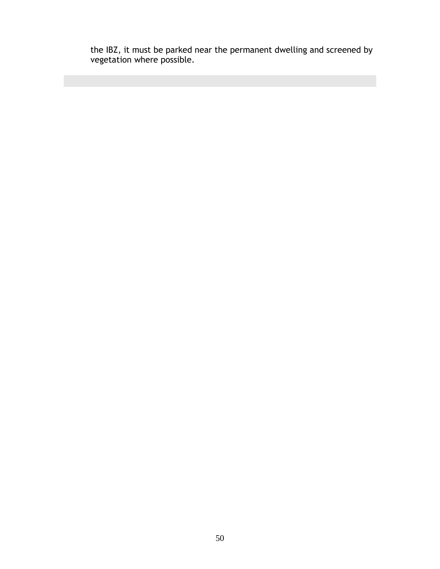the IBZ, it must be parked near the permanent dwelling and screened by vegetation where possible.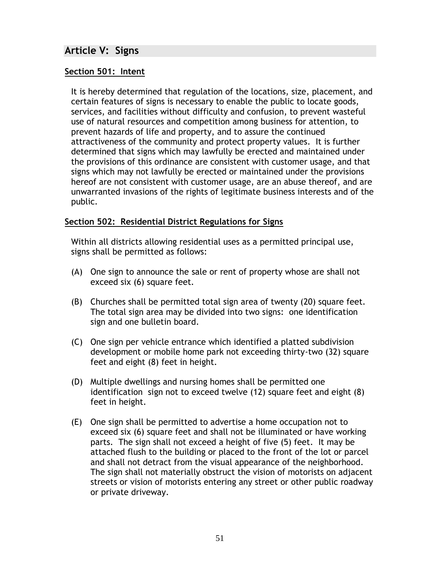## **Article V: Signs**

### **Section 501: Intent**

It is hereby determined that regulation of the locations, size, placement, and certain features of signs is necessary to enable the public to locate goods, services, and facilities without difficulty and confusion, to prevent wasteful use of natural resources and competition among business for attention, to prevent hazards of life and property, and to assure the continued attractiveness of the community and protect property values. It is further determined that signs which may lawfully be erected and maintained under the provisions of this ordinance are consistent with customer usage, and that signs which may not lawfully be erected or maintained under the provisions hereof are not consistent with customer usage, are an abuse thereof, and are unwarranted invasions of the rights of legitimate business interests and of the public.

#### **Section 502: Residential District Regulations for Signs**

Within all districts allowing residential uses as a permitted principal use, signs shall be permitted as follows:

- (A) One sign to announce the sale or rent of property whose are shall not exceed six (6) square feet.
- (B) Churches shall be permitted total sign area of twenty (20) square feet. The total sign area may be divided into two signs: one identification sign and one bulletin board.
- (C) One sign per vehicle entrance which identified a platted subdivision development or mobile home park not exceeding thirty-two (32) square feet and eight (8) feet in height.
- (D) Multiple dwellings and nursing homes shall be permitted one identification sign not to exceed twelve (12) square feet and eight (8) feet in height.
- (E) One sign shall be permitted to advertise a home occupation not to exceed six (6) square feet and shall not be illuminated or have working parts. The sign shall not exceed a height of five (5) feet. It may be attached flush to the building or placed to the front of the lot or parcel and shall not detract from the visual appearance of the neighborhood. The sign shall not materially obstruct the vision of motorists on adjacent streets or vision of motorists entering any street or other public roadway or private driveway.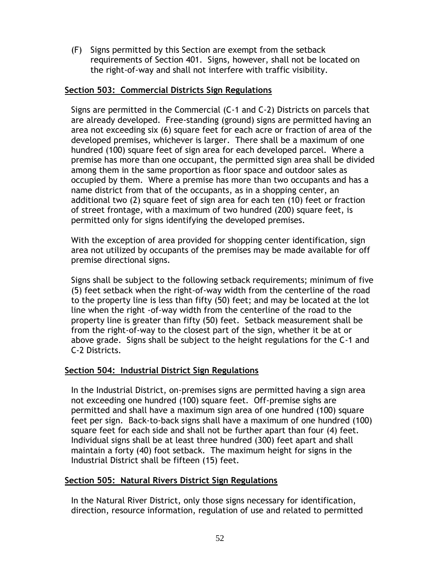(F) Signs permitted by this Section are exempt from the setback requirements of Section 401. Signs, however, shall not be located on the right-of-way and shall not interfere with traffic visibility.

#### **Section 503: Commercial Districts Sign Regulations**

Signs are permitted in the Commercial (C-1 and C-2) Districts on parcels that are already developed. Free-standing (ground) signs are permitted having an area not exceeding six (6) square feet for each acre or fraction of area of the developed premises, whichever is larger. There shall be a maximum of one hundred (100) square feet of sign area for each developed parcel. Where a premise has more than one occupant, the permitted sign area shall be divided among them in the same proportion as floor space and outdoor sales as occupied by them. Where a premise has more than two occupants and has a name district from that of the occupants, as in a shopping center, an additional two (2) square feet of sign area for each ten (10) feet or fraction of street frontage, with a maximum of two hundred (200) square feet, is permitted only for signs identifying the developed premises.

With the exception of area provided for shopping center identification, sign area not utilized by occupants of the premises may be made available for off premise directional signs.

Signs shall be subject to the following setback requirements; minimum of five (5) feet setback when the right-of-way width from the centerline of the road to the property line is less than fifty (50) feet; and may be located at the lot line when the right -of-way width from the centerline of the road to the property line is greater than fifty (50) feet. Setback measurement shall be from the right-of-way to the closest part of the sign, whether it be at or above grade. Signs shall be subject to the height regulations for the C-1 and C-2 Districts.

#### **Section 504: Industrial District Sign Regulations**

In the Industrial District, on-premises signs are permitted having a sign area not exceeding one hundred (100) square feet. Off-premise sighs are permitted and shall have a maximum sign area of one hundred (100) square feet per sign. Back-to-back signs shall have a maximum of one hundred (100) square feet for each side and shall not be further apart than four (4) feet. Individual signs shall be at least three hundred (300) feet apart and shall maintain a forty (40) foot setback. The maximum height for signs in the Industrial District shall be fifteen (15) feet.

#### **Section 505: Natural Rivers District Sign Regulations**

In the Natural River District, only those signs necessary for identification, direction, resource information, regulation of use and related to permitted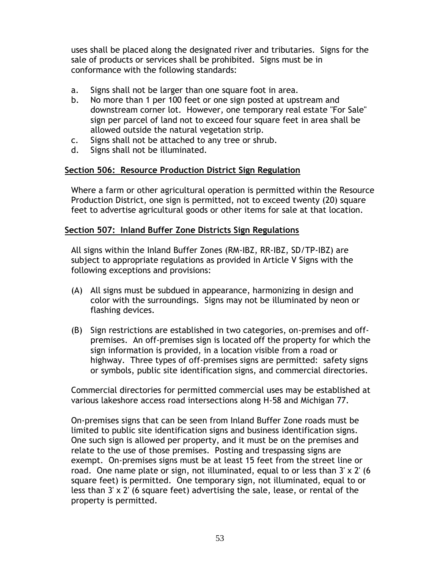uses shall be placed along the designated river and tributaries. Signs for the sale of products or services shall be prohibited. Signs must be in conformance with the following standards:

- a. Signs shall not be larger than one square foot in area.
- b. No more than 1 per 100 feet or one sign posted at upstream and downstream corner lot. However, one temporary real estate "For Sale" sign per parcel of land not to exceed four square feet in area shall be allowed outside the natural vegetation strip.
- c. Signs shall not be attached to any tree or shrub.
- d. Signs shall not be illuminated.

### **Section 506: Resource Production District Sign Regulation**

Where a farm or other agricultural operation is permitted within the Resource Production District, one sign is permitted, not to exceed twenty (20) square feet to advertise agricultural goods or other items for sale at that location.

### **Section 507: Inland Buffer Zone Districts Sign Regulations**

All signs within the Inland Buffer Zones (RM-IBZ, RR-IBZ, SD/TP-IBZ) are subject to appropriate regulations as provided in Article V Signs with the following exceptions and provisions:

- (A) All signs must be subdued in appearance, harmonizing in design and color with the surroundings. Signs may not be illuminated by neon or flashing devices.
- (B) Sign restrictions are established in two categories, on-premises and offpremises. An off-premises sign is located off the property for which the sign information is provided, in a location visible from a road or highway. Three types of off-premises signs are permitted: safety signs or symbols, public site identification signs, and commercial directories.

Commercial directories for permitted commercial uses may be established at various lakeshore access road intersections along H-58 and Michigan 77.

On-premises signs that can be seen from Inland Buffer Zone roads must be limited to public site identification signs and business identification signs. One such sign is allowed per property, and it must be on the premises and relate to the use of those premises. Posting and trespassing signs are exempt. On-premises signs must be at least 15 feet from the street line or road. One name plate or sign, not illuminated, equal to or less than 3' x 2' (6 square feet) is permitted. One temporary sign, not illuminated, equal to or less than 3' x 2' (6 square feet) advertising the sale, lease, or rental of the property is permitted.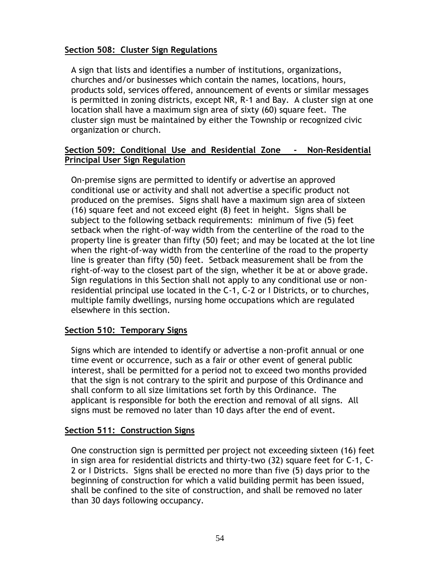### **Section 508: Cluster Sign Regulations**

A sign that lists and identifies a number of institutions, organizations, churches and/or businesses which contain the names, locations, hours, products sold, services offered, announcement of events or similar messages is permitted in zoning districts, except NR, R-1 and Bay. A cluster sign at one location shall have a maximum sign area of sixty (60) square feet. The cluster sign must be maintained by either the Township or recognized civic organization or church.

### **Section 509: Conditional Use and Residential Zone - Non-Residential Principal User Sign Regulation**

On-premise signs are permitted to identify or advertise an approved conditional use or activity and shall not advertise a specific product not produced on the premises. Signs shall have a maximum sign area of sixteen (16) square feet and not exceed eight (8) feet in height. Signs shall be subject to the following setback requirements: minimum of five (5) feet setback when the right-of-way width from the centerline of the road to the property line is greater than fifty (50) feet; and may be located at the lot line when the right-of-way width from the centerline of the road to the property line is greater than fifty (50) feet. Setback measurement shall be from the right-of-way to the closest part of the sign, whether it be at or above grade. Sign regulations in this Section shall not apply to any conditional use or nonresidential principal use located in the C-1, C-2 or I Districts, or to churches, multiple family dwellings, nursing home occupations which are regulated elsewhere in this section.

### **Section 510: Temporary Signs**

Signs which are intended to identify or advertise a non-profit annual or one time event or occurrence, such as a fair or other event of general public interest, shall be permitted for a period not to exceed two months provided that the sign is not contrary to the spirit and purpose of this Ordinance and shall conform to all size limitations set forth by this Ordinance. The applicant is responsible for both the erection and removal of all signs. All signs must be removed no later than 10 days after the end of event.

#### **Section 511: Construction Signs**

One construction sign is permitted per project not exceeding sixteen (16) feet in sign area for residential districts and thirty-two (32) square feet for C-1, C-2 or I Districts. Signs shall be erected no more than five (5) days prior to the beginning of construction for which a valid building permit has been issued, shall be confined to the site of construction, and shall be removed no later than 30 days following occupancy.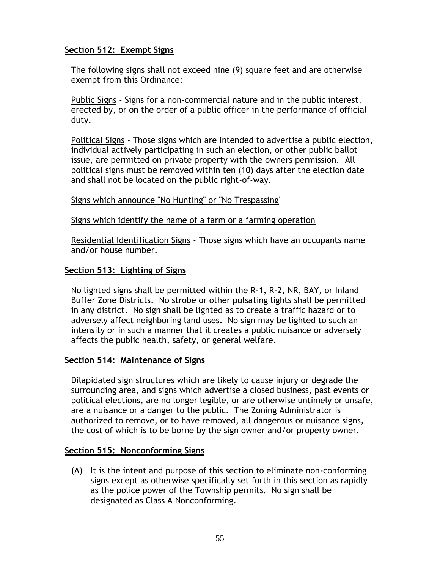### **Section 512: Exempt Signs**

The following signs shall not exceed nine (9) square feet and are otherwise exempt from this Ordinance:

Public Signs - Signs for a non-commercial nature and in the public interest, erected by, or on the order of a public officer in the performance of official duty.

Political Signs - Those signs which are intended to advertise a public election, individual actively participating in such an election, or other public ballot issue, are permitted on private property with the owners permission. All political signs must be removed within ten (10) days after the election date and shall not be located on the public right-of-way.

#### Signs which announce "No Hunting" or "No Trespassing"

#### Signs which identify the name of a farm or a farming operation

Residential Identification Signs - Those signs which have an occupants name and/or house number.

#### **Section 513: Lighting of Signs**

No lighted signs shall be permitted within the R-1, R-2, NR, BAY, or Inland Buffer Zone Districts. No strobe or other pulsating lights shall be permitted in any district. No sign shall be lighted as to create a traffic hazard or to adversely affect neighboring land uses. No sign may be lighted to such an intensity or in such a manner that it creates a public nuisance or adversely affects the public health, safety, or general welfare.

#### **Section 514: Maintenance of Signs**

Dilapidated sign structures which are likely to cause injury or degrade the surrounding area, and signs which advertise a closed business, past events or political elections, are no longer legible, or are otherwise untimely or unsafe, are a nuisance or a danger to the public. The Zoning Administrator is authorized to remove, or to have removed, all dangerous or nuisance signs, the cost of which is to be borne by the sign owner and/or property owner.

#### **Section 515: Nonconforming Signs**

(A) It is the intent and purpose of this section to eliminate non-conforming signs except as otherwise specifically set forth in this section as rapidly as the police power of the Township permits. No sign shall be designated as Class A Nonconforming.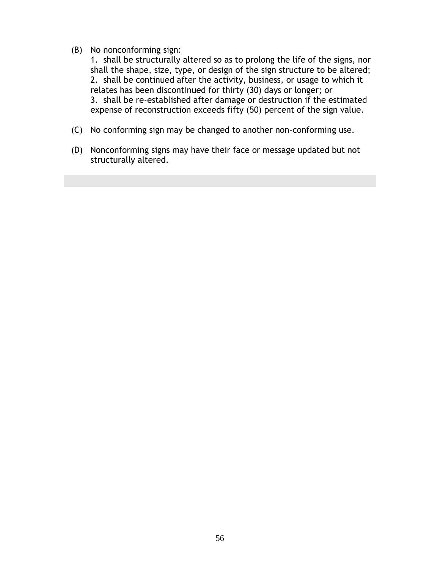#### (B) No nonconforming sign:

1. shall be structurally altered so as to prolong the life of the signs, nor shall the shape, size, type, or design of the sign structure to be altered; 2. shall be continued after the activity, business, or usage to which it relates has been discontinued for thirty (30) days or longer; or 3. shall be re-established after damage or destruction if the estimated expense of reconstruction exceeds fifty (50) percent of the sign value.

- (C) No conforming sign may be changed to another non-conforming use.
- (D) Nonconforming signs may have their face or message updated but not structurally altered.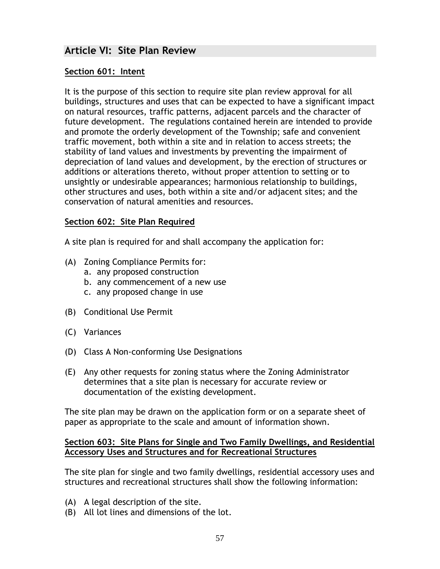## **Article VI: Site Plan Review**

#### **Section 601: Intent**

It is the purpose of this section to require site plan review approval for all buildings, structures and uses that can be expected to have a significant impact on natural resources, traffic patterns, adjacent parcels and the character of future development. The regulations contained herein are intended to provide and promote the orderly development of the Township; safe and convenient traffic movement, both within a site and in relation to access streets; the stability of land values and investments by preventing the impairment of depreciation of land values and development, by the erection of structures or additions or alterations thereto, without proper attention to setting or to unsightly or undesirable appearances; harmonious relationship to buildings, other structures and uses, both within a site and/or adjacent sites; and the conservation of natural amenities and resources.

#### **Section 602: Site Plan Required**

A site plan is required for and shall accompany the application for:

- (A) Zoning Compliance Permits for:
	- a. any proposed construction
	- b. any commencement of a new use
	- c. any proposed change in use
- (B) Conditional Use Permit
- (C) Variances
- (D) Class A Non-conforming Use Designations
- (E) Any other requests for zoning status where the Zoning Administrator determines that a site plan is necessary for accurate review or documentation of the existing development.

The site plan may be drawn on the application form or on a separate sheet of paper as appropriate to the scale and amount of information shown.

#### **Section 603: Site Plans for Single and Two Family Dwellings, and Residential Accessory Uses and Structures and for Recreational Structures**

The site plan for single and two family dwellings, residential accessory uses and structures and recreational structures shall show the following information:

- (A) A legal description of the site.
- (B) All lot lines and dimensions of the lot.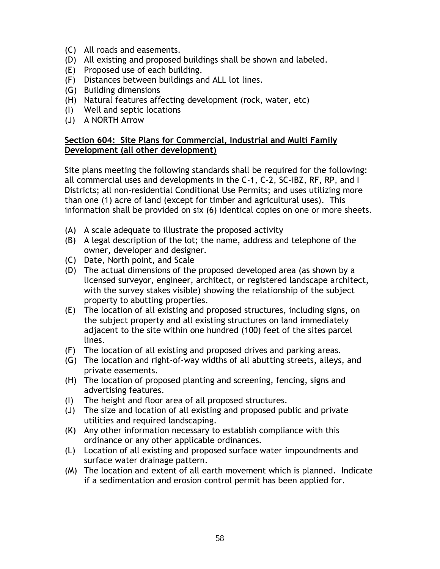- (C) All roads and easements.
- (D) All existing and proposed buildings shall be shown and labeled.
- (E) Proposed use of each building.
- (F) Distances between buildings and ALL lot lines.
- (G) Building dimensions
- (H) Natural features affecting development (rock, water, etc)
- (I) Well and septic locations
- (J) A NORTH Arrow

### **Section 604: Site Plans for Commercial, Industrial and Multi Family Development (all other development)**

Site plans meeting the following standards shall be required for the following: all commercial uses and developments in the C-1, C-2, SC-IBZ, RF, RP, and I Districts; all non-residential Conditional Use Permits; and uses utilizing more than one (1) acre of land (except for timber and agricultural uses). This information shall be provided on six (6) identical copies on one or more sheets.

- (A) A scale adequate to illustrate the proposed activity
- (B) A legal description of the lot; the name, address and telephone of the owner, developer and designer.
- (C) Date, North point, and Scale
- (D) The actual dimensions of the proposed developed area (as shown by a licensed surveyor, engineer, architect, or registered landscape architect, with the survey stakes visible) showing the relationship of the subject property to abutting properties.
- (E) The location of all existing and proposed structures, including signs, on the subject property and all existing structures on land immediately adjacent to the site within one hundred (100) feet of the sites parcel lines.
- (F) The location of all existing and proposed drives and parking areas.
- (G) The location and right-of-way widths of all abutting streets, alleys, and private easements.
- (H) The location of proposed planting and screening, fencing, signs and advertising features.
- (I) The height and floor area of all proposed structures.
- (J) The size and location of all existing and proposed public and private utilities and required landscaping.
- (K) Any other information necessary to establish compliance with this ordinance or any other applicable ordinances.
- (L) Location of all existing and proposed surface water impoundments and surface water drainage pattern.
- (M) The location and extent of all earth movement which is planned. Indicate if a sedimentation and erosion control permit has been applied for.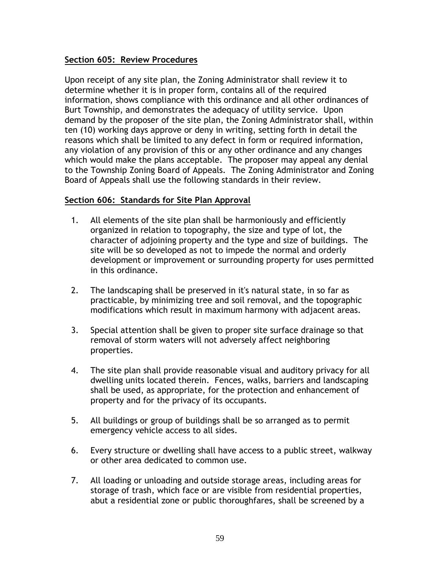### **Section 605: Review Procedures**

Upon receipt of any site plan, the Zoning Administrator shall review it to determine whether it is in proper form, contains all of the required information, shows compliance with this ordinance and all other ordinances of Burt Township, and demonstrates the adequacy of utility service. Upon demand by the proposer of the site plan, the Zoning Administrator shall, within ten (10) working days approve or deny in writing, setting forth in detail the reasons which shall be limited to any defect in form or required information, any violation of any provision of this or any other ordinance and any changes which would make the plans acceptable. The proposer may appeal any denial to the Township Zoning Board of Appeals. The Zoning Administrator and Zoning Board of Appeals shall use the following standards in their review.

#### **Section 606: Standards for Site Plan Approval**

- 1. All elements of the site plan shall be harmoniously and efficiently organized in relation to topography, the size and type of lot, the character of adjoining property and the type and size of buildings. The site will be so developed as not to impede the normal and orderly development or improvement or surrounding property for uses permitted in this ordinance.
- 2. The landscaping shall be preserved in it's natural state, in so far as practicable, by minimizing tree and soil removal, and the topographic modifications which result in maximum harmony with adjacent areas.
- 3. Special attention shall be given to proper site surface drainage so that removal of storm waters will not adversely affect neighboring properties.
- 4. The site plan shall provide reasonable visual and auditory privacy for all dwelling units located therein. Fences, walks, barriers and landscaping shall be used, as appropriate, for the protection and enhancement of property and for the privacy of its occupants.
- 5. All buildings or group of buildings shall be so arranged as to permit emergency vehicle access to all sides.
- 6. Every structure or dwelling shall have access to a public street, walkway or other area dedicated to common use.
- 7. All loading or unloading and outside storage areas, including areas for storage of trash, which face or are visible from residential properties, abut a residential zone or public thoroughfares, shall be screened by a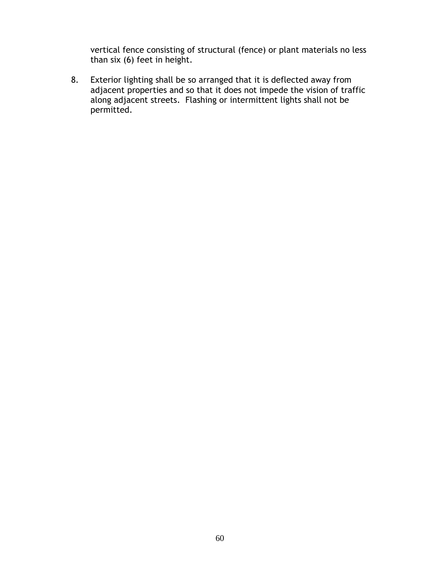vertical fence consisting of structural (fence) or plant materials no less than six (6) feet in height.

8. Exterior lighting shall be so arranged that it is deflected away from adjacent properties and so that it does not impede the vision of traffic along adjacent streets. Flashing or intermittent lights shall not be permitted.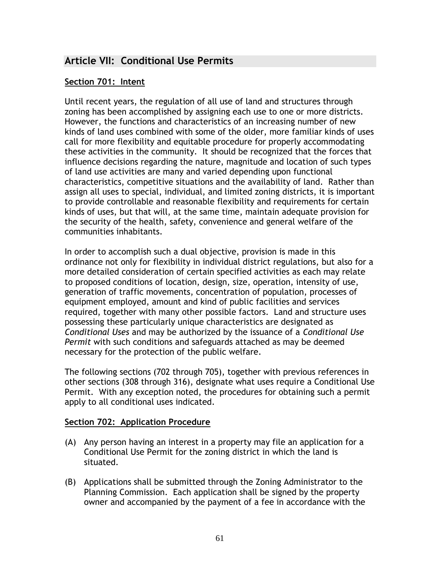# **Article VII: Conditional Use Permits**

### **Section 701: Intent**

Until recent years, the regulation of all use of land and structures through zoning has been accomplished by assigning each use to one or more districts. However, the functions and characteristics of an increasing number of new kinds of land uses combined with some of the older, more familiar kinds of uses call for more flexibility and equitable procedure for properly accommodating these activities in the community. It should be recognized that the forces that influence decisions regarding the nature, magnitude and location of such types of land use activities are many and varied depending upon functional characteristics, competitive situations and the availability of land. Rather than assign all uses to special, individual, and limited zoning districts, it is important to provide controllable and reasonable flexibility and requirements for certain kinds of uses, but that will, at the same time, maintain adequate provision for the security of the health, safety, convenience and general welfare of the communities inhabitants.

In order to accomplish such a dual objective, provision is made in this ordinance not only for flexibility in individual district regulations, but also for a more detailed consideration of certain specified activities as each may relate to proposed conditions of location, design, size, operation, intensity of use, generation of traffic movements, concentration of population, processes of equipment employed, amount and kind of public facilities and services required, together with many other possible factors. Land and structure uses possessing these particularly unique characteristics are designated as *Conditional Uses* and may be authorized by the issuance of a *Conditional Use Permit* with such conditions and safeguards attached as may be deemed necessary for the protection of the public welfare.

The following sections (702 through 705), together with previous references in other sections (308 through 316), designate what uses require a Conditional Use Permit. With any exception noted, the procedures for obtaining such a permit apply to all conditional uses indicated.

#### **Section 702: Application Procedure**

- (A) Any person having an interest in a property may file an application for a Conditional Use Permit for the zoning district in which the land is situated.
- (B) Applications shall be submitted through the Zoning Administrator to the Planning Commission. Each application shall be signed by the property owner and accompanied by the payment of a fee in accordance with the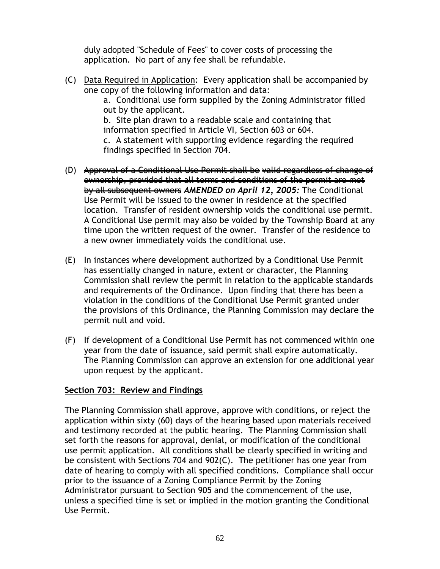duly adopted "Schedule of Fees" to cover costs of processing the application. No part of any fee shall be refundable.

(C) Data Required in Application: Every application shall be accompanied by one copy of the following information and data: a. Conditional use form supplied by the Zoning Administrator filled

out by the applicant. b. Site plan drawn to a readable scale and containing that

information specified in Article VI, Section 603 or 604. c. A statement with supporting evidence regarding the required findings specified in Section 704.

- (D) Approval of a Conditional Use Permit shall be valid regardless of change of ownership, provided that all terms and conditions of the permit are met by all subsequent owners *AMENDED on April 12, 2005:* The Conditional Use Permit will be issued to the owner in residence at the specified location. Transfer of resident ownership voids the conditional use permit. A Conditional Use permit may also be voided by the Township Board at any time upon the written request of the owner. Transfer of the residence to a new owner immediately voids the conditional use.
- (E) In instances where development authorized by a Conditional Use Permit has essentially changed in nature, extent or character, the Planning Commission shall review the permit in relation to the applicable standards and requirements of the Ordinance. Upon finding that there has been a violation in the conditions of the Conditional Use Permit granted under the provisions of this Ordinance, the Planning Commission may declare the permit null and void.
- (F) If development of a Conditional Use Permit has not commenced within one year from the date of issuance, said permit shall expire automatically. The Planning Commission can approve an extension for one additional year upon request by the applicant.

### **Section 703: Review and Findings**

The Planning Commission shall approve, approve with conditions, or reject the application within sixty (60) days of the hearing based upon materials received and testimony recorded at the public hearing. The Planning Commission shall set forth the reasons for approval, denial, or modification of the conditional use permit application. All conditions shall be clearly specified in writing and be consistent with Sections 704 and 902(C). The petitioner has one year from date of hearing to comply with all specified conditions. Compliance shall occur prior to the issuance of a Zoning Compliance Permit by the Zoning Administrator pursuant to Section 905 and the commencement of the use, unless a specified time is set or implied in the motion granting the Conditional Use Permit.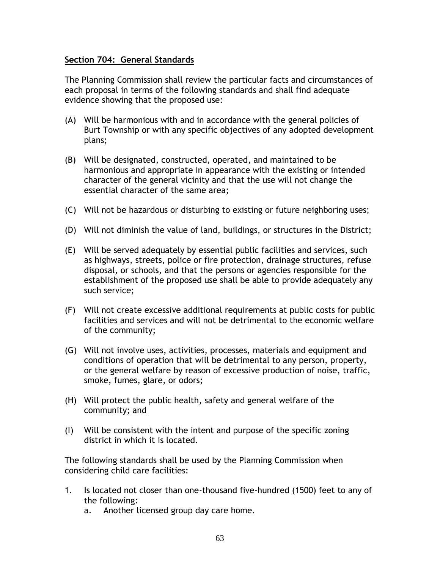#### **Section 704: General Standards**

The Planning Commission shall review the particular facts and circumstances of each proposal in terms of the following standards and shall find adequate evidence showing that the proposed use:

- (A) Will be harmonious with and in accordance with the general policies of Burt Township or with any specific objectives of any adopted development plans;
- (B) Will be designated, constructed, operated, and maintained to be harmonious and appropriate in appearance with the existing or intended character of the general vicinity and that the use will not change the essential character of the same area;
- (C) Will not be hazardous or disturbing to existing or future neighboring uses;
- (D) Will not diminish the value of land, buildings, or structures in the District;
- (E) Will be served adequately by essential public facilities and services, such as highways, streets, police or fire protection, drainage structures, refuse disposal, or schools, and that the persons or agencies responsible for the establishment of the proposed use shall be able to provide adequately any such service;
- (F) Will not create excessive additional requirements at public costs for public facilities and services and will not be detrimental to the economic welfare of the community;
- (G) Will not involve uses, activities, processes, materials and equipment and conditions of operation that will be detrimental to any person, property, or the general welfare by reason of excessive production of noise, traffic, smoke, fumes, glare, or odors;
- (H) Will protect the public health, safety and general welfare of the community; and
- (I) Will be consistent with the intent and purpose of the specific zoning district in which it is located.

The following standards shall be used by the Planning Commission when considering child care facilities:

- 1. Is located not closer than one-thousand five-hundred (1500) feet to any of the following:
	- a. Another licensed group day care home.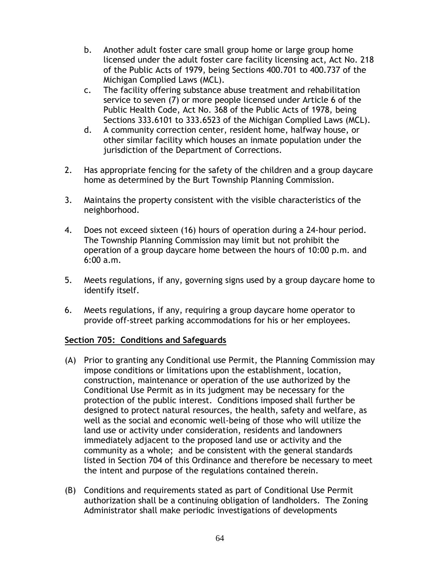- b. Another adult foster care small group home or large group home licensed under the adult foster care facility licensing act, Act No. 218 of the Public Acts of 1979, being Sections 400.701 to 400.737 of the Michigan Complied Laws (MCL).
- c. The facility offering substance abuse treatment and rehabilitation service to seven (7) or more people licensed under Article 6 of the Public Health Code, Act No. 368 of the Public Acts of 1978, being Sections 333.6101 to 333.6523 of the Michigan Complied Laws (MCL).
- d. A community correction center, resident home, halfway house, or other similar facility which houses an inmate population under the jurisdiction of the Department of Corrections.
- 2. Has appropriate fencing for the safety of the children and a group daycare home as determined by the Burt Township Planning Commission.
- 3. Maintains the property consistent with the visible characteristics of the neighborhood.
- 4. Does not exceed sixteen (16) hours of operation during a 24-hour period. The Township Planning Commission may limit but not prohibit the operation of a group daycare home between the hours of 10:00 p.m. and 6:00 a.m.
- 5. Meets regulations, if any, governing signs used by a group daycare home to identify itself.
- 6. Meets regulations, if any, requiring a group daycare home operator to provide off-street parking accommodations for his or her employees.

### **Section 705: Conditions and Safeguards**

- (A) Prior to granting any Conditional use Permit, the Planning Commission may impose conditions or limitations upon the establishment, location, construction, maintenance or operation of the use authorized by the Conditional Use Permit as in its judgment may be necessary for the protection of the public interest. Conditions imposed shall further be designed to protect natural resources, the health, safety and welfare, as well as the social and economic well-being of those who will utilize the land use or activity under consideration, residents and landowners immediately adjacent to the proposed land use or activity and the community as a whole; and be consistent with the general standards listed in Section 704 of this Ordinance and therefore be necessary to meet the intent and purpose of the regulations contained therein.
- (B) Conditions and requirements stated as part of Conditional Use Permit authorization shall be a continuing obligation of landholders. The Zoning Administrator shall make periodic investigations of developments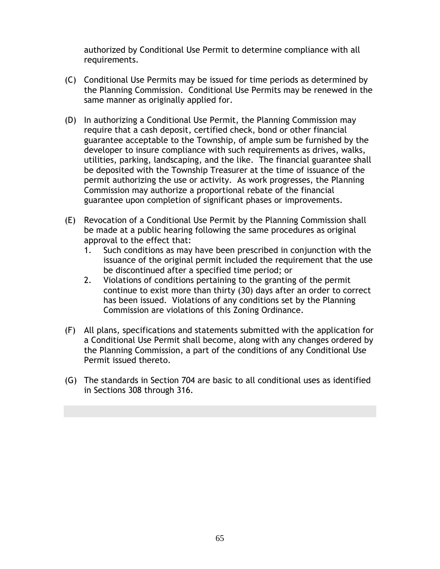authorized by Conditional Use Permit to determine compliance with all requirements.

- (C) Conditional Use Permits may be issued for time periods as determined by the Planning Commission. Conditional Use Permits may be renewed in the same manner as originally applied for.
- (D) In authorizing a Conditional Use Permit, the Planning Commission may require that a cash deposit, certified check, bond or other financial guarantee acceptable to the Township, of ample sum be furnished by the developer to insure compliance with such requirements as drives, walks, utilities, parking, landscaping, and the like. The financial guarantee shall be deposited with the Township Treasurer at the time of issuance of the permit authorizing the use or activity. As work progresses, the Planning Commission may authorize a proportional rebate of the financial guarantee upon completion of significant phases or improvements.
- (E) Revocation of a Conditional Use Permit by the Planning Commission shall be made at a public hearing following the same procedures as original approval to the effect that:
	- 1. Such conditions as may have been prescribed in conjunction with the issuance of the original permit included the requirement that the use be discontinued after a specified time period; or
	- 2. Violations of conditions pertaining to the granting of the permit continue to exist more than thirty (30) days after an order to correct has been issued. Violations of any conditions set by the Planning Commission are violations of this Zoning Ordinance.
- (F) All plans, specifications and statements submitted with the application for a Conditional Use Permit shall become, along with any changes ordered by the Planning Commission, a part of the conditions of any Conditional Use Permit issued thereto.
- (G) The standards in Section 704 are basic to all conditional uses as identified in Sections 308 through 316.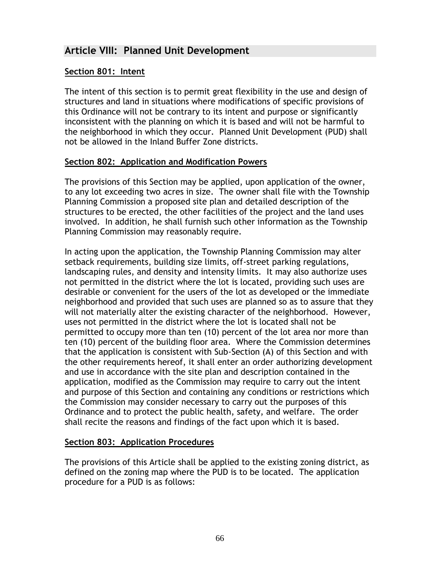# **Article VIII: Planned Unit Development**

### **Section 801: Intent**

The intent of this section is to permit great flexibility in the use and design of structures and land in situations where modifications of specific provisions of this Ordinance will not be contrary to its intent and purpose or significantly inconsistent with the planning on which it is based and will not be harmful to the neighborhood in which they occur. Planned Unit Development (PUD) shall not be allowed in the Inland Buffer Zone districts.

### **Section 802: Application and Modification Powers**

The provisions of this Section may be applied, upon application of the owner, to any lot exceeding two acres in size. The owner shall file with the Township Planning Commission a proposed site plan and detailed description of the structures to be erected, the other facilities of the project and the land uses involved. In addition, he shall furnish such other information as the Township Planning Commission may reasonably require.

In acting upon the application, the Township Planning Commission may alter setback requirements, building size limits, off-street parking regulations, landscaping rules, and density and intensity limits. It may also authorize uses not permitted in the district where the lot is located, providing such uses are desirable or convenient for the users of the lot as developed or the immediate neighborhood and provided that such uses are planned so as to assure that they will not materially alter the existing character of the neighborhood. However, uses not permitted in the district where the lot is located shall not be permitted to occupy more than ten (10) percent of the lot area nor more than ten (10) percent of the building floor area. Where the Commission determines that the application is consistent with Sub-Section (A) of this Section and with the other requirements hereof, it shall enter an order authorizing development and use in accordance with the site plan and description contained in the application, modified as the Commission may require to carry out the intent and purpose of this Section and containing any conditions or restrictions which the Commission may consider necessary to carry out the purposes of this Ordinance and to protect the public health, safety, and welfare. The order shall recite the reasons and findings of the fact upon which it is based.

#### **Section 803: Application Procedures**

The provisions of this Article shall be applied to the existing zoning district, as defined on the zoning map where the PUD is to be located. The application procedure for a PUD is as follows: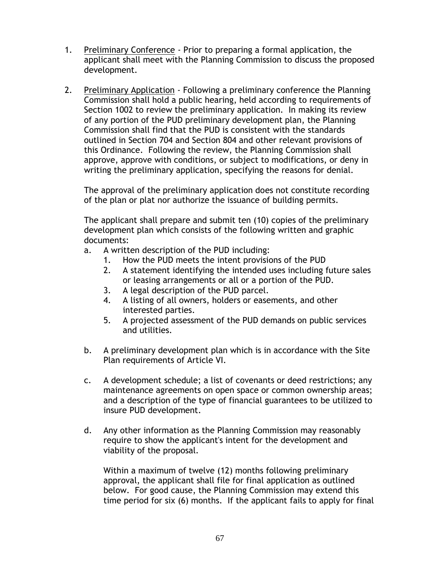- 1. Preliminary Conference Prior to preparing a formal application, the applicant shall meet with the Planning Commission to discuss the proposed development.
- 2. Preliminary Application Following a preliminary conference the Planning Commission shall hold a public hearing, held according to requirements of Section 1002 to review the preliminary application. In making its review of any portion of the PUD preliminary development plan, the Planning Commission shall find that the PUD is consistent with the standards outlined in Section 704 and Section 804 and other relevant provisions of this Ordinance. Following the review, the Planning Commission shall approve, approve with conditions, or subject to modifications, or deny in writing the preliminary application, specifying the reasons for denial.

The approval of the preliminary application does not constitute recording of the plan or plat nor authorize the issuance of building permits.

The applicant shall prepare and submit ten (10) copies of the preliminary development plan which consists of the following written and graphic documents:

- a. A written description of the PUD including:
	- 1. How the PUD meets the intent provisions of the PUD
	- 2. A statement identifying the intended uses including future sales or leasing arrangements or all or a portion of the PUD.
	- 3. A legal description of the PUD parcel.
	- 4. A listing of all owners, holders or easements, and other interested parties.
	- 5. A projected assessment of the PUD demands on public services and utilities.
- b. A preliminary development plan which is in accordance with the Site Plan requirements of Article VI.
- c. A development schedule; a list of covenants or deed restrictions; any maintenance agreements on open space or common ownership areas; and a description of the type of financial guarantees to be utilized to insure PUD development.
- d. Any other information as the Planning Commission may reasonably require to show the applicant's intent for the development and viability of the proposal.

Within a maximum of twelve (12) months following preliminary approval, the applicant shall file for final application as outlined below. For good cause, the Planning Commission may extend this time period for six (6) months. If the applicant fails to apply for final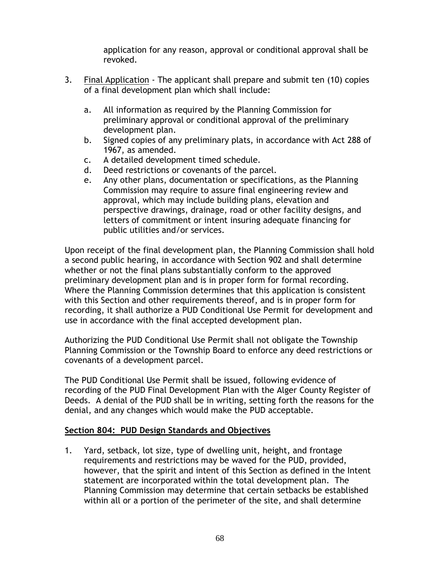application for any reason, approval or conditional approval shall be revoked.

- 3. Final Application The applicant shall prepare and submit ten (10) copies of a final development plan which shall include:
	- a. All information as required by the Planning Commission for preliminary approval or conditional approval of the preliminary development plan.
	- b. Signed copies of any preliminary plats, in accordance with Act 288 of 1967, as amended.
	- c. A detailed development timed schedule.
	- d. Deed restrictions or covenants of the parcel.
	- e. Any other plans, documentation or specifications, as the Planning Commission may require to assure final engineering review and approval, which may include building plans, elevation and perspective drawings, drainage, road or other facility designs, and letters of commitment or intent insuring adequate financing for public utilities and/or services.

Upon receipt of the final development plan, the Planning Commission shall hold a second public hearing, in accordance with Section 902 and shall determine whether or not the final plans substantially conform to the approved preliminary development plan and is in proper form for formal recording. Where the Planning Commission determines that this application is consistent with this Section and other requirements thereof, and is in proper form for recording, it shall authorize a PUD Conditional Use Permit for development and use in accordance with the final accepted development plan.

Authorizing the PUD Conditional Use Permit shall not obligate the Township Planning Commission or the Township Board to enforce any deed restrictions or covenants of a development parcel.

The PUD Conditional Use Permit shall be issued, following evidence of recording of the PUD Final Development Plan with the Alger County Register of Deeds. A denial of the PUD shall be in writing, setting forth the reasons for the denial, and any changes which would make the PUD acceptable.

#### **Section 804: PUD Design Standards and Objectives**

1. Yard, setback, lot size, type of dwelling unit, height, and frontage requirements and restrictions may be waved for the PUD, provided, however, that the spirit and intent of this Section as defined in the Intent statement are incorporated within the total development plan. The Planning Commission may determine that certain setbacks be established within all or a portion of the perimeter of the site, and shall determine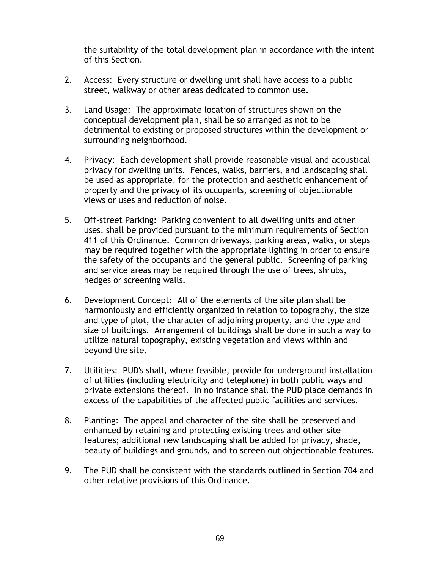the suitability of the total development plan in accordance with the intent of this Section.

- 2. Access: Every structure or dwelling unit shall have access to a public street, walkway or other areas dedicated to common use.
- 3. Land Usage: The approximate location of structures shown on the conceptual development plan, shall be so arranged as not to be detrimental to existing or proposed structures within the development or surrounding neighborhood.
- 4. Privacy: Each development shall provide reasonable visual and acoustical privacy for dwelling units. Fences, walks, barriers, and landscaping shall be used as appropriate, for the protection and aesthetic enhancement of property and the privacy of its occupants, screening of objectionable views or uses and reduction of noise.
- 5. Off-street Parking: Parking convenient to all dwelling units and other uses, shall be provided pursuant to the minimum requirements of Section 411 of this Ordinance. Common driveways, parking areas, walks, or steps may be required together with the appropriate lighting in order to ensure the safety of the occupants and the general public. Screening of parking and service areas may be required through the use of trees, shrubs, hedges or screening walls.
- 6. Development Concept: All of the elements of the site plan shall be harmoniously and efficiently organized in relation to topography, the size and type of plot, the character of adjoining property, and the type and size of buildings. Arrangement of buildings shall be done in such a way to utilize natural topography, existing vegetation and views within and beyond the site.
- 7. Utilities: PUD's shall, where feasible, provide for underground installation of utilities (including electricity and telephone) in both public ways and private extensions thereof. In no instance shall the PUD place demands in excess of the capabilities of the affected public facilities and services.
- 8. Planting: The appeal and character of the site shall be preserved and enhanced by retaining and protecting existing trees and other site features; additional new landscaping shall be added for privacy, shade, beauty of buildings and grounds, and to screen out objectionable features.
- 9. The PUD shall be consistent with the standards outlined in Section 704 and other relative provisions of this Ordinance.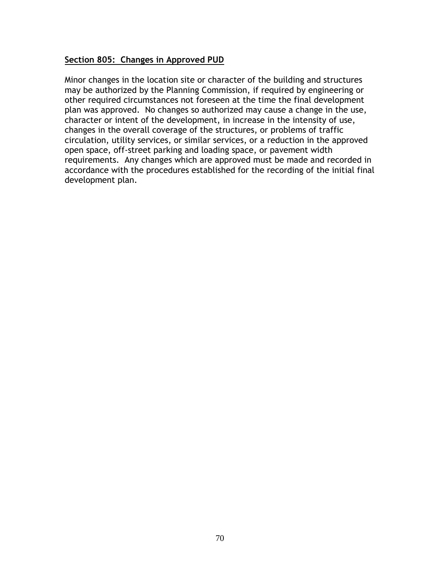#### **Section 805: Changes in Approved PUD**

Minor changes in the location site or character of the building and structures may be authorized by the Planning Commission, if required by engineering or other required circumstances not foreseen at the time the final development plan was approved. No changes so authorized may cause a change in the use, character or intent of the development, in increase in the intensity of use, changes in the overall coverage of the structures, or problems of traffic circulation, utility services, or similar services, or a reduction in the approved open space, off-street parking and loading space, or pavement width requirements. Any changes which are approved must be made and recorded in accordance with the procedures established for the recording of the initial final development plan.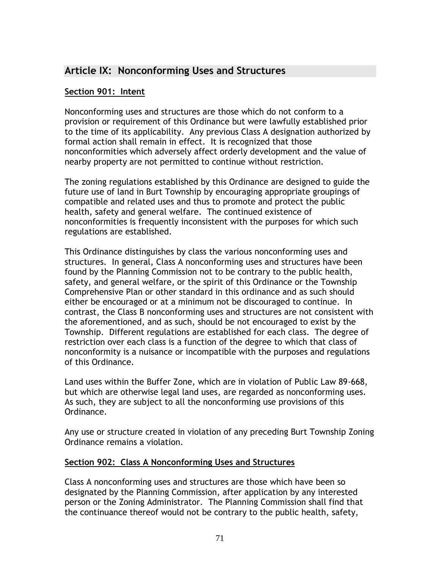# **Article IX: Nonconforming Uses and Structures**

### **Section 901: Intent**

Nonconforming uses and structures are those which do not conform to a provision or requirement of this Ordinance but were lawfully established prior to the time of its applicability. Any previous Class A designation authorized by formal action shall remain in effect. It is recognized that those nonconformities which adversely affect orderly development and the value of nearby property are not permitted to continue without restriction.

The zoning regulations established by this Ordinance are designed to guide the future use of land in Burt Township by encouraging appropriate groupings of compatible and related uses and thus to promote and protect the public health, safety and general welfare. The continued existence of nonconformities is frequently inconsistent with the purposes for which such regulations are established.

This Ordinance distinguishes by class the various nonconforming uses and structures. In general, Class A nonconforming uses and structures have been found by the Planning Commission not to be contrary to the public health, safety, and general welfare, or the spirit of this Ordinance or the Township Comprehensive Plan or other standard in this ordinance and as such should either be encouraged or at a minimum not be discouraged to continue. In contrast, the Class B nonconforming uses and structures are not consistent with the aforementioned, and as such, should be not encouraged to exist by the Township. Different regulations are established for each class. The degree of restriction over each class is a function of the degree to which that class of nonconformity is a nuisance or incompatible with the purposes and regulations of this Ordinance.

Land uses within the Buffer Zone, which are in violation of Public Law 89-668, but which are otherwise legal land uses, are regarded as nonconforming uses. As such, they are subject to all the nonconforming use provisions of this Ordinance.

Any use or structure created in violation of any preceding Burt Township Zoning Ordinance remains a violation.

### **Section 902: Class A Nonconforming Uses and Structures**

Class A nonconforming uses and structures are those which have been so designated by the Planning Commission, after application by any interested person or the Zoning Administrator. The Planning Commission shall find that the continuance thereof would not be contrary to the public health, safety,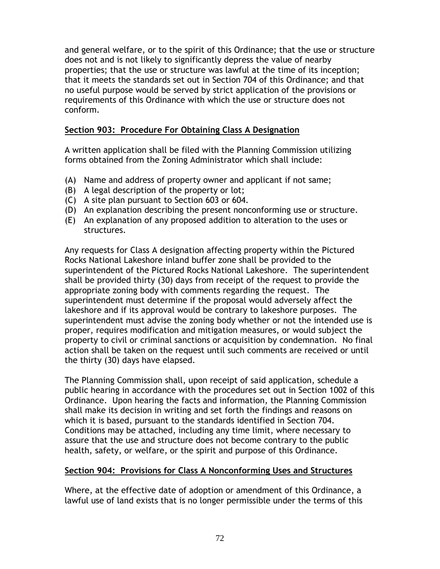and general welfare, or to the spirit of this Ordinance; that the use or structure does not and is not likely to significantly depress the value of nearby properties; that the use or structure was lawful at the time of its inception; that it meets the standards set out in Section 704 of this Ordinance; and that no useful purpose would be served by strict application of the provisions or requirements of this Ordinance with which the use or structure does not conform.

## **Section 903: Procedure For Obtaining Class A Designation**

A written application shall be filed with the Planning Commission utilizing forms obtained from the Zoning Administrator which shall include:

- (A) Name and address of property owner and applicant if not same;
- (B) A legal description of the property or lot;
- (C) A site plan pursuant to Section 603 or 604.
- (D) An explanation describing the present nonconforming use or structure.
- (E) An explanation of any proposed addition to alteration to the uses or structures.

Any requests for Class A designation affecting property within the Pictured Rocks National Lakeshore inland buffer zone shall be provided to the superintendent of the Pictured Rocks National Lakeshore. The superintendent shall be provided thirty (30) days from receipt of the request to provide the appropriate zoning body with comments regarding the request. The superintendent must determine if the proposal would adversely affect the lakeshore and if its approval would be contrary to lakeshore purposes. The superintendent must advise the zoning body whether or not the intended use is proper, requires modification and mitigation measures, or would subject the property to civil or criminal sanctions or acquisition by condemnation. No final action shall be taken on the request until such comments are received or until the thirty (30) days have elapsed.

The Planning Commission shall, upon receipt of said application, schedule a public hearing in accordance with the procedures set out in Section 1002 of this Ordinance. Upon hearing the facts and information, the Planning Commission shall make its decision in writing and set forth the findings and reasons on which it is based, pursuant to the standards identified in Section 704. Conditions may be attached, including any time limit, where necessary to assure that the use and structure does not become contrary to the public health, safety, or welfare, or the spirit and purpose of this Ordinance.

## **Section 904: Provisions for Class A Nonconforming Uses and Structures**

Where, at the effective date of adoption or amendment of this Ordinance, a lawful use of land exists that is no longer permissible under the terms of this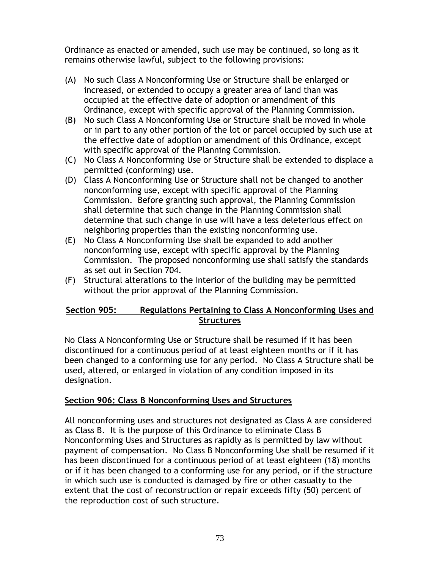Ordinance as enacted or amended, such use may be continued, so long as it remains otherwise lawful, subject to the following provisions:

- (A) No such Class A Nonconforming Use or Structure shall be enlarged or increased, or extended to occupy a greater area of land than was occupied at the effective date of adoption or amendment of this Ordinance, except with specific approval of the Planning Commission.
- (B) No such Class A Nonconforming Use or Structure shall be moved in whole or in part to any other portion of the lot or parcel occupied by such use at the effective date of adoption or amendment of this Ordinance, except with specific approval of the Planning Commission.
- (C) No Class A Nonconforming Use or Structure shall be extended to displace a permitted (conforming) use.
- (D) Class A Nonconforming Use or Structure shall not be changed to another nonconforming use, except with specific approval of the Planning Commission. Before granting such approval, the Planning Commission shall determine that such change in the Planning Commission shall determine that such change in use will have a less deleterious effect on neighboring properties than the existing nonconforming use.
- (E) No Class A Nonconforming Use shall be expanded to add another nonconforming use, except with specific approval by the Planning Commission. The proposed nonconforming use shall satisfy the standards as set out in Section 704.
- (F) Structural alterations to the interior of the building may be permitted without the prior approval of the Planning Commission.

## **Section 905: Regulations Pertaining to Class A Nonconforming Uses and Structures**

No Class A Nonconforming Use or Structure shall be resumed if it has been discontinued for a continuous period of at least eighteen months or if it has been changed to a conforming use for any period. No Class A Structure shall be used, altered, or enlarged in violation of any condition imposed in its designation.

## **Section 906: Class B Nonconforming Uses and Structures**

All nonconforming uses and structures not designated as Class A are considered as Class B. It is the purpose of this Ordinance to eliminate Class B Nonconforming Uses and Structures as rapidly as is permitted by law without payment of compensation. No Class B Nonconforming Use shall be resumed if it has been discontinued for a continuous period of at least eighteen (18) months or if it has been changed to a conforming use for any period, or if the structure in which such use is conducted is damaged by fire or other casualty to the extent that the cost of reconstruction or repair exceeds fifty (50) percent of the reproduction cost of such structure.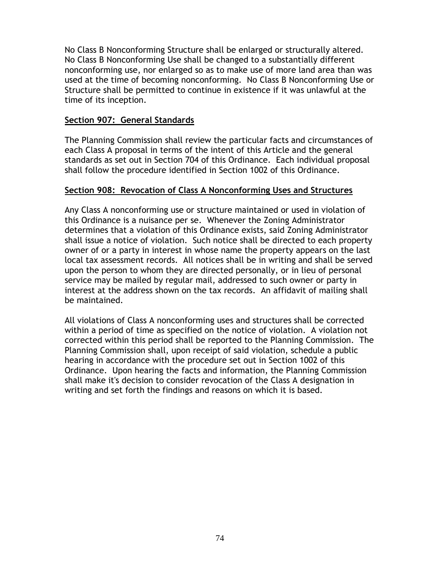No Class B Nonconforming Structure shall be enlarged or structurally altered. No Class B Nonconforming Use shall be changed to a substantially different nonconforming use, nor enlarged so as to make use of more land area than was used at the time of becoming nonconforming. No Class B Nonconforming Use or Structure shall be permitted to continue in existence if it was unlawful at the time of its inception.

### **Section 907: General Standards**

The Planning Commission shall review the particular facts and circumstances of each Class A proposal in terms of the intent of this Article and the general standards as set out in Section 704 of this Ordinance. Each individual proposal shall follow the procedure identified in Section 1002 of this Ordinance.

#### **Section 908: Revocation of Class A Nonconforming Uses and Structures**

Any Class A nonconforming use or structure maintained or used in violation of this Ordinance is a nuisance per se. Whenever the Zoning Administrator determines that a violation of this Ordinance exists, said Zoning Administrator shall issue a notice of violation. Such notice shall be directed to each property owner of or a party in interest in whose name the property appears on the last local tax assessment records. All notices shall be in writing and shall be served upon the person to whom they are directed personally, or in lieu of personal service may be mailed by regular mail, addressed to such owner or party in interest at the address shown on the tax records. An affidavit of mailing shall be maintained.

All violations of Class A nonconforming uses and structures shall be corrected within a period of time as specified on the notice of violation. A violation not corrected within this period shall be reported to the Planning Commission. The Planning Commission shall, upon receipt of said violation, schedule a public hearing in accordance with the procedure set out in Section 1002 of this Ordinance. Upon hearing the facts and information, the Planning Commission shall make it's decision to consider revocation of the Class A designation in writing and set forth the findings and reasons on which it is based.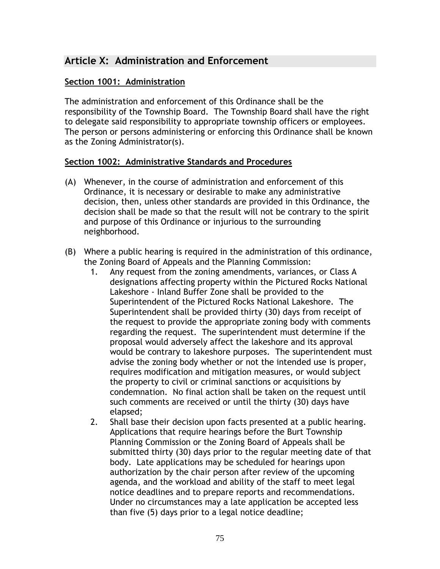# **Article X: Administration and Enforcement**

### **Section 1001: Administration**

The administration and enforcement of this Ordinance shall be the responsibility of the Township Board. The Township Board shall have the right to delegate said responsibility to appropriate township officers or employees. The person or persons administering or enforcing this Ordinance shall be known as the Zoning Administrator(s).

#### **Section 1002: Administrative Standards and Procedures**

- (A) Whenever, in the course of administration and enforcement of this Ordinance, it is necessary or desirable to make any administrative decision, then, unless other standards are provided in this Ordinance, the decision shall be made so that the result will not be contrary to the spirit and purpose of this Ordinance or injurious to the surrounding neighborhood.
- (B) Where a public hearing is required in the administration of this ordinance, the Zoning Board of Appeals and the Planning Commission:
	- 1. Any request from the zoning amendments, variances, or Class A designations affecting property within the Pictured Rocks National Lakeshore - Inland Buffer Zone shall be provided to the Superintendent of the Pictured Rocks National Lakeshore. The Superintendent shall be provided thirty (30) days from receipt of the request to provide the appropriate zoning body with comments regarding the request. The superintendent must determine if the proposal would adversely affect the lakeshore and its approval would be contrary to lakeshore purposes. The superintendent must advise the zoning body whether or not the intended use is proper, requires modification and mitigation measures, or would subject the property to civil or criminal sanctions or acquisitions by condemnation. No final action shall be taken on the request until such comments are received or until the thirty (30) days have elapsed;
	- 2. Shall base their decision upon facts presented at a public hearing. Applications that require hearings before the Burt Township Planning Commission or the Zoning Board of Appeals shall be submitted thirty (30) days prior to the regular meeting date of that body. Late applications may be scheduled for hearings upon authorization by the chair person after review of the upcoming agenda, and the workload and ability of the staff to meet legal notice deadlines and to prepare reports and recommendations. Under no circumstances may a late application be accepted less than five (5) days prior to a legal notice deadline;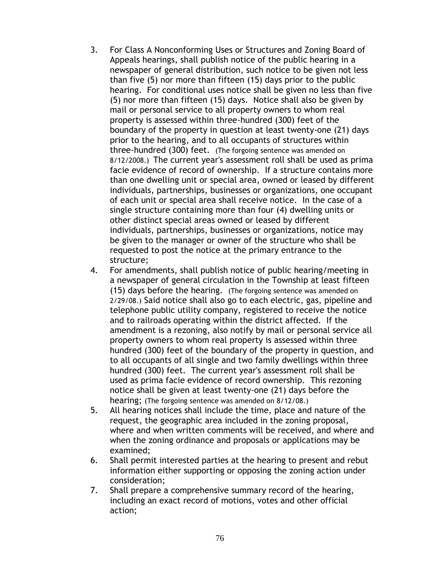- 3. For Class A Nonconforming Uses or Structures and Zoning Board of Appeals hearings, shall publish notice of the public hearing in a newspaper of general distribution, such notice to be given not less than five (5) nor more than fifteen (15) days prior to the public hearing. For conditional uses notice shall be given no less than five (5) nor more than fifteen (15) days. Notice shall also be given by mail or personal service to all property owners to whom real property is assessed within three-hundred (300) feet of the boundary of the property in question at least twenty-one (21) days prior to the hearing, and to all occupants of structures within three-hundred (300) feet. (The forgoing sentence was amended on 8/12/2008.) The current year's assessment roll shall be used as prima facie evidence of record of ownership. If a structure contains more than one dwelling unit or special area, owned or leased by different individuals, partnerships, businesses or organizations, one occupant of each unit or special area shall receive notice. In the case of a single structure containing more than four (4) dwelling units or other distinct special areas owned or leased by different individuals, partnerships, businesses or organizations, notice may be given to the manager or owner of the structure who shall be requested to post the notice at the primary entrance to the structure;
- 4. For amendments, shall publish notice of public hearing/meeting in a newspaper of general circulation in the Township at least fifteen (15) days before the hearing. (The forgoing sentence was amended on 2/29/08.) Said notice shall also go to each electric, gas, pipeline and telephone public utility company, registered to receive the notice and to railroads operating within the district affected. If the amendment is a rezoning, also notify by mail or personal service all property owners to whom real property is assessed within three hundred (300) feet of the boundary of the property in question, and to all occupants of all single and two family dwellings within three hundred (300) feet. The current year's assessment roll shall be used as prima facie evidence of record ownership. This rezoning notice shall be given at least twenty-one (21) days before the hearing; (The forgoing sentence was amended on 8/12/08.)
- 5. All hearing notices shall include the time, place and nature of the request, the geographic area included in the zoning proposal, where and when written comments will be received, and where and when the zoning ordinance and proposals or applications may be examined;
- 6. Shall permit interested parties at the hearing to present and rebut information either supporting or opposing the zoning action under consideration;
- 7. Shall prepare a comprehensive summary record of the hearing, including an exact record of motions, votes and other official action;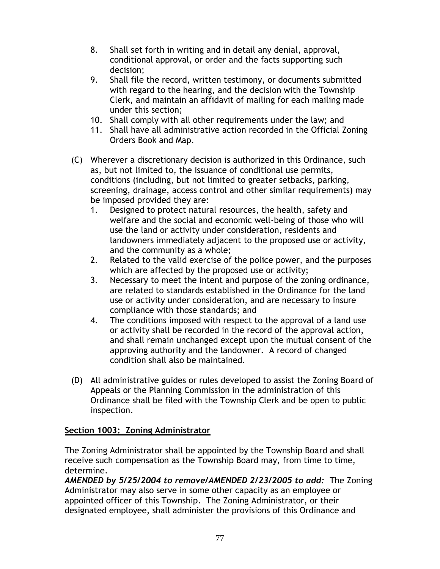- 8. Shall set forth in writing and in detail any denial, approval, conditional approval, or order and the facts supporting such decision;
- 9. Shall file the record, written testimony, or documents submitted with regard to the hearing, and the decision with the Township Clerk, and maintain an affidavit of mailing for each mailing made under this section;
- 10. Shall comply with all other requirements under the law; and
- 11. Shall have all administrative action recorded in the Official Zoning Orders Book and Map.
- (C) Wherever a discretionary decision is authorized in this Ordinance, such as, but not limited to, the issuance of conditional use permits, conditions (including, but not limited to greater setbacks, parking, screening, drainage, access control and other similar requirements) may be imposed provided they are:
	- 1. Designed to protect natural resources, the health, safety and welfare and the social and economic well-being of those who will use the land or activity under consideration, residents and landowners immediately adjacent to the proposed use or activity, and the community as a whole;
	- 2. Related to the valid exercise of the police power, and the purposes which are affected by the proposed use or activity;
	- 3. Necessary to meet the intent and purpose of the zoning ordinance, are related to standards established in the Ordinance for the land use or activity under consideration, and are necessary to insure compliance with those standards; and
	- 4. The conditions imposed with respect to the approval of a land use or activity shall be recorded in the record of the approval action, and shall remain unchanged except upon the mutual consent of the approving authority and the landowner. A record of changed condition shall also be maintained.
- (D) All administrative guides or rules developed to assist the Zoning Board of Appeals or the Planning Commission in the administration of this Ordinance shall be filed with the Township Clerk and be open to public inspection.

## **Section 1003: Zoning Administrator**

The Zoning Administrator shall be appointed by the Township Board and shall receive such compensation as the Township Board may, from time to time, determine.

*AMENDED by 5/25/2004 to remove/AMENDED 2/23/2005 to add:* The Zoning Administrator may also serve in some other capacity as an employee or appointed officer of this Township. The Zoning Administrator, or their designated employee, shall administer the provisions of this Ordinance and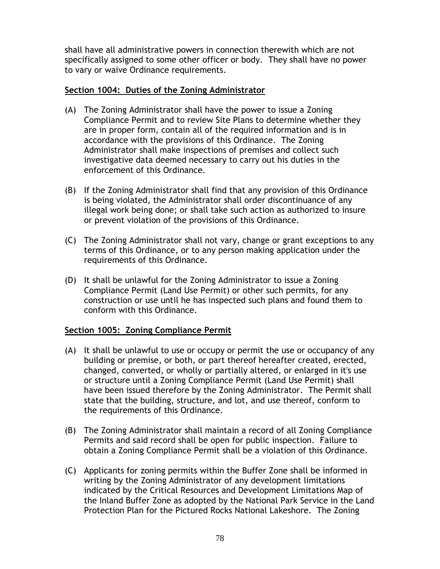shall have all administrative powers in connection therewith which are not specifically assigned to some other officer or body. They shall have no power to vary or waive Ordinance requirements.

### **Section 1004: Duties of the Zoning Administrator**

- (A) The Zoning Administrator shall have the power to issue a Zoning Compliance Permit and to review Site Plans to determine whether they are in proper form, contain all of the required information and is in accordance with the provisions of this Ordinance. The Zoning Administrator shall make inspections of premises and collect such investigative data deemed necessary to carry out his duties in the enforcement of this Ordinance.
- (B) If the Zoning Administrator shall find that any provision of this Ordinance is being violated, the Administrator shall order discontinuance of any illegal work being done; or shall take such action as authorized to insure or prevent violation of the provisions of this Ordinance.
- (C) The Zoning Administrator shall not vary, change or grant exceptions to any terms of this Ordinance, or to any person making application under the requirements of this Ordinance.
- (D) It shall be unlawful for the Zoning Administrator to issue a Zoning Compliance Permit (Land Use Permit) or other such permits, for any construction or use until he has inspected such plans and found them to conform with this Ordinance.

## **Section 1005: Zoning Compliance Permit**

- (A) It shall be unlawful to use or occupy or permit the use or occupancy of any building or premise, or both, or part thereof hereafter created, erected, changed, converted, or wholly or partially altered, or enlarged in it's use or structure until a Zoning Compliance Permit (Land Use Permit) shall have been issued therefore by the Zoning Administrator. The Permit shall state that the building, structure, and lot, and use thereof, conform to the requirements of this Ordinance.
- (B) The Zoning Administrator shall maintain a record of all Zoning Compliance Permits and said record shall be open for public inspection. Failure to obtain a Zoning Compliance Permit shall be a violation of this Ordinance.
- (C) Applicants for zoning permits within the Buffer Zone shall be informed in writing by the Zoning Administrator of any development limitations indicated by the Critical Resources and Development Limitations Map of the Inland Buffer Zone as adopted by the National Park Service in the Land Protection Plan for the Pictured Rocks National Lakeshore. The Zoning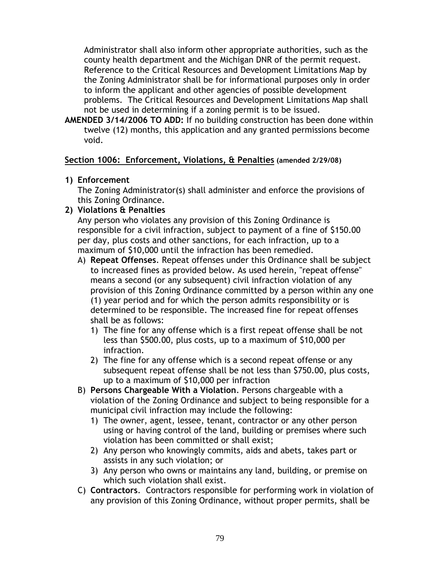Administrator shall also inform other appropriate authorities, such as the county health department and the Michigan DNR of the permit request. Reference to the Critical Resources and Development Limitations Map by the Zoning Administrator shall be for informational purposes only in order to inform the applicant and other agencies of possible development problems. The Critical Resources and Development Limitations Map shall not be used in determining if a zoning permit is to be issued.

**AMENDED 3/14/2006 TO ADD:** If no building construction has been done within twelve (12) months, this application and any granted permissions become void.

#### **Section 1006: Enforcement, Violations, & Penalties (amended 2/29/08)**

#### **1) Enforcement**

The Zoning Administrator(s) shall administer and enforce the provisions of this Zoning Ordinance.

**2) Violations & Penalties**

Any person who violates any provision of this Zoning Ordinance is responsible for a civil infraction, subject to payment of a fine of \$150.00 per day, plus costs and other sanctions, for each infraction, up to a maximum of \$10,000 until the infraction has been remedied.

- A) **Repeat Offenses**. Repeat offenses under this Ordinance shall be subject to increased fines as provided below. As used herein, "repeat offense" means a second (or any subsequent) civil infraction violation of any provision of this Zoning Ordinance committed by a person within any one (1) year period and for which the person admits responsibility or is determined to be responsible. The increased fine for repeat offenses shall be as follows:
	- 1) The fine for any offense which is a first repeat offense shall be not less than \$500.00, plus costs, up to a maximum of \$10,000 per infraction.
	- 2) The fine for any offense which is a second repeat offense or any subsequent repeat offense shall be not less than \$750.00, plus costs, up to a maximum of \$10,000 per infraction
- B) **Persons Chargeable With a Violation**. Persons chargeable with a violation of the Zoning Ordinance and subject to being responsible for a municipal civil infraction may include the following:
	- 1) The owner, agent, lessee, tenant, contractor or any other person using or having control of the land, building or premises where such violation has been committed or shall exist;
	- 2) Any person who knowingly commits, aids and abets, takes part or assists in any such violation; or
	- 3) Any person who owns or maintains any land, building, or premise on which such violation shall exist.
- C) **Contractors**. Contractors responsible for performing work in violation of any provision of this Zoning Ordinance, without proper permits, shall be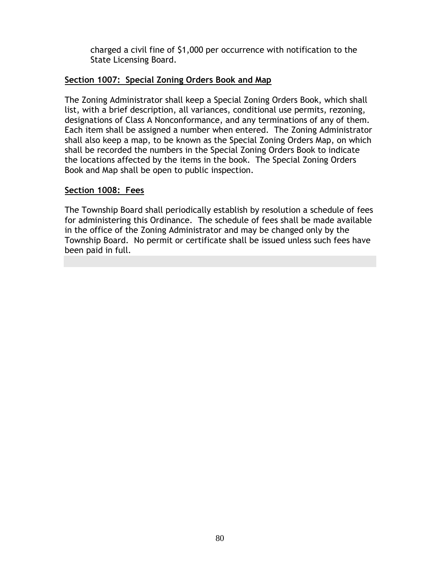charged a civil fine of \$1,000 per occurrence with notification to the State Licensing Board.

### **Section 1007: Special Zoning Orders Book and Map**

The Zoning Administrator shall keep a Special Zoning Orders Book, which shall list, with a brief description, all variances, conditional use permits, rezoning, designations of Class A Nonconformance, and any terminations of any of them. Each item shall be assigned a number when entered. The Zoning Administrator shall also keep a map, to be known as the Special Zoning Orders Map, on which shall be recorded the numbers in the Special Zoning Orders Book to indicate the locations affected by the items in the book. The Special Zoning Orders Book and Map shall be open to public inspection.

#### **Section 1008: Fees**

The Township Board shall periodically establish by resolution a schedule of fees for administering this Ordinance. The schedule of fees shall be made available in the office of the Zoning Administrator and may be changed only by the Township Board. No permit or certificate shall be issued unless such fees have been paid in full.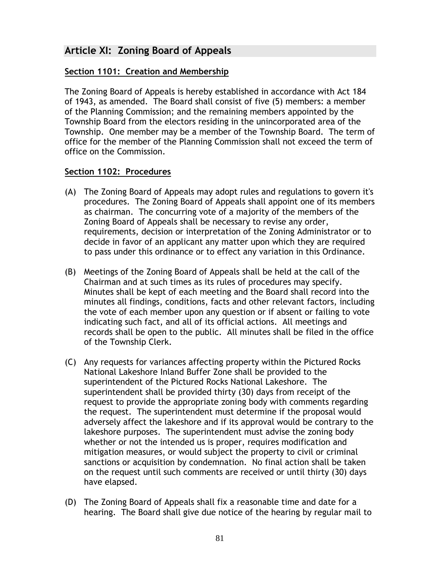# **Article XI: Zoning Board of Appeals**

### **Section 1101: Creation and Membership**

The Zoning Board of Appeals is hereby established in accordance with Act 184 of 1943, as amended. The Board shall consist of five (5) members: a member of the Planning Commission; and the remaining members appointed by the Township Board from the electors residing in the unincorporated area of the Township. One member may be a member of the Township Board. The term of office for the member of the Planning Commission shall not exceed the term of office on the Commission.

### **Section 1102: Procedures**

- (A) The Zoning Board of Appeals may adopt rules and regulations to govern it's procedures. The Zoning Board of Appeals shall appoint one of its members as chairman. The concurring vote of a majority of the members of the Zoning Board of Appeals shall be necessary to revise any order, requirements, decision or interpretation of the Zoning Administrator or to decide in favor of an applicant any matter upon which they are required to pass under this ordinance or to effect any variation in this Ordinance.
- (B) Meetings of the Zoning Board of Appeals shall be held at the call of the Chairman and at such times as its rules of procedures may specify. Minutes shall be kept of each meeting and the Board shall record into the minutes all findings, conditions, facts and other relevant factors, including the vote of each member upon any question or if absent or failing to vote indicating such fact, and all of its official actions. All meetings and records shall be open to the public. All minutes shall be filed in the office of the Township Clerk.
- (C) Any requests for variances affecting property within the Pictured Rocks National Lakeshore Inland Buffer Zone shall be provided to the superintendent of the Pictured Rocks National Lakeshore. The superintendent shall be provided thirty (30) days from receipt of the request to provide the appropriate zoning body with comments regarding the request. The superintendent must determine if the proposal would adversely affect the lakeshore and if its approval would be contrary to the lakeshore purposes. The superintendent must advise the zoning body whether or not the intended us is proper, requires modification and mitigation measures, or would subject the property to civil or criminal sanctions or acquisition by condemnation. No final action shall be taken on the request until such comments are received or until thirty (30) days have elapsed.
- (D) The Zoning Board of Appeals shall fix a reasonable time and date for a hearing. The Board shall give due notice of the hearing by regular mail to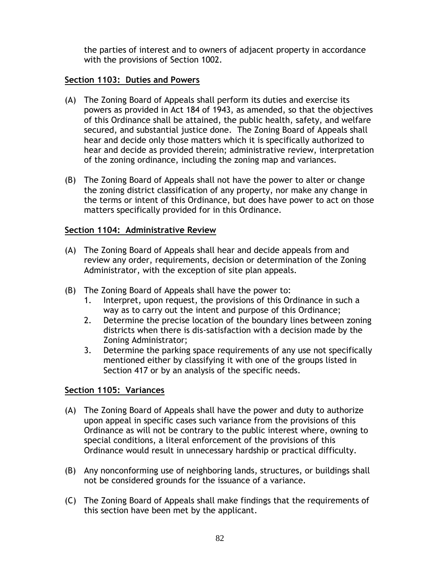the parties of interest and to owners of adjacent property in accordance with the provisions of Section 1002.

### **Section 1103: Duties and Powers**

- (A) The Zoning Board of Appeals shall perform its duties and exercise its powers as provided in Act 184 of 1943, as amended, so that the objectives of this Ordinance shall be attained, the public health, safety, and welfare secured, and substantial justice done. The Zoning Board of Appeals shall hear and decide only those matters which it is specifically authorized to hear and decide as provided therein; administrative review, interpretation of the zoning ordinance, including the zoning map and variances.
- (B) The Zoning Board of Appeals shall not have the power to alter or change the zoning district classification of any property, nor make any change in the terms or intent of this Ordinance, but does have power to act on those matters specifically provided for in this Ordinance.

### **Section 1104: Administrative Review**

- (A) The Zoning Board of Appeals shall hear and decide appeals from and review any order, requirements, decision or determination of the Zoning Administrator, with the exception of site plan appeals.
- (B) The Zoning Board of Appeals shall have the power to:
	- 1. Interpret, upon request, the provisions of this Ordinance in such a way as to carry out the intent and purpose of this Ordinance;
	- 2. Determine the precise location of the boundary lines between zoning districts when there is dis-satisfaction with a decision made by the Zoning Administrator;
	- 3. Determine the parking space requirements of any use not specifically mentioned either by classifying it with one of the groups listed in Section 417 or by an analysis of the specific needs.

## **Section 1105: Variances**

- (A) The Zoning Board of Appeals shall have the power and duty to authorize upon appeal in specific cases such variance from the provisions of this Ordinance as will not be contrary to the public interest where, owning to special conditions, a literal enforcement of the provisions of this Ordinance would result in unnecessary hardship or practical difficulty.
- (B) Any nonconforming use of neighboring lands, structures, or buildings shall not be considered grounds for the issuance of a variance.
- (C) The Zoning Board of Appeals shall make findings that the requirements of this section have been met by the applicant.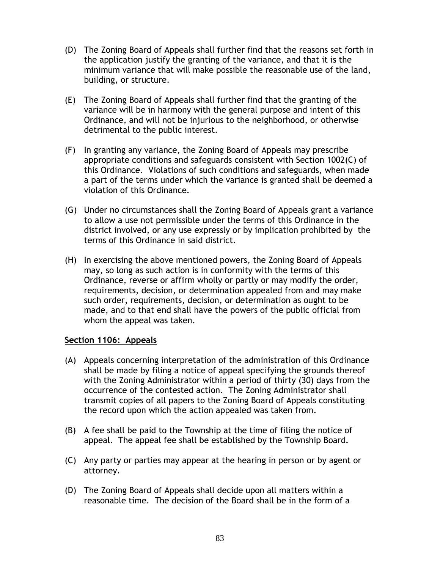- (D) The Zoning Board of Appeals shall further find that the reasons set forth in the application justify the granting of the variance, and that it is the minimum variance that will make possible the reasonable use of the land, building, or structure.
- (E) The Zoning Board of Appeals shall further find that the granting of the variance will be in harmony with the general purpose and intent of this Ordinance, and will not be injurious to the neighborhood, or otherwise detrimental to the public interest.
- (F) In granting any variance, the Zoning Board of Appeals may prescribe appropriate conditions and safeguards consistent with Section 1002(C) of this Ordinance. Violations of such conditions and safeguards, when made a part of the terms under which the variance is granted shall be deemed a violation of this Ordinance.
- (G) Under no circumstances shall the Zoning Board of Appeals grant a variance to allow a use not permissible under the terms of this Ordinance in the district involved, or any use expressly or by implication prohibited by the terms of this Ordinance in said district.
- (H) In exercising the above mentioned powers, the Zoning Board of Appeals may, so long as such action is in conformity with the terms of this Ordinance, reverse or affirm wholly or partly or may modify the order, requirements, decision, or determination appealed from and may make such order, requirements, decision, or determination as ought to be made, and to that end shall have the powers of the public official from whom the appeal was taken.

#### **Section 1106: Appeals**

- (A) Appeals concerning interpretation of the administration of this Ordinance shall be made by filing a notice of appeal specifying the grounds thereof with the Zoning Administrator within a period of thirty (30) days from the occurrence of the contested action. The Zoning Administrator shall transmit copies of all papers to the Zoning Board of Appeals constituting the record upon which the action appealed was taken from.
- (B) A fee shall be paid to the Township at the time of filing the notice of appeal. The appeal fee shall be established by the Township Board.
- (C) Any party or parties may appear at the hearing in person or by agent or attorney.
- (D) The Zoning Board of Appeals shall decide upon all matters within a reasonable time. The decision of the Board shall be in the form of a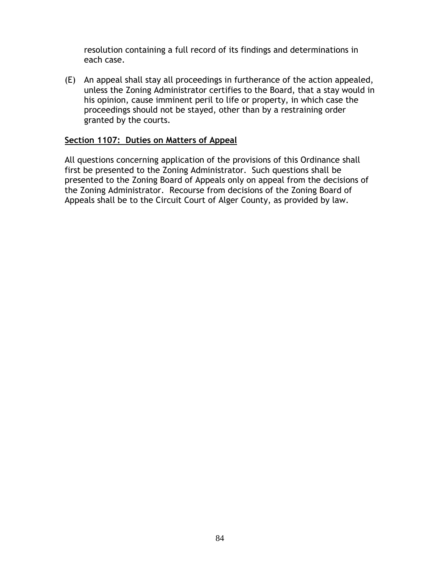resolution containing a full record of its findings and determinations in each case.

(E) An appeal shall stay all proceedings in furtherance of the action appealed, unless the Zoning Administrator certifies to the Board, that a stay would in his opinion, cause imminent peril to life or property, in which case the proceedings should not be stayed, other than by a restraining order granted by the courts.

#### **Section 1107: Duties on Matters of Appeal**

All questions concerning application of the provisions of this Ordinance shall first be presented to the Zoning Administrator. Such questions shall be presented to the Zoning Board of Appeals only on appeal from the decisions of the Zoning Administrator. Recourse from decisions of the Zoning Board of Appeals shall be to the Circuit Court of Alger County, as provided by law.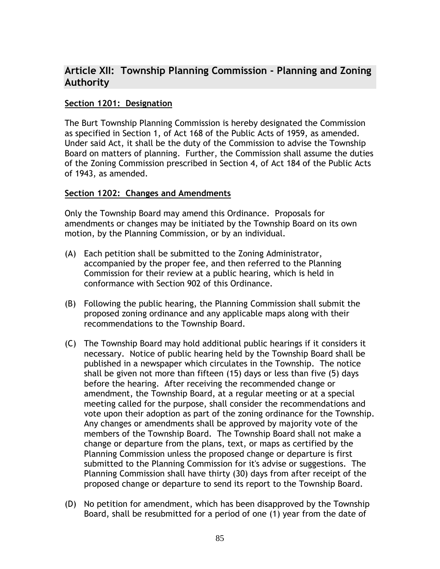# **Article XII: Township Planning Commission - Planning and Zoning Authority**

#### **Section 1201: Designation**

The Burt Township Planning Commission is hereby designated the Commission as specified in Section 1, of Act 168 of the Public Acts of 1959, as amended. Under said Act, it shall be the duty of the Commission to advise the Township Board on matters of planning. Further, the Commission shall assume the duties of the Zoning Commission prescribed in Section 4, of Act 184 of the Public Acts of 1943, as amended.

#### **Section 1202: Changes and Amendments**

Only the Township Board may amend this Ordinance. Proposals for amendments or changes may be initiated by the Township Board on its own motion, by the Planning Commission, or by an individual.

- (A) Each petition shall be submitted to the Zoning Administrator, accompanied by the proper fee, and then referred to the Planning Commission for their review at a public hearing, which is held in conformance with Section 902 of this Ordinance.
- (B) Following the public hearing, the Planning Commission shall submit the proposed zoning ordinance and any applicable maps along with their recommendations to the Township Board.
- (C) The Township Board may hold additional public hearings if it considers it necessary. Notice of public hearing held by the Township Board shall be published in a newspaper which circulates in the Township. The notice shall be given not more than fifteen (15) days or less than five (5) days before the hearing. After receiving the recommended change or amendment, the Township Board, at a regular meeting or at a special meeting called for the purpose, shall consider the recommendations and vote upon their adoption as part of the zoning ordinance for the Township. Any changes or amendments shall be approved by majority vote of the members of the Township Board. The Township Board shall not make a change or departure from the plans, text, or maps as certified by the Planning Commission unless the proposed change or departure is first submitted to the Planning Commission for it's advise or suggestions. The Planning Commission shall have thirty (30) days from after receipt of the proposed change or departure to send its report to the Township Board.
- (D) No petition for amendment, which has been disapproved by the Township Board, shall be resubmitted for a period of one (1) year from the date of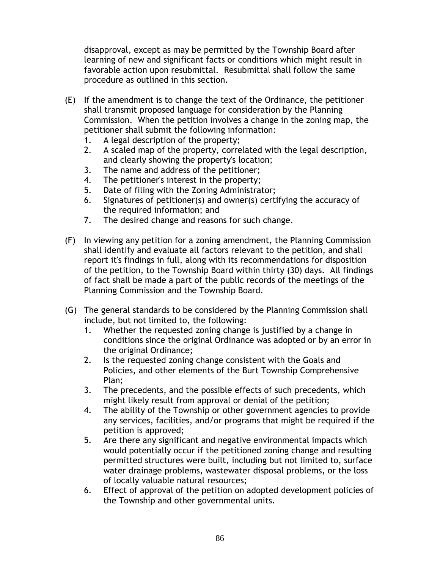disapproval, except as may be permitted by the Township Board after learning of new and significant facts or conditions which might result in favorable action upon resubmittal. Resubmittal shall follow the same procedure as outlined in this section.

- (E) If the amendment is to change the text of the Ordinance, the petitioner shall transmit proposed language for consideration by the Planning Commission. When the petition involves a change in the zoning map, the petitioner shall submit the following information:
	- 1. A legal description of the property;
	- 2. A scaled map of the property, correlated with the legal description, and clearly showing the property's location;
	- 3. The name and address of the petitioner;
	- 4. The petitioner's interest in the property;
	- 5. Date of filing with the Zoning Administrator;
	- 6. Signatures of petitioner(s) and owner(s) certifying the accuracy of the required information; and
	- 7. The desired change and reasons for such change.
- (F) In viewing any petition for a zoning amendment, the Planning Commission shall identify and evaluate all factors relevant to the petition, and shall report it's findings in full, along with its recommendations for disposition of the petition, to the Township Board within thirty (30) days. All findings of fact shall be made a part of the public records of the meetings of the Planning Commission and the Township Board.
- (G) The general standards to be considered by the Planning Commission shall include, but not limited to, the following:
	- 1. Whether the requested zoning change is justified by a change in conditions since the original Ordinance was adopted or by an error in the original Ordinance;
	- 2. Is the requested zoning change consistent with the Goals and Policies, and other elements of the Burt Township Comprehensive Plan;
	- 3. The precedents, and the possible effects of such precedents, which might likely result from approval or denial of the petition;
	- 4. The ability of the Township or other government agencies to provide any services, facilities, and/or programs that might be required if the petition is approved;
	- 5. Are there any significant and negative environmental impacts which would potentially occur if the petitioned zoning change and resulting permitted structures were built, including but not limited to, surface water drainage problems, wastewater disposal problems, or the loss of locally valuable natural resources;
	- 6. Effect of approval of the petition on adopted development policies of the Township and other governmental units.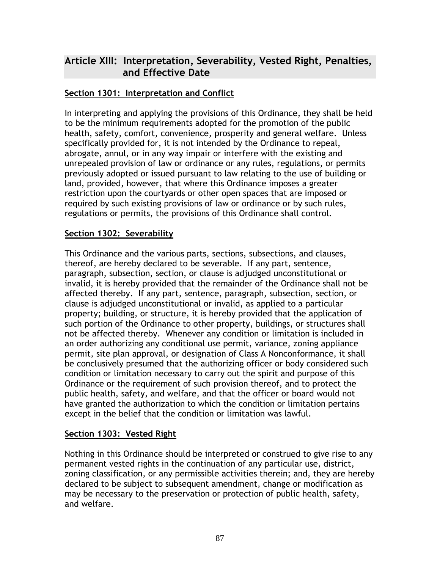# **Article XIII: Interpretation, Severability, Vested Right, Penalties, and Effective Date**

# **Section 1301: Interpretation and Conflict**

In interpreting and applying the provisions of this Ordinance, they shall be held to be the minimum requirements adopted for the promotion of the public health, safety, comfort, convenience, prosperity and general welfare. Unless specifically provided for, it is not intended by the Ordinance to repeal, abrogate, annul, or in any way impair or interfere with the existing and unrepealed provision of law or ordinance or any rules, regulations, or permits previously adopted or issued pursuant to law relating to the use of building or land, provided, however, that where this Ordinance imposes a greater restriction upon the courtyards or other open spaces that are imposed or required by such existing provisions of law or ordinance or by such rules, regulations or permits, the provisions of this Ordinance shall control.

## **Section 1302: Severability**

This Ordinance and the various parts, sections, subsections, and clauses, thereof, are hereby declared to be severable. If any part, sentence, paragraph, subsection, section, or clause is adjudged unconstitutional or invalid, it is hereby provided that the remainder of the Ordinance shall not be affected thereby. If any part, sentence, paragraph, subsection, section, or clause is adjudged unconstitutional or invalid, as applied to a particular property; building, or structure, it is hereby provided that the application of such portion of the Ordinance to other property, buildings, or structures shall not be affected thereby. Whenever any condition or limitation is included in an order authorizing any conditional use permit, variance, zoning appliance permit, site plan approval, or designation of Class A Nonconformance, it shall be conclusively presumed that the authorizing officer or body considered such condition or limitation necessary to carry out the spirit and purpose of this Ordinance or the requirement of such provision thereof, and to protect the public health, safety, and welfare, and that the officer or board would not have granted the authorization to which the condition or limitation pertains except in the belief that the condition or limitation was lawful.

#### **Section 1303: Vested Right**

Nothing in this Ordinance should be interpreted or construed to give rise to any permanent vested rights in the continuation of any particular use, district, zoning classification, or any permissible activities therein; and, they are hereby declared to be subject to subsequent amendment, change or modification as may be necessary to the preservation or protection of public health, safety, and welfare.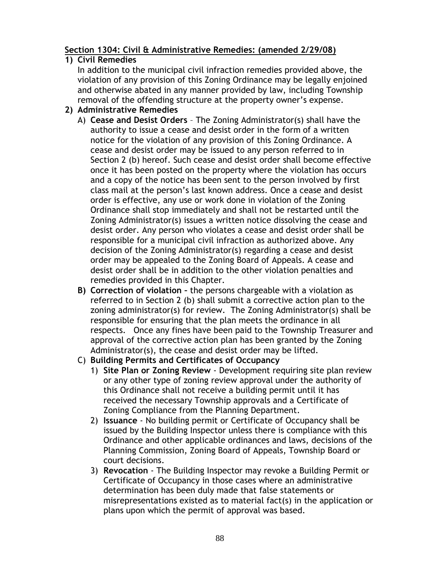# **Section 1304: Civil & Administrative Remedies: (amended 2/29/08)**

## **1) Civil Remedies**

In addition to the municipal civil infraction remedies provided above, the violation of any provision of this Zoning Ordinance may be legally enjoined and otherwise abated in any manner provided by law, including Township removal of the offending structure at the property owner's expense.

# **2) Administrative Remedies**

- A) **Cease and Desist Orders** The Zoning Administrator(s) shall have the authority to issue a cease and desist order in the form of a written notice for the violation of any provision of this Zoning Ordinance. A cease and desist order may be issued to any person referred to in Section 2 (b) hereof. Such cease and desist order shall become effective once it has been posted on the property where the violation has occurs and a copy of the notice has been sent to the person involved by first class mail at the person's last known address. Once a cease and desist order is effective, any use or work done in violation of the Zoning Ordinance shall stop immediately and shall not be restarted until the Zoning Administrator(s) issues a written notice dissolving the cease and desist order. Any person who violates a cease and desist order shall be responsible for a municipal civil infraction as authorized above. Any decision of the Zoning Administrator(s) regarding a cease and desist order may be appealed to the Zoning Board of Appeals. A cease and desist order shall be in addition to the other violation penalties and remedies provided in this Chapter.
- **B) Correction of violation –** the persons chargeable with a violation as referred to in Section 2 (b) shall submit a corrective action plan to the zoning administrator(s) for review. The Zoning Administrator(s) shall be responsible for ensuring that the plan meets the ordinance in all respects. Once any fines have been paid to the Township Treasurer and approval of the corrective action plan has been granted by the Zoning Administrator(s), the cease and desist order may be lifted.
- C) **Building Permits and Certificates of Occupancy**
	- 1) **Site Plan or Zoning Review** Development requiring site plan review or any other type of zoning review approval under the authority of this Ordinance shall not receive a building permit until it has received the necessary Township approvals and a Certificate of Zoning Compliance from the Planning Department.
	- 2) **Issuance** No building permit or Certificate of Occupancy shall be issued by the Building Inspector unless there is compliance with this Ordinance and other applicable ordinances and laws, decisions of the Planning Commission, Zoning Board of Appeals, Township Board or court decisions.
	- 3) **Revocation** The Building Inspector may revoke a Building Permit or Certificate of Occupancy in those cases where an administrative determination has been duly made that false statements or misrepresentations existed as to material fact(s) in the application or plans upon which the permit of approval was based.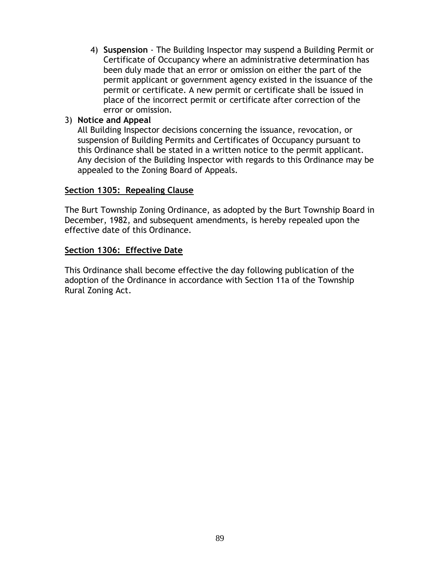4) **Suspension** - The Building Inspector may suspend a Building Permit or Certificate of Occupancy where an administrative determination has been duly made that an error or omission on either the part of the permit applicant or government agency existed in the issuance of the permit or certificate. A new permit or certificate shall be issued in place of the incorrect permit or certificate after correction of the error or omission.

### 3) **Notice and Appeal**

All Building Inspector decisions concerning the issuance, revocation, or suspension of Building Permits and Certificates of Occupancy pursuant to this Ordinance shall be stated in a written notice to the permit applicant. Any decision of the Building Inspector with regards to this Ordinance may be appealed to the Zoning Board of Appeals.

#### **Section 1305: Repealing Clause**

The Burt Township Zoning Ordinance, as adopted by the Burt Township Board in December, 1982, and subsequent amendments, is hereby repealed upon the effective date of this Ordinance.

#### **Section 1306: Effective Date**

This Ordinance shall become effective the day following publication of the adoption of the Ordinance in accordance with Section 11a of the Township Rural Zoning Act.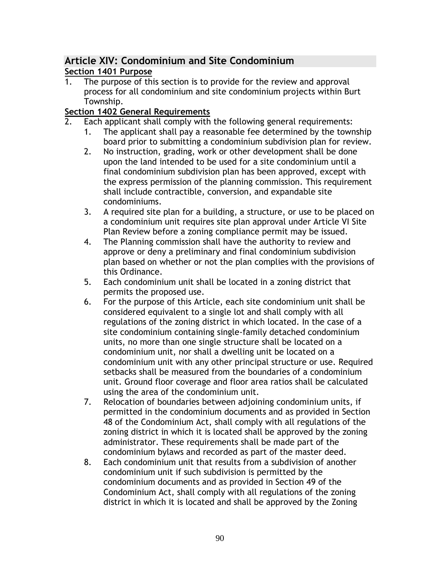# **Article XIV: Condominium and Site Condominium**

# **Section 1401 Purpose**

1. The purpose of this section is to provide for the review and approval process for all condominium and site condominium projects within Burt Township.

# **Section 1402 General Requirements**

- Each applicant shall comply with the following general requirements:
	- 1. The applicant shall pay a reasonable fee determined by the township board prior to submitting a condominium subdivision plan for review.
	- 2. No instruction, grading, work or other development shall be done upon the land intended to be used for a site condominium until a final condominium subdivision plan has been approved, except with the express permission of the planning commission. This requirement shall include contractible, conversion, and expandable site condominiums.
	- 3. A required site plan for a building, a structure, or use to be placed on a condominium unit requires site plan approval under Article VI Site Plan Review before a zoning compliance permit may be issued.
	- 4. The Planning commission shall have the authority to review and approve or deny a preliminary and final condominium subdivision plan based on whether or not the plan complies with the provisions of this Ordinance.
	- 5. Each condominium unit shall be located in a zoning district that permits the proposed use.
	- 6. For the purpose of this Article, each site condominium unit shall be considered equivalent to a single lot and shall comply with all regulations of the zoning district in which located. In the case of a site condominium containing single-family detached condominium units, no more than one single structure shall be located on a condominium unit, nor shall a dwelling unit be located on a condominium unit with any other principal structure or use. Required setbacks shall be measured from the boundaries of a condominium unit. Ground floor coverage and floor area ratios shall be calculated using the area of the condominium unit.
	- 7. Relocation of boundaries between adjoining condominium units, if permitted in the condominium documents and as provided in Section 48 of the Condominium Act, shall comply with all regulations of the zoning district in which it is located shall be approved by the zoning administrator. These requirements shall be made part of the condominium bylaws and recorded as part of the master deed.
	- 8. Each condominium unit that results from a subdivision of another condominium unit if such subdivision is permitted by the condominium documents and as provided in Section 49 of the Condominium Act, shall comply with all regulations of the zoning district in which it is located and shall be approved by the Zoning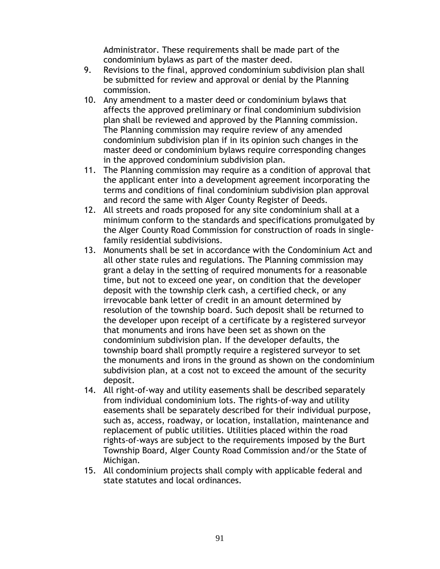Administrator. These requirements shall be made part of the condominium bylaws as part of the master deed.

- 9. Revisions to the final, approved condominium subdivision plan shall be submitted for review and approval or denial by the Planning commission.
- 10. Any amendment to a master deed or condominium bylaws that affects the approved preliminary or final condominium subdivision plan shall be reviewed and approved by the Planning commission. The Planning commission may require review of any amended condominium subdivision plan if in its opinion such changes in the master deed or condominium bylaws require corresponding changes in the approved condominium subdivision plan.
- 11. The Planning commission may require as a condition of approval that the applicant enter into a development agreement incorporating the terms and conditions of final condominium subdivision plan approval and record the same with Alger County Register of Deeds.
- 12. All streets and roads proposed for any site condominium shall at a minimum conform to the standards and specifications promulgated by the Alger County Road Commission for construction of roads in singlefamily residential subdivisions.
- 13. Monuments shall be set in accordance with the Condominium Act and all other state rules and regulations. The Planning commission may grant a delay in the setting of required monuments for a reasonable time, but not to exceed one year, on condition that the developer deposit with the township clerk cash, a certified check, or any irrevocable bank letter of credit in an amount determined by resolution of the township board. Such deposit shall be returned to the developer upon receipt of a certificate by a registered surveyor that monuments and irons have been set as shown on the condominium subdivision plan. If the developer defaults, the township board shall promptly require a registered surveyor to set the monuments and irons in the ground as shown on the condominium subdivision plan, at a cost not to exceed the amount of the security deposit.
- 14. All right-of-way and utility easements shall be described separately from individual condominium lots. The rights-of-way and utility easements shall be separately described for their individual purpose, such as, access, roadway, or location, installation, maintenance and replacement of public utilities. Utilities placed within the road rights-of-ways are subject to the requirements imposed by the Burt Township Board, Alger County Road Commission and/or the State of Michigan.
- 15. All condominium projects shall comply with applicable federal and state statutes and local ordinances.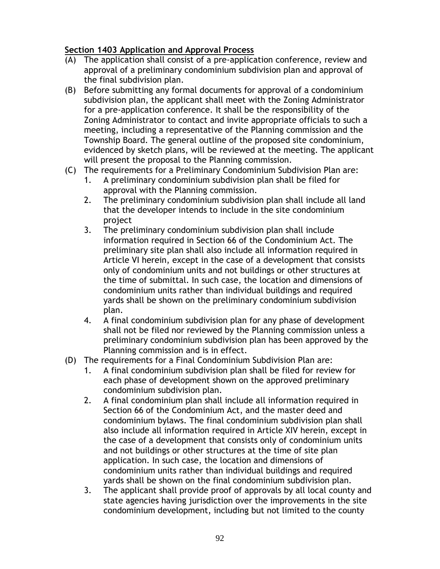# **Section 1403 Application and Approval Process**

- (A) The application shall consist of a pre-application conference, review and approval of a preliminary condominium subdivision plan and approval of the final subdivision plan.
- (B) Before submitting any formal documents for approval of a condominium subdivision plan, the applicant shall meet with the Zoning Administrator for a pre-application conference. It shall be the responsibility of the Zoning Administrator to contact and invite appropriate officials to such a meeting, including a representative of the Planning commission and the Township Board. The general outline of the proposed site condominium, evidenced by sketch plans, will be reviewed at the meeting. The applicant will present the proposal to the Planning commission.
- (C) The requirements for a Preliminary Condominium Subdivision Plan are:
	- 1. A preliminary condominium subdivision plan shall be filed for approval with the Planning commission.
	- 2. The preliminary condominium subdivision plan shall include all land that the developer intends to include in the site condominium project
	- 3. The preliminary condominium subdivision plan shall include information required in Section 66 of the Condominium Act. The preliminary site plan shall also include all information required in Article VI herein, except in the case of a development that consists only of condominium units and not buildings or other structures at the time of submittal. In such case, the location and dimensions of condominium units rather than individual buildings and required yards shall be shown on the preliminary condominium subdivision plan.
	- 4. A final condominium subdivision plan for any phase of development shall not be filed nor reviewed by the Planning commission unless a preliminary condominium subdivision plan has been approved by the Planning commission and is in effect.
- (D) The requirements for a Final Condominium Subdivision Plan are:
	- 1. A final condominium subdivision plan shall be filed for review for each phase of development shown on the approved preliminary condominium subdivision plan.
	- 2. A final condominium plan shall include all information required in Section 66 of the Condominium Act, and the master deed and condominium bylaws. The final condominium subdivision plan shall also include all information required in Article XIV herein, except in the case of a development that consists only of condominium units and not buildings or other structures at the time of site plan application. In such case, the location and dimensions of condominium units rather than individual buildings and required yards shall be shown on the final condominium subdivision plan.
	- 3. The applicant shall provide proof of approvals by all local county and state agencies having jurisdiction over the improvements in the site condominium development, including but not limited to the county